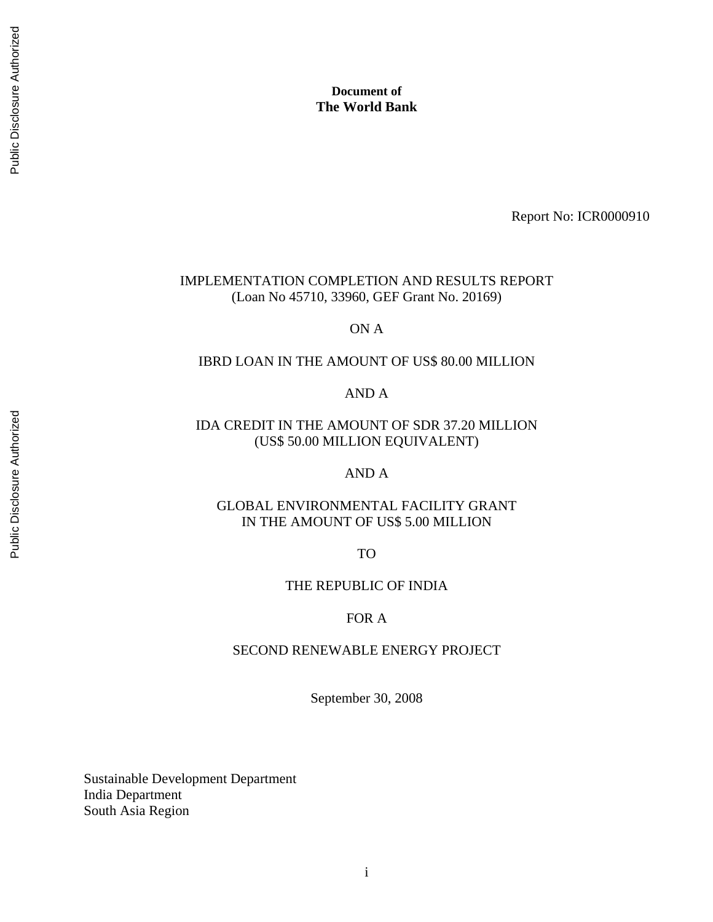Report No: ICR0000910

## IMPLEMENTATION COMPLETION AND RESULTS REPORT (Loan No 45710, 33960, GEF Grant No. 20169)

# ON A

#### IBRD LOAN IN THE AMOUNT OF US\$ 80.00 MILLION

# AND A

# IDA CREDIT IN THE AMOUNT OF SDR 37.20 MILLION (US\$ 50.00 MILLION EQUIVALENT)

# AND A

## GLOBAL ENVIRONMENTAL FACILITY GRANT IN THE AMOUNT OF US\$ 5.00 MILLION

TO

# THE REPUBLIC OF INDIA

#### FOR A

#### SECOND RENEWABLE ENERGY PROJECT

September 30, 2008

Sustainable Development Department India Department South Asia Region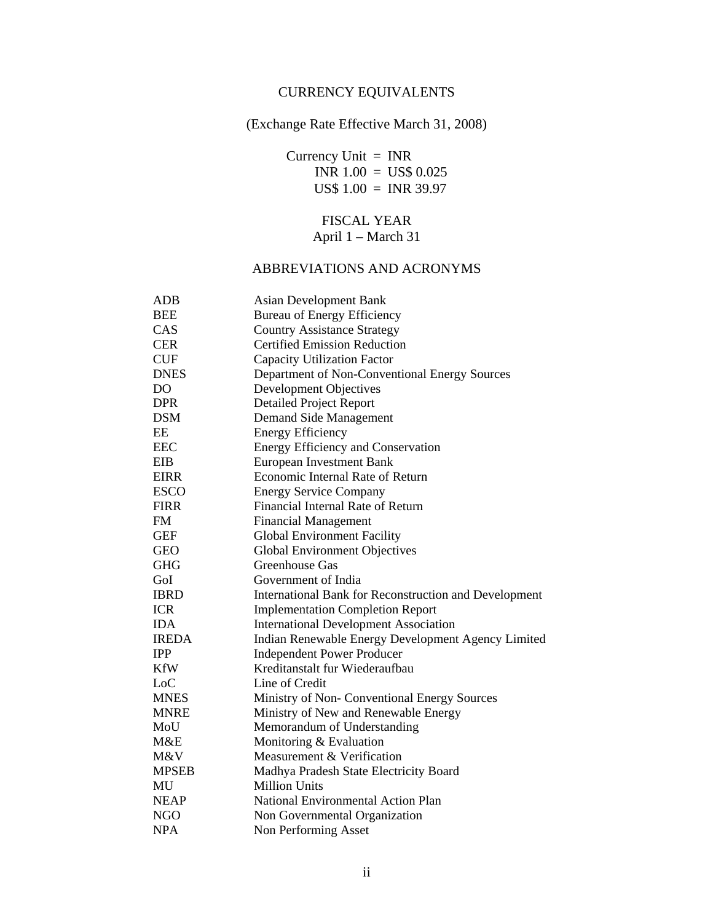# CURRENCY EQUIVALENTS

# (Exchange Rate Effective March 31, 2008)

 Currency Unit = INR INR 1.00 = US\$ 0.025 US\$ 1.00 = INR 39.97

# FISCAL YEAR April 1 – March 31

#### ABBREVIATIONS AND ACRONYMS

| <b>ADB</b>     | <b>Asian Development Bank</b>                         |  |  |
|----------------|-------------------------------------------------------|--|--|
| <b>BEE</b>     | <b>Bureau of Energy Efficiency</b>                    |  |  |
| CAS            | <b>Country Assistance Strategy</b>                    |  |  |
| <b>CER</b>     | <b>Certified Emission Reduction</b>                   |  |  |
| <b>CUF</b>     | <b>Capacity Utilization Factor</b>                    |  |  |
| <b>DNES</b>    | Department of Non-Conventional Energy Sources         |  |  |
| D <sub>O</sub> | Development Objectives                                |  |  |
| <b>DPR</b>     | <b>Detailed Project Report</b>                        |  |  |
| <b>DSM</b>     | Demand Side Management                                |  |  |
| EE             | <b>Energy Efficiency</b>                              |  |  |
| <b>EEC</b>     | Energy Efficiency and Conservation                    |  |  |
| <b>EIB</b>     | <b>European Investment Bank</b>                       |  |  |
| <b>EIRR</b>    | Economic Internal Rate of Return                      |  |  |
| <b>ESCO</b>    | <b>Energy Service Company</b>                         |  |  |
| <b>FIRR</b>    | Financial Internal Rate of Return                     |  |  |
| <b>FM</b>      | <b>Financial Management</b>                           |  |  |
| <b>GEF</b>     | Global Environment Facility                           |  |  |
| <b>GEO</b>     | <b>Global Environment Objectives</b>                  |  |  |
| <b>GHG</b>     | Greenhouse Gas                                        |  |  |
| GoI            | Government of India                                   |  |  |
| <b>IBRD</b>    | International Bank for Reconstruction and Development |  |  |
| <b>ICR</b>     | <b>Implementation Completion Report</b>               |  |  |
| <b>IDA</b>     | <b>International Development Association</b>          |  |  |
| <b>IREDA</b>   | Indian Renewable Energy Development Agency Limited    |  |  |
| <b>IPP</b>     | <b>Independent Power Producer</b>                     |  |  |
| <b>KfW</b>     | Kreditanstalt fur Wiederaufbau                        |  |  |
| LoC            | Line of Credit                                        |  |  |
| <b>MNES</b>    | Ministry of Non-Conventional Energy Sources           |  |  |
| <b>MNRE</b>    | Ministry of New and Renewable Energy                  |  |  |
| MoU            | Memorandum of Understanding                           |  |  |
| M&E            | Monitoring & Evaluation                               |  |  |
| M&V            | Measurement & Verification                            |  |  |
| <b>MPSEB</b>   | Madhya Pradesh State Electricity Board                |  |  |
| MU             | <b>Million Units</b>                                  |  |  |
| <b>NEAP</b>    | National Environmental Action Plan                    |  |  |
| <b>NGO</b>     | Non Governmental Organization                         |  |  |
| <b>NPA</b>     | Non Performing Asset                                  |  |  |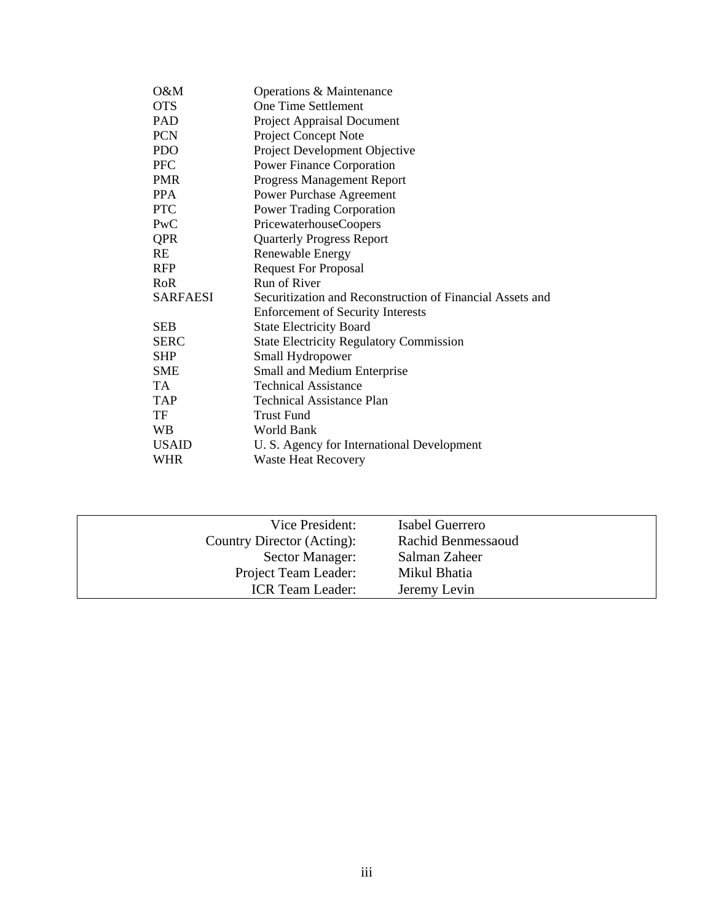| $O\&M$       | Operations & Maintenance                                  |
|--------------|-----------------------------------------------------------|
| <b>OTS</b>   | <b>One Time Settlement</b>                                |
| <b>PAD</b>   | <b>Project Appraisal Document</b>                         |
| <b>PCN</b>   | <b>Project Concept Note</b>                               |
| <b>PDO</b>   | Project Development Objective                             |
| <b>PFC</b>   | <b>Power Finance Corporation</b>                          |
| <b>PMR</b>   | Progress Management Report                                |
| <b>PPA</b>   | <b>Power Purchase Agreement</b>                           |
| <b>PTC</b>   | <b>Power Trading Corporation</b>                          |
| PWC          | PricewaterhouseCoopers                                    |
| <b>QPR</b>   | <b>Quarterly Progress Report</b>                          |
| RE           | Renewable Energy                                          |
| <b>RFP</b>   | <b>Request For Proposal</b>                               |
| RoR          | Run of River                                              |
| SARFAESI     | Securitization and Reconstruction of Financial Assets and |
|              | <b>Enforcement of Security Interests</b>                  |
| <b>SEB</b>   | <b>State Electricity Board</b>                            |
| <b>SERC</b>  | <b>State Electricity Regulatory Commission</b>            |
| <b>SHP</b>   | Small Hydropower                                          |
| <b>SME</b>   | Small and Medium Enterprise                               |
| TA.          | <b>Technical Assistance</b>                               |
| <b>TAP</b>   | Technical Assistance Plan                                 |
| TF           | Trust Fund                                                |
| <b>WB</b>    | World Bank                                                |
| <b>USAID</b> | U. S. Agency for International Development                |
| WHR          | <b>Waste Heat Recovery</b>                                |

| Vice President:            | Isabel Guerrero    |
|----------------------------|--------------------|
| Country Director (Acting): | Rachid Benmessaoud |
| Sector Manager:            | Salman Zaheer      |
| Project Team Leader:       | Mikul Bhatia       |
| <b>ICR</b> Team Leader:    | Jeremy Levin       |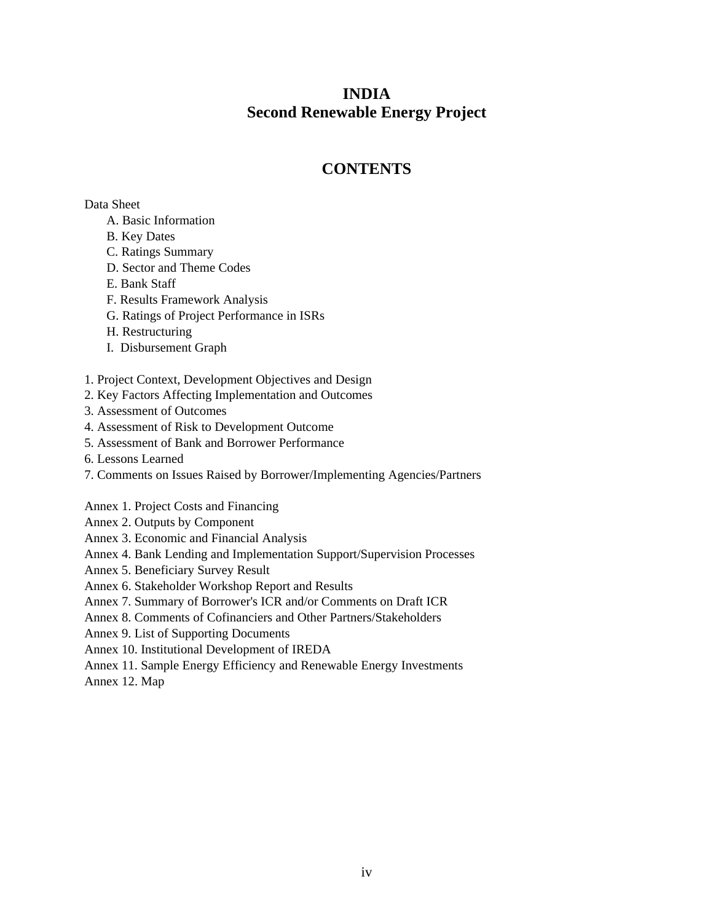# **INDIA Second Renewable Energy Project**

# **CONTENTS**

Data Sheet

- A. Basic Information
- B. Key Dates
- C. Ratings Summary
- D. Sector and Theme Codes
- E. Bank Staff
- F. Results Framework Analysis
- G. Ratings of Project Performance in ISRs
- H. Restructuring
- I. Disbursement Graph
- 1. Project Context, Development Objectives and Design
- 2. Key Factors Affecting Implementation and Outcomes
- 3. Assessment of Outcomes
- 4. Assessment of Risk to Development Outcome
- 5. Assessment of Bank and Borrower Performance
- 6. Lessons Learned
- 7. Comments on Issues Raised by Borrower/Implementing Agencies/Partners
- Annex 1. Project Costs and Financing
- Annex 2. Outputs by Component
- Annex 3. Economic and Financial Analysis
- Annex 4. Bank Lending and Implementation Support/Supervision Processes
- Annex 5. Beneficiary Survey Result
- Annex 6. Stakeholder Workshop Report and Results
- Annex 7. Summary of Borrower's ICR and/or Comments on Draft ICR
- Annex 8. Comments of Cofinanciers and Other Partners/Stakeholders
- Annex 9. List of Supporting Documents
- Annex 10. Institutional Development of IREDA
- Annex 11. Sample Energy Efficiency and Renewable Energy Investments
- Annex 12. Map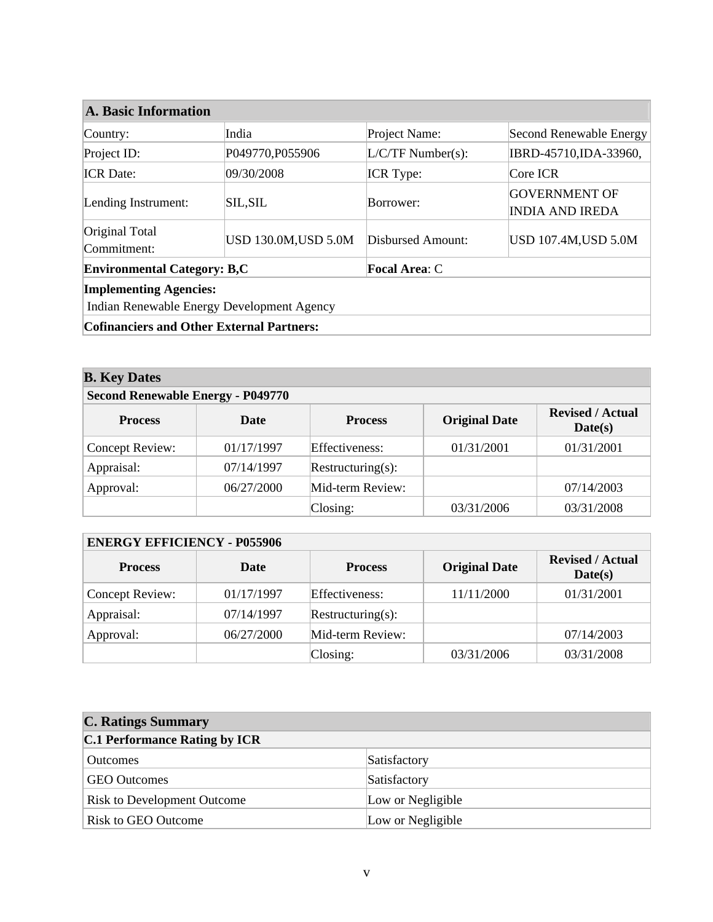| <b>A. Basic Information</b>                                |                             |                     |                                                |  |  |
|------------------------------------------------------------|-----------------------------|---------------------|------------------------------------------------|--|--|
| Country:                                                   | India                       | Project Name:       | Second Renewable Energy                        |  |  |
| Project ID:                                                | P049770, P055906            | $L/C/TF$ Number(s): | IBRD-45710, IDA-33960,                         |  |  |
| <b>ICR</b> Date:                                           | 09/30/2008                  | <b>ICR</b> Type:    | Core ICR                                       |  |  |
| Lending Instrument:                                        | <b>SIL, SIL</b>             | Borrower:           | <b>GOVERNMENT OF</b><br><b>INDIA AND IREDA</b> |  |  |
| Original Total<br>Commitment:                              | <b>USD 130.0M, USD 5.0M</b> | Disbursed Amount:   | <b>USD 107.4M, USD 5.0M</b>                    |  |  |
| <b>Environmental Category: B,C</b><br><b>Focal Area: C</b> |                             |                     |                                                |  |  |
| <b>Implementing Agencies:</b>                              |                             |                     |                                                |  |  |
| Indian Renewable Energy Development Agency                 |                             |                     |                                                |  |  |
| <b>Cofinanciers and Other External Partners:</b>           |                             |                     |                                                |  |  |

| <b>B.</b> Key Dates                      |             |                   |                      |                                    |  |
|------------------------------------------|-------------|-------------------|----------------------|------------------------------------|--|
| <b>Second Renewable Energy - P049770</b> |             |                   |                      |                                    |  |
| <b>Process</b>                           | <b>Date</b> | <b>Process</b>    | <b>Original Date</b> | <b>Revised / Actual</b><br>Date(s) |  |
| Concept Review:                          | 01/17/1997  | Effectiveness:    | 01/31/2001           | 01/31/2001                         |  |
| Appraisal:                               | 07/14/1997  | Restructuring(s): |                      |                                    |  |
| Approval:                                | 06/27/2000  | Mid-term Review:  |                      | 07/14/2003                         |  |
|                                          |             | Closing:          | 03/31/2006           | 03/31/2008                         |  |

| <b>ENERGY EFFICIENCY - P055906</b> |             |                   |                      |                                    |  |
|------------------------------------|-------------|-------------------|----------------------|------------------------------------|--|
| <b>Process</b>                     | <b>Date</b> | <b>Process</b>    | <b>Original Date</b> | <b>Revised / Actual</b><br>Date(s) |  |
| Concept Review:                    | 01/17/1997  | Effectiveness:    | 11/11/2000           | 01/31/2001                         |  |
| Appraisal:                         | 07/14/1997  | Restructuring(s): |                      |                                    |  |
| Approval:                          | 06/27/2000  | Mid-term Review:  |                      | 07/14/2003                         |  |
|                                    |             | $\text{Closing:}$ | 03/31/2006           | 03/31/2008                         |  |

| <b>C. Ratings Summary</b>            |                   |
|--------------------------------------|-------------------|
| <b>C.1 Performance Rating by ICR</b> |                   |
| <b>Outcomes</b>                      | Satisfactory      |
| <b>GEO</b> Outcomes                  | Satisfactory      |
| <b>Risk to Development Outcome</b>   | Low or Negligible |
| <b>Risk to GEO Outcome</b>           | Low or Negligible |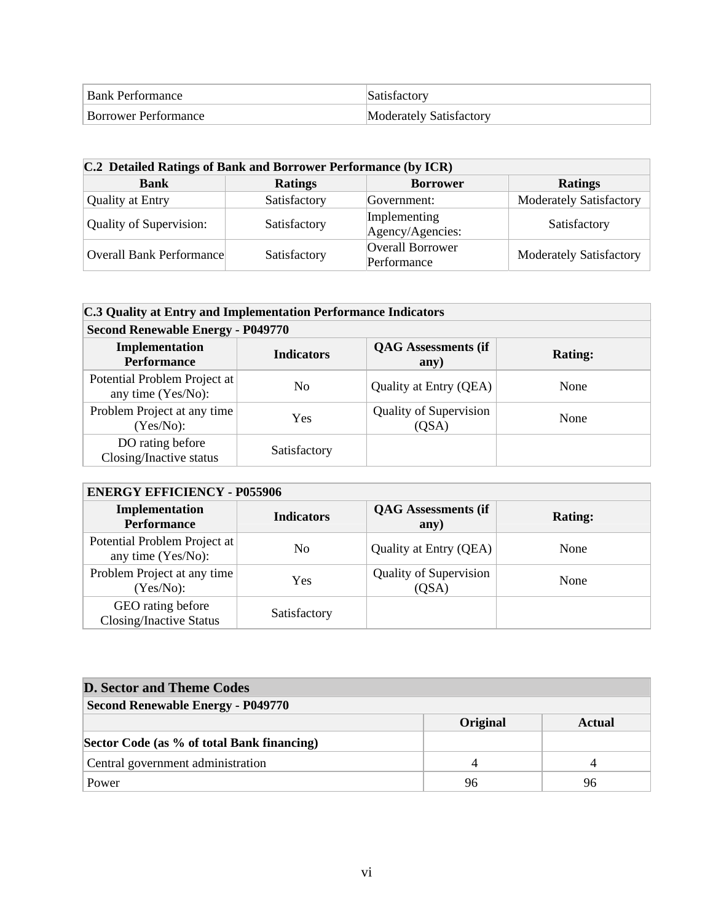| <b>Bank Performance</b>     |                         |
|-----------------------------|-------------------------|
| <b>Borrower Performance</b> | Moderately Satisfactory |

| C.2 Detailed Ratings of Bank and Borrower Performance (by ICR) |                |                                  |                                |  |
|----------------------------------------------------------------|----------------|----------------------------------|--------------------------------|--|
| <b>Bank</b>                                                    | <b>Ratings</b> | <b>Borrower</b>                  | <b>Ratings</b>                 |  |
| <b>Quality at Entry</b>                                        | Satisfactory   | Government:                      | <b>Moderately Satisfactory</b> |  |
| <b>Quality of Supervision:</b>                                 | Satisfactory   | Implementing<br>Agency/Agencies: | Satisfactory                   |  |
| <b>Overall Bank Performance</b>                                | Satisfactory   | Overall Borrower<br>Performance  | <b>Moderately Satisfactory</b> |  |

| C.3 Quality at Entry and Implementation Performance Indicators |                   |                                        |                |  |
|----------------------------------------------------------------|-------------------|----------------------------------------|----------------|--|
| <b>Second Renewable Energy - P049770</b>                       |                   |                                        |                |  |
| Implementation<br><b>Performance</b>                           | <b>Indicators</b> | <b>QAG</b> Assessments (if<br>any)     | <b>Rating:</b> |  |
| Potential Problem Project at<br>any time (Yes/No):             | N <sub>0</sub>    | Quality at Entry (QEA)                 | None           |  |
| Problem Project at any time<br>$(Yes/No)$ :                    | Yes               | <b>Quality of Supervision</b><br>(QSA) | None           |  |
| DO rating before<br>Closing/Inactive status                    | Satisfactory      |                                        |                |  |

# **ENERGY EFFICIENCY - P055906**

| Implementation<br><b>Performance</b>                | <b>Indicators</b> | <b>QAG</b> Assessments (if<br>any)     | <b>Rating:</b> |
|-----------------------------------------------------|-------------------|----------------------------------------|----------------|
| Potential Problem Project at<br>any time (Yes/No):  | No                | Quality at Entry (QEA)                 | None           |
| Problem Project at any time<br>$(Yes/No)$ :         | Yes               | <b>Quality of Supervision</b><br>(QSA) | None           |
| GEO rating before<br><b>Closing/Inactive Status</b> | Satisfactory      |                                        |                |

| <b>D. Sector and Theme Codes</b>           |          |        |  |  |
|--------------------------------------------|----------|--------|--|--|
| <b>Second Renewable Energy - P049770</b>   |          |        |  |  |
|                                            | Original | Actual |  |  |
| Sector Code (as % of total Bank financing) |          |        |  |  |
| Central government administration          |          |        |  |  |
| Power                                      | 96       | 96     |  |  |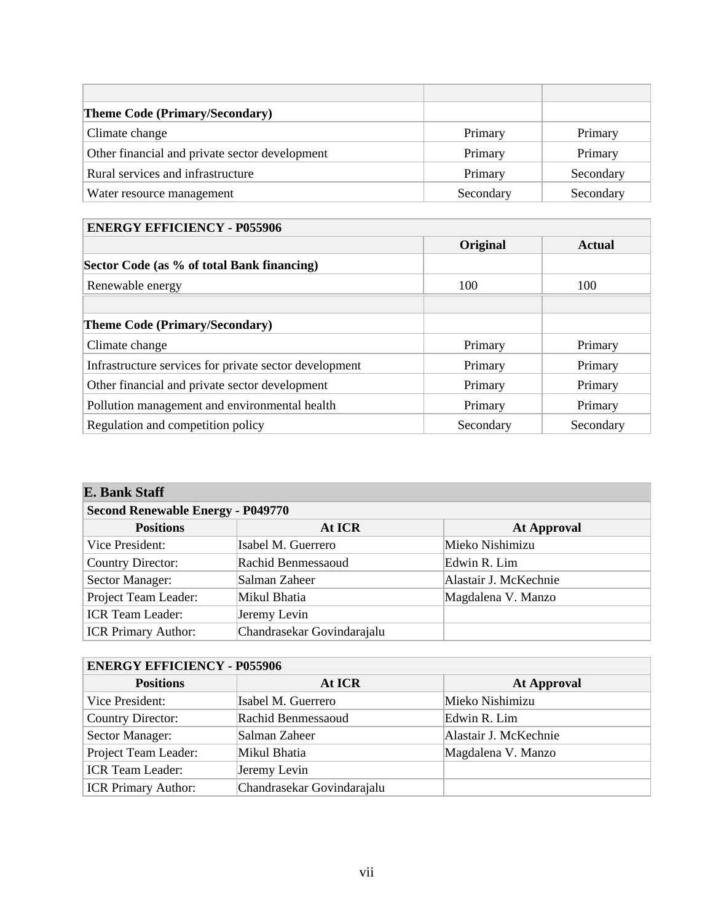| <b>Theme Code (Primary/Secondary)</b>          |           |           |
|------------------------------------------------|-----------|-----------|
| Climate change                                 | Primary   | Primary   |
| Other financial and private sector development | Primary   | Primary   |
| Rural services and infrastructure              | Primary   | Secondary |
| Water resource management                      | Secondary | Secondary |

# **ENERGY EFFICIENCY - P055906**

|                                                        | Original  | <b>Actual</b> |
|--------------------------------------------------------|-----------|---------------|
| Sector Code (as % of total Bank financing)             |           |               |
| Renewable energy                                       | 100       | 100           |
|                                                        |           |               |
| <b>Theme Code (Primary/Secondary)</b>                  |           |               |
| Climate change                                         | Primary   | Primary       |
| Infrastructure services for private sector development | Primary   | Primary       |
| Other financial and private sector development         | Primary   | Primary       |
| Pollution management and environmental health          | Primary   | Primary       |
| Regulation and competition policy                      | Secondary | Secondary     |

# **E. Bank Staff**

| <b>Second Renewable Energy - P049770</b> |                            |                       |  |  |
|------------------------------------------|----------------------------|-----------------------|--|--|
| <b>Positions</b>                         | At ICR                     | <b>At Approval</b>    |  |  |
| Vice President:                          | Isabel M. Guerrero         | Mieko Nishimizu       |  |  |
| <b>Country Director:</b>                 | Rachid Benmessaoud         | Edwin R. Lim          |  |  |
| Sector Manager:                          | Salman Zaheer              | Alastair J. McKechnie |  |  |
| Project Team Leader:                     | Mikul Bhatia               | Magdalena V. Manzo    |  |  |
| <b>ICR Team Leader:</b>                  | Jeremy Levin               |                       |  |  |
| <b>ICR Primary Author:</b>               | Chandrasekar Govindarajalu |                       |  |  |

| <b>ENERGY EFFICIENCY - P055906</b> |                            |                       |  |  |
|------------------------------------|----------------------------|-----------------------|--|--|
| <b>Positions</b>                   | At ICR                     | <b>At Approval</b>    |  |  |
| Vice President:                    | Isabel M. Guerrero         | Mieko Nishimizu       |  |  |
| <b>Country Director:</b>           | Rachid Benmessaoud         | Edwin R. Lim          |  |  |
| Sector Manager:                    | Salman Zaheer              | Alastair J. McKechnie |  |  |
| Project Team Leader:               | Mikul Bhatia               | Magdalena V. Manzo    |  |  |
| <b>ICR Team Leader:</b>            | Jeremy Levin               |                       |  |  |
| <b>ICR Primary Author:</b>         | Chandrasekar Govindarajalu |                       |  |  |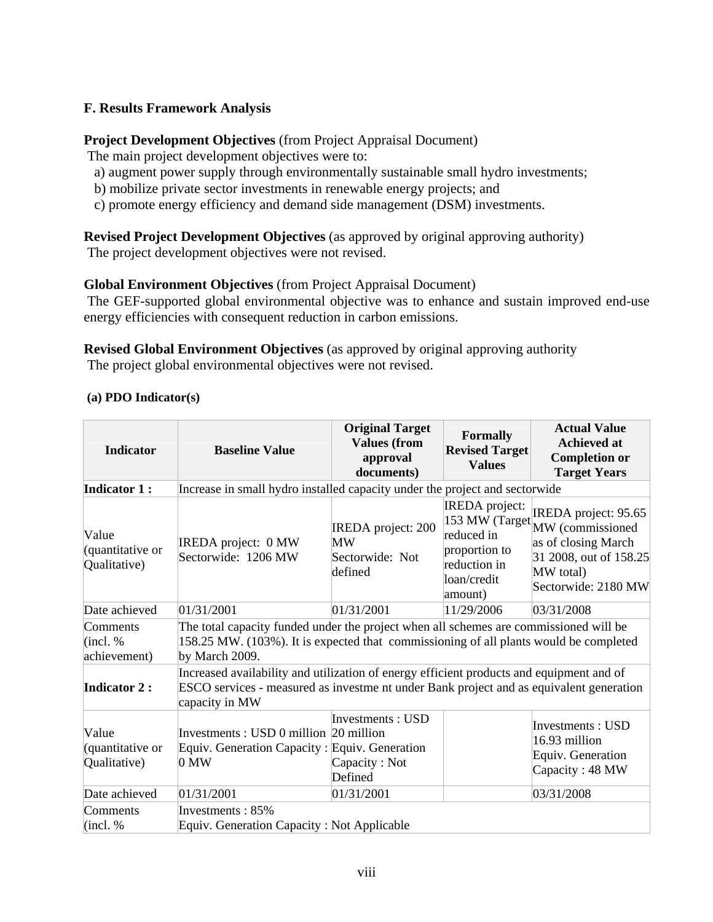# **F. Results Framework Analysis**

# **Project Development Objectives** (from Project Appraisal Document)

The main project development objectives were to:

- a) augment power supply through environmentally sustainable small hydro investments;
- b) mobilize private sector investments in renewable energy projects; and
- c) promote energy efficiency and demand side management (DSM) investments.

# **Revised Project Development Objectives** (as approved by original approving authority)

The project development objectives were not revised.

# **Global Environment Objectives** (from Project Appraisal Document)

 The GEF-supported global environmental objective was to enhance and sustain improved end-use energy efficiencies with consequent reduction in carbon emissions.

**Revised Global Environment Objectives** (as approved by original approving authority The project global environmental objectives were not revised.

| <b>Indicator</b>                          | <b>Baseline Value</b>                                                                                                                                                                                         | <b>Original Target</b><br><b>Values</b> (from<br>approval<br>documents)                        | Formally<br><b>Revised Target</b><br><b>Values</b> | <b>Actual Value</b><br><b>Achieved at</b><br><b>Completion or</b><br><b>Target Years</b> |                                                                                                                                              |  |
|-------------------------------------------|---------------------------------------------------------------------------------------------------------------------------------------------------------------------------------------------------------------|------------------------------------------------------------------------------------------------|----------------------------------------------------|------------------------------------------------------------------------------------------|----------------------------------------------------------------------------------------------------------------------------------------------|--|
| <b>Indicator 1:</b>                       | Increase in small hydro installed capacity under the project and sectorwide                                                                                                                                   |                                                                                                |                                                    |                                                                                          |                                                                                                                                              |  |
| Value<br>(quantitative or<br>Qualitative) | <b>IREDA</b> project:<br><b>IREDA</b> project: 200<br>reduced in<br>IREDA project: 0 MW<br>MW<br>proportion to<br>Sectorwide: 1206 MW<br>Sectorwide: Not<br>reduction in<br>defined<br>loan/credit<br>amount) |                                                                                                |                                                    |                                                                                          | IREDA project: 95.65<br>153 MW (Target MW (commissioned<br>as of closing March<br>31 2008, out of 158.25<br>MW total)<br>Sectorwide: 2180 MW |  |
| Date achieved                             | 01/31/2001                                                                                                                                                                                                    | 01/31/2001                                                                                     | 11/29/2006                                         | 03/31/2008                                                                               |                                                                                                                                              |  |
| Comments<br>(incl. %<br>achievement)      | The total capacity funded under the project when all schemes are commissioned will be<br>158.25 MW. (103%). It is expected that commissioning of all plants would be completed<br>by March 2009.              |                                                                                                |                                                    |                                                                                          |                                                                                                                                              |  |
| <b>Indicator 2:</b>                       | Increased availability and utilization of energy efficient products and equipment and of<br>ESCO services - measured as investme nt under Bank project and as equivalent generation<br>capacity in MW         |                                                                                                |                                                    |                                                                                          |                                                                                                                                              |  |
| Value<br>(quantitative or<br>Qualitative) | Investments : USD 0 million 20 million<br>$0 \text{ MW}$                                                                                                                                                      | Investments : USD<br>Equiv. Generation Capacity: Equiv. Generation<br>Capacity: Not<br>Defined |                                                    | <b>Investments: USD</b><br>16.93 million<br>Equiv. Generation<br>Capacity: 48 MW         |                                                                                                                                              |  |
| Date achieved                             | 01/31/2001                                                                                                                                                                                                    | 01/31/2001                                                                                     |                                                    | 03/31/2008                                                                               |                                                                                                                                              |  |
| Comments<br>(incl. %                      | Investments: 85%<br>Equiv. Generation Capacity: Not Applicable                                                                                                                                                |                                                                                                |                                                    |                                                                                          |                                                                                                                                              |  |

## **(a) PDO Indicator(s)**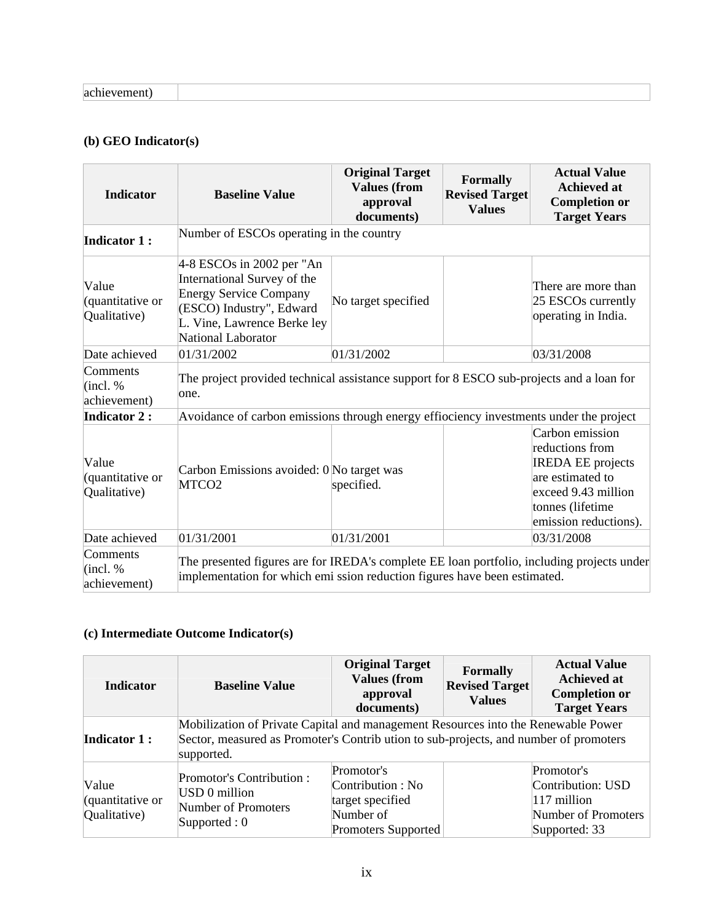# **(b) GEO Indicator(s)**

| <b>Indicator</b>                          | <b>Baseline Value</b>                                                                                                                                                        | <b>Original Target</b><br><b>Values</b> (from<br>approval<br>documents) | <b>Formally</b><br><b>Revised Target</b><br><b>Values</b> | <b>Actual Value</b><br><b>Achieved at</b><br><b>Completion or</b><br><b>Target Years</b>                                                               |
|-------------------------------------------|------------------------------------------------------------------------------------------------------------------------------------------------------------------------------|-------------------------------------------------------------------------|-----------------------------------------------------------|--------------------------------------------------------------------------------------------------------------------------------------------------------|
| <b>Indicator 1:</b>                       | Number of ESCOs operating in the country                                                                                                                                     |                                                                         |                                                           |                                                                                                                                                        |
| Value<br>(quantitative or<br>Qualitative) | $4-8$ ESCOs in 2002 per "An<br>International Survey of the<br><b>Energy Service Company</b><br>(ESCO) Industry", Edward<br>L. Vine, Lawrence Berke ley<br>National Laborator | No target specified                                                     |                                                           | There are more than<br>25 ESCOs currently<br>operating in India.                                                                                       |
| Date achieved                             | 01/31/2002                                                                                                                                                                   | 01/31/2002                                                              |                                                           | 03/31/2008                                                                                                                                             |
| Comments<br>(incl. %<br>achievement)      | The project provided technical assistance support for 8 ESCO sub-projects and a loan for<br>one.                                                                             |                                                                         |                                                           |                                                                                                                                                        |
| <b>Indicator 2:</b>                       | Avoidance of carbon emissions through energy effiociency investments under the project                                                                                       |                                                                         |                                                           |                                                                                                                                                        |
| Value<br>(quantitative or<br>Qualitative) | Carbon Emissions avoided: 0 No target was<br>MTCO <sub>2</sub>                                                                                                               | specified.                                                              |                                                           | Carbon emission<br>reductions from<br><b>IREDA EE</b> projects<br>are estimated to<br>exceed 9.43 million<br>tonnes (lifetime<br>emission reductions). |
| Date achieved                             | 01/31/2001                                                                                                                                                                   | 01/31/2001                                                              |                                                           | 03/31/2008                                                                                                                                             |
| Comments<br>(incl. %<br>achievement)      | The presented figures are for IREDA's complete EE loan portfolio, including projects under<br>implementation for which emi ssion reduction figures have been estimated.      |                                                                         |                                                           |                                                                                                                                                        |

# **(c) Intermediate Outcome Indicator(s)**

| <b>Indicator</b>                          | <b>Baseline Value</b>                                                                                                                                                                   | <b>Original Target</b><br><b>Values (from</b><br>approval<br>documents)                 | <b>Formally</b><br><b>Revised Target</b><br><b>Values</b> | <b>Actual Value</b><br><b>Achieved at</b><br><b>Completion or</b><br><b>Target Years</b> |  |
|-------------------------------------------|-----------------------------------------------------------------------------------------------------------------------------------------------------------------------------------------|-----------------------------------------------------------------------------------------|-----------------------------------------------------------|------------------------------------------------------------------------------------------|--|
| <b>Indicator 1:</b>                       | Mobilization of Private Capital and management Resources into the Renewable Power<br>Sector, measured as Promoter's Contribution to sub-projects, and number of promoters<br>supported. |                                                                                         |                                                           |                                                                                          |  |
| Value<br>(quantitative or<br>Qualitative) | <b>Promotor's Contribution:</b><br>USD 0 million<br>Number of Promoters<br>Supported : $0$                                                                                              | Promotor's<br>Contribution : No<br>target specified<br>Number of<br>Promoters Supported |                                                           | Promotor's<br>Contribution: USD<br>$117$ million<br>Number of Promoters<br>Supported: 33 |  |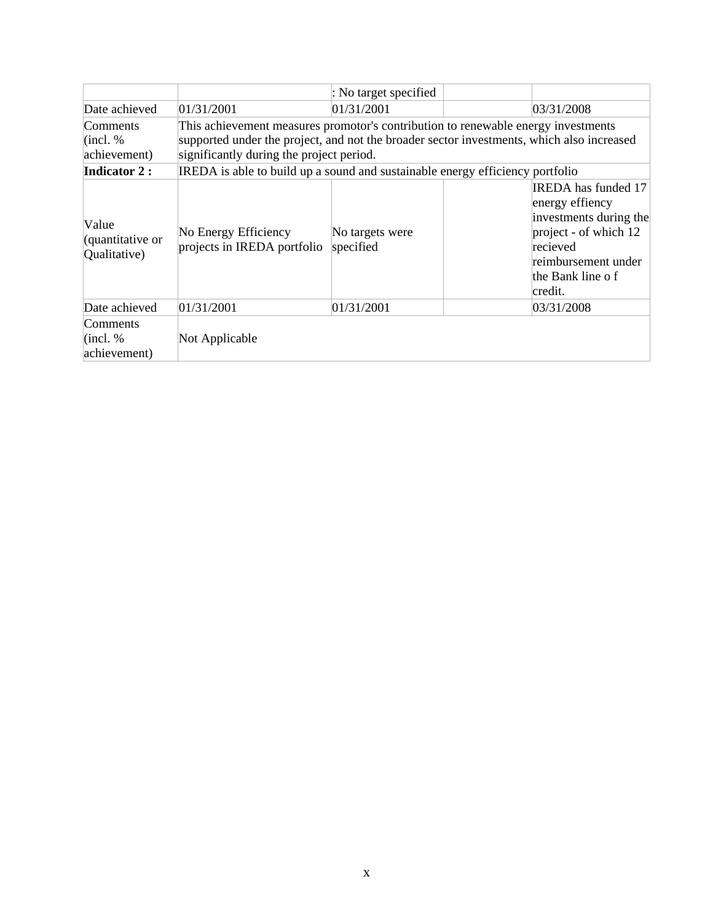|                                           |                                                                                           | : No target specified        |                                                                                                                                                                    |
|-------------------------------------------|-------------------------------------------------------------------------------------------|------------------------------|--------------------------------------------------------------------------------------------------------------------------------------------------------------------|
| Date achieved                             | 01/31/2001                                                                                | 01/31/2001                   | 03/31/2008                                                                                                                                                         |
| Comments                                  | This achievement measures promotor's contribution to renewable energy investments         |                              |                                                                                                                                                                    |
| (incl. %                                  | supported under the project, and not the broader sector investments, which also increased |                              |                                                                                                                                                                    |
| achievement)                              | significantly during the project period.                                                  |                              |                                                                                                                                                                    |
| <b>Indicator 2:</b>                       | IREDA is able to build up a sound and sustainable energy efficiency portfolio             |                              |                                                                                                                                                                    |
| Value<br>(quantitative or<br>Qualitative) | No Energy Efficiency<br>projects in IREDA portfolio                                       | No targets were<br>specified | <b>IREDA</b> has funded 17<br>energy effiency<br>investments during the<br>project - of which 12<br>recieved<br>reimbursement under<br>the Bank line of<br>credit. |
| Date achieved                             | 01/31/2001                                                                                | 01/31/2001                   | 03/31/2008                                                                                                                                                         |
| Comments<br>$ $ (incl. %)<br>achievement) | Not Applicable                                                                            |                              |                                                                                                                                                                    |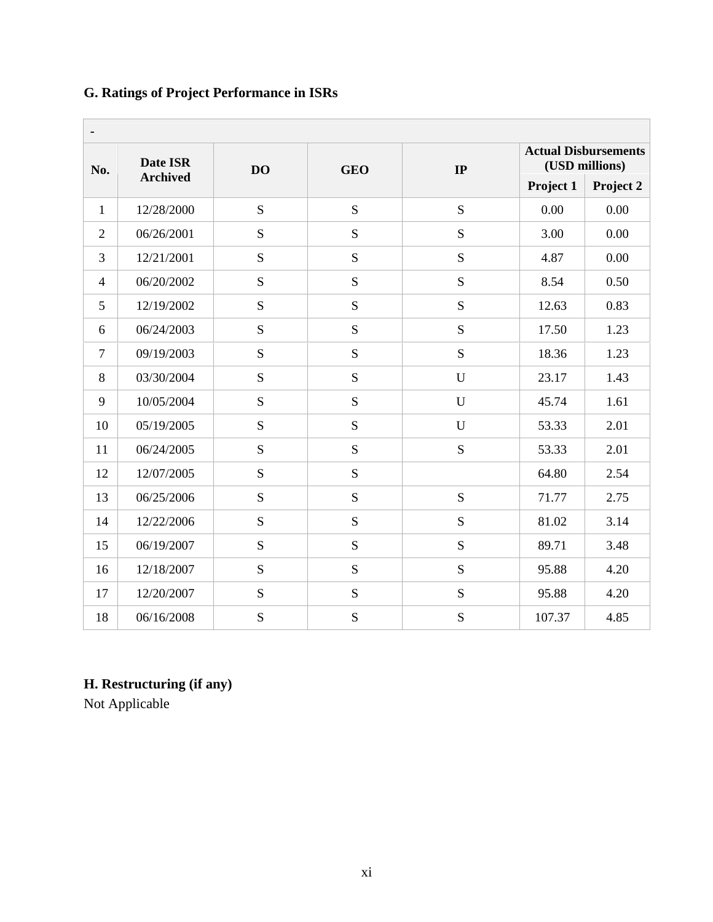# **G. Ratings of Project Performance in ISRs**

| $\blacksquare$ |                 |           |                                                                   |             |           |           |
|----------------|-----------------|-----------|-------------------------------------------------------------------|-------------|-----------|-----------|
| No.            | <b>Date ISR</b> | <b>DO</b> | <b>Actual Disbursements</b><br>(USD millions)<br>IP<br><b>GEO</b> |             |           |           |
|                | <b>Archived</b> |           |                                                                   |             | Project 1 | Project 2 |
| $\mathbf{1}$   | 12/28/2000      | S         | S                                                                 | S           | 0.00      | 0.00      |
| $\overline{2}$ | 06/26/2001      | S         | S                                                                 | S           | 3.00      | 0.00      |
| 3              | 12/21/2001      | S         | S                                                                 | S           | 4.87      | 0.00      |
| $\overline{4}$ | 06/20/2002      | S         | S                                                                 | S           | 8.54      | 0.50      |
| 5              | 12/19/2002      | S         | S                                                                 | S           | 12.63     | 0.83      |
| 6              | 06/24/2003      | S         | S                                                                 | S           | 17.50     | 1.23      |
| $\overline{7}$ | 09/19/2003      | S         | S                                                                 | S           | 18.36     | 1.23      |
| 8              | 03/30/2004      | S         | S                                                                 | $\mathbf U$ | 23.17     | 1.43      |
| 9              | 10/05/2004      | S         | S                                                                 | $\mathbf U$ | 45.74     | 1.61      |
| 10             | 05/19/2005      | S         | S                                                                 | U           | 53.33     | 2.01      |
| 11             | 06/24/2005      | S         | S                                                                 | S           | 53.33     | 2.01      |
| 12             | 12/07/2005      | S         | S                                                                 |             | 64.80     | 2.54      |
| 13             | 06/25/2006      | S         | S                                                                 | S           | 71.77     | 2.75      |
| 14             | 12/22/2006      | S         | S                                                                 | S           | 81.02     | 3.14      |
| 15             | 06/19/2007      | S         | S                                                                 | S           | 89.71     | 3.48      |
| 16             | 12/18/2007      | S         | S                                                                 | S           | 95.88     | 4.20      |
| 17             | 12/20/2007      | S         | S                                                                 | S           | 95.88     | 4.20      |
| 18             | 06/16/2008      | S         | S                                                                 | S           | 107.37    | 4.85      |

# **H. Restructuring (if any)**

Not Applicable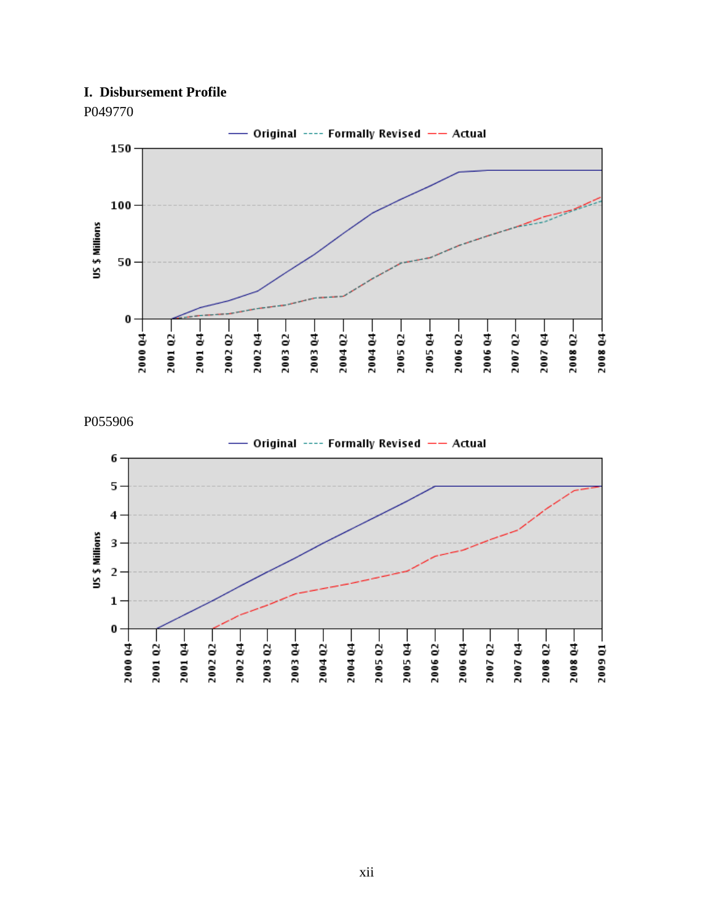# **I. Disbursement Profile**



P049770

P055906

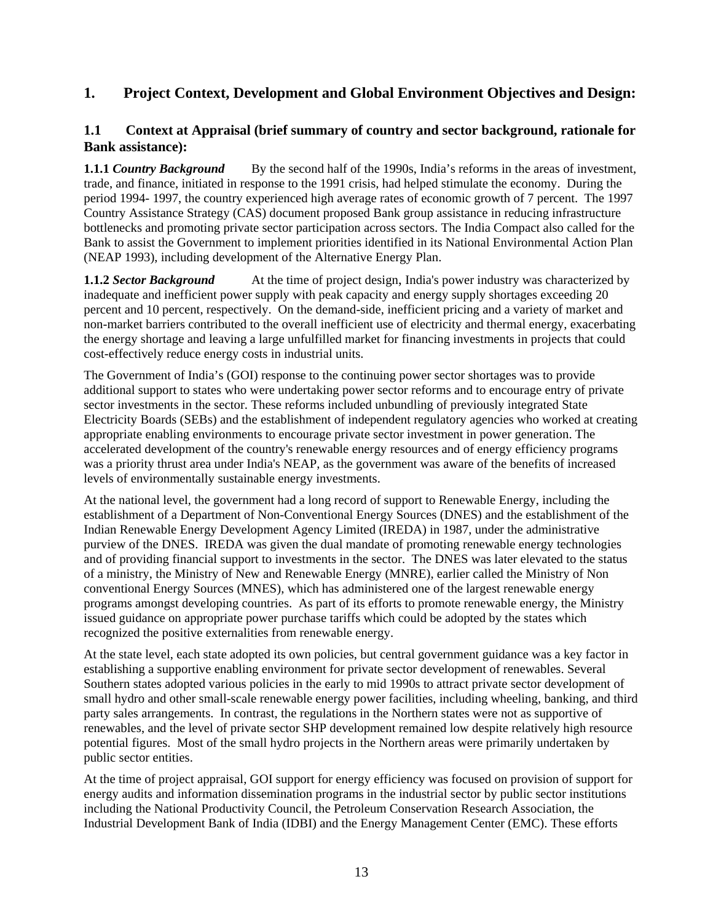# **1. Project Context, Development and Global Environment Objectives and Design:**

# **1.1 Context at Appraisal (brief summary of country and sector background, rationale for Bank assistance):**

**1.1.1** *Country Background* By the second half of the 1990s, India's reforms in the areas of investment, trade, and finance, initiated in response to the 1991 crisis, had helped stimulate the economy. During the period 1994- 1997, the country experienced high average rates of economic growth of 7 percent. The 1997 Country Assistance Strategy (CAS) document proposed Bank group assistance in reducing infrastructure bottlenecks and promoting private sector participation across sectors. The India Compact also called for the Bank to assist the Government to implement priorities identified in its National Environmental Action Plan (NEAP 1993), including development of the Alternative Energy Plan.

**1.1.2** *Sector Background* At the time of project design, India's power industry was characterized by inadequate and inefficient power supply with peak capacity and energy supply shortages exceeding 20 percent and 10 percent, respectively. On the demand-side, inefficient pricing and a variety of market and non-market barriers contributed to the overall inefficient use of electricity and thermal energy, exacerbating the energy shortage and leaving a large unfulfilled market for financing investments in projects that could cost-effectively reduce energy costs in industrial units.

The Government of India's (GOI) response to the continuing power sector shortages was to provide additional support to states who were undertaking power sector reforms and to encourage entry of private sector investments in the sector. These reforms included unbundling of previously integrated State Electricity Boards (SEBs) and the establishment of independent regulatory agencies who worked at creating appropriate enabling environments to encourage private sector investment in power generation. The accelerated development of the country's renewable energy resources and of energy efficiency programs was a priority thrust area under India's NEAP, as the government was aware of the benefits of increased levels of environmentally sustainable energy investments.

At the national level, the government had a long record of support to Renewable Energy, including the establishment of a Department of Non-Conventional Energy Sources (DNES) and the establishment of the Indian Renewable Energy Development Agency Limited (IREDA) in 1987, under the administrative purview of the DNES. IREDA was given the dual mandate of promoting renewable energy technologies and of providing financial support to investments in the sector. The DNES was later elevated to the status of a ministry, the Ministry of New and Renewable Energy (MNRE), earlier called the Ministry of Non conventional Energy Sources (MNES), which has administered one of the largest renewable energy programs amongst developing countries. As part of its efforts to promote renewable energy, the Ministry issued guidance on appropriate power purchase tariffs which could be adopted by the states which recognized the positive externalities from renewable energy.

At the state level, each state adopted its own policies, but central government guidance was a key factor in establishing a supportive enabling environment for private sector development of renewables. Several Southern states adopted various policies in the early to mid 1990s to attract private sector development of small hydro and other small-scale renewable energy power facilities, including wheeling, banking, and third party sales arrangements. In contrast, the regulations in the Northern states were not as supportive of renewables, and the level of private sector SHP development remained low despite relatively high resource potential figures. Most of the small hydro projects in the Northern areas were primarily undertaken by public sector entities.

At the time of project appraisal, GOI support for energy efficiency was focused on provision of support for energy audits and information dissemination programs in the industrial sector by public sector institutions including the National Productivity Council, the Petroleum Conservation Research Association, the Industrial Development Bank of India (IDBI) and the Energy Management Center (EMC). These efforts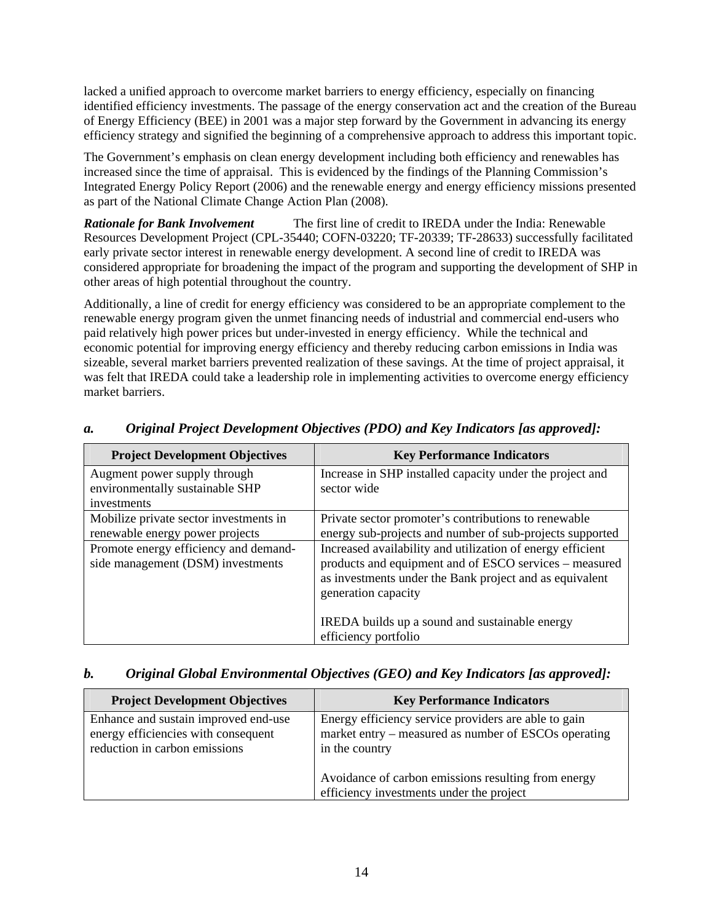lacked a unified approach to overcome market barriers to energy efficiency, especially on financing identified efficiency investments. The passage of the energy conservation act and the creation of the Bureau of Energy Efficiency (BEE) in 2001 was a major step forward by the Government in advancing its energy efficiency strategy and signified the beginning of a comprehensive approach to address this important topic.

The Government's emphasis on clean energy development including both efficiency and renewables has increased since the time of appraisal. This is evidenced by the findings of the Planning Commission's Integrated Energy Policy Report (2006) and the renewable energy and energy efficiency missions presented as part of the National Climate Change Action Plan (2008).

*Rationale for Bank Involvement* The first line of credit to IREDA under the India: Renewable Resources Development Project (CPL-35440; COFN-03220; TF-20339; TF-28633) successfully facilitated early private sector interest in renewable energy development. A second line of credit to IREDA was considered appropriate for broadening the impact of the program and supporting the development of SHP in other areas of high potential throughout the country.

Additionally, a line of credit for energy efficiency was considered to be an appropriate complement to the renewable energy program given the unmet financing needs of industrial and commercial end-users who paid relatively high power prices but under-invested in energy efficiency. While the technical and economic potential for improving energy efficiency and thereby reducing carbon emissions in India was sizeable, several market barriers prevented realization of these savings. At the time of project appraisal, it was felt that IREDA could take a leadership role in implementing activities to overcome energy efficiency market barriers.

| <b>Project Development Objectives</b>                                          | <b>Key Performance Indicators</b>                                                                                                                                                                      |
|--------------------------------------------------------------------------------|--------------------------------------------------------------------------------------------------------------------------------------------------------------------------------------------------------|
| Augment power supply through<br>environmentally sustainable SHP<br>investments | Increase in SHP installed capacity under the project and<br>sector wide                                                                                                                                |
| Mobilize private sector investments in<br>renewable energy power projects      | Private sector promoter's contributions to renewable<br>energy sub-projects and number of sub-projects supported                                                                                       |
| Promote energy efficiency and demand-<br>side management (DSM) investments     | Increased availability and utilization of energy efficient<br>products and equipment and of ESCO services – measured<br>as investments under the Bank project and as equivalent<br>generation capacity |
|                                                                                | IREDA builds up a sound and sustainable energy<br>efficiency portfolio                                                                                                                                 |

# *a. Original Project Development Objectives (PDO) and Key Indicators [as approved]:*

## *b. Original Global Environmental Objectives (GEO) and Key Indicators [as approved]:*

| <b>Project Development Objectives</b>                                                                        | <b>Key Performance Indicators</b>                                                                                              |
|--------------------------------------------------------------------------------------------------------------|--------------------------------------------------------------------------------------------------------------------------------|
| Enhance and sustain improved end-use<br>energy efficiencies with consequent<br>reduction in carbon emissions | Energy efficiency service providers are able to gain<br>market entry – measured as number of ESCOs operating<br>in the country |
|                                                                                                              | Avoidance of carbon emissions resulting from energy<br>efficiency investments under the project                                |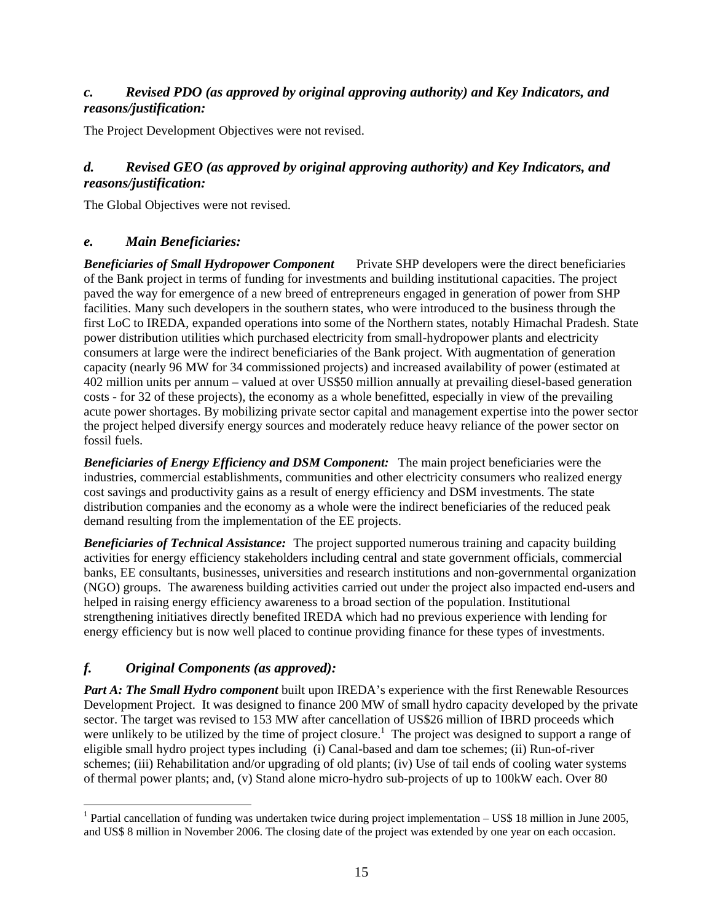# *c. Revised PDO (as approved by original approving authority) and Key Indicators, and reasons/justification:*

The Project Development Objectives were not revised.

# *d. Revised GEO (as approved by original approving authority) and Key Indicators, and reasons/justification:*

The Global Objectives were not revised.

## *e. Main Beneficiaries:*

*Beneficiaries of Small Hydropower Component* Private SHP developers were the direct beneficiaries of the Bank project in terms of funding for investments and building institutional capacities. The project paved the way for emergence of a new breed of entrepreneurs engaged in generation of power from SHP facilities. Many such developers in the southern states, who were introduced to the business through the first LoC to IREDA, expanded operations into some of the Northern states, notably Himachal Pradesh. State power distribution utilities which purchased electricity from small-hydropower plants and electricity consumers at large were the indirect beneficiaries of the Bank project. With augmentation of generation capacity (nearly 96 MW for 34 commissioned projects) and increased availability of power (estimated at 402 million units per annum – valued at over US\$50 million annually at prevailing diesel-based generation costs - for 32 of these projects), the economy as a whole benefitted, especially in view of the prevailing acute power shortages. By mobilizing private sector capital and management expertise into the power sector the project helped diversify energy sources and moderately reduce heavy reliance of the power sector on fossil fuels.

*Beneficiaries of Energy Efficiency and DSM Component:* The main project beneficiaries were the industries, commercial establishments, communities and other electricity consumers who realized energy cost savings and productivity gains as a result of energy efficiency and DSM investments. The state distribution companies and the economy as a whole were the indirect beneficiaries of the reduced peak demand resulting from the implementation of the EE projects.

*Beneficiaries of Technical Assistance:* The project supported numerous training and capacity building activities for energy efficiency stakeholders including central and state government officials, commercial banks, EE consultants, businesses, universities and research institutions and non-governmental organization (NGO) groups. The awareness building activities carried out under the project also impacted end-users and helped in raising energy efficiency awareness to a broad section of the population. Institutional strengthening initiatives directly benefited IREDA which had no previous experience with lending for energy efficiency but is now well placed to continue providing finance for these types of investments.

# *f. Original Components (as approved):*

 $\overline{a}$ 

*Part A: The Small Hydro component* built upon IREDA's experience with the first Renewable Resources Development Project. It was designed to finance 200 MW of small hydro capacity developed by the private sector. The target was revised to 153 MW after cancellation of US\$26 million of IBRD proceeds which were unlikely to be utilized by the time of project closure.<sup>1</sup> The project was designed to support a range of eligible small hydro project types including (i) Canal-based and dam toe schemes; (ii) Run-of-river schemes; (iii) Rehabilitation and/or upgrading of old plants; (iv) Use of tail ends of cooling water systems of thermal power plants; and, (v) Stand alone micro-hydro sub-projects of up to 100kW each. Over 80

<sup>&</sup>lt;sup>1</sup> Partial cancellation of funding was undertaken twice during project implementation  $-$  US\$ 18 million in June 2005, and US\$ 8 million in November 2006. The closing date of the project was extended by one year on each occasion.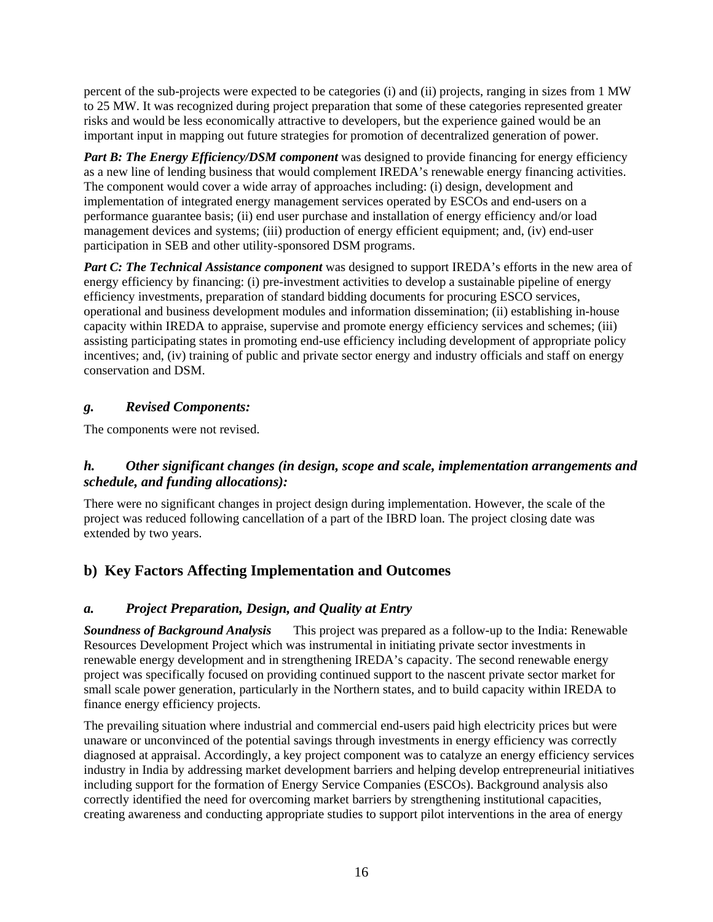percent of the sub-projects were expected to be categories (i) and (ii) projects, ranging in sizes from 1 MW to 25 MW. It was recognized during project preparation that some of these categories represented greater risks and would be less economically attractive to developers, but the experience gained would be an important input in mapping out future strategies for promotion of decentralized generation of power.

*Part B: The Energy Efficiency/DSM component* was designed to provide financing for energy efficiency as a new line of lending business that would complement IREDA's renewable energy financing activities. The component would cover a wide array of approaches including: (i) design, development and implementation of integrated energy management services operated by ESCOs and end-users on a performance guarantee basis; (ii) end user purchase and installation of energy efficiency and/or load management devices and systems; (iii) production of energy efficient equipment; and, (iv) end-user participation in SEB and other utility-sponsored DSM programs.

*Part C: The Technical Assistance component* was designed to support IREDA's efforts in the new area of energy efficiency by financing: (i) pre-investment activities to develop a sustainable pipeline of energy efficiency investments, preparation of standard bidding documents for procuring ESCO services, operational and business development modules and information dissemination; (ii) establishing in-house capacity within IREDA to appraise, supervise and promote energy efficiency services and schemes; (iii) assisting participating states in promoting end-use efficiency including development of appropriate policy incentives; and, (iv) training of public and private sector energy and industry officials and staff on energy conservation and DSM.

# *g. Revised Components:*

The components were not revised.

# *h. Other significant changes (in design, scope and scale, implementation arrangements and schedule, and funding allocations):*

There were no significant changes in project design during implementation. However, the scale of the project was reduced following cancellation of a part of the IBRD loan. The project closing date was extended by two years.

# **b) Key Factors Affecting Implementation and Outcomes**

# *a. Project Preparation, Design, and Quality at Entry*

*Soundness of Background Analysis* This project was prepared as a follow-up to the India: Renewable Resources Development Project which was instrumental in initiating private sector investments in renewable energy development and in strengthening IREDA's capacity. The second renewable energy project was specifically focused on providing continued support to the nascent private sector market for small scale power generation, particularly in the Northern states, and to build capacity within IREDA to finance energy efficiency projects.

The prevailing situation where industrial and commercial end-users paid high electricity prices but were unaware or unconvinced of the potential savings through investments in energy efficiency was correctly diagnosed at appraisal. Accordingly, a key project component was to catalyze an energy efficiency services industry in India by addressing market development barriers and helping develop entrepreneurial initiatives including support for the formation of Energy Service Companies (ESCOs). Background analysis also correctly identified the need for overcoming market barriers by strengthening institutional capacities, creating awareness and conducting appropriate studies to support pilot interventions in the area of energy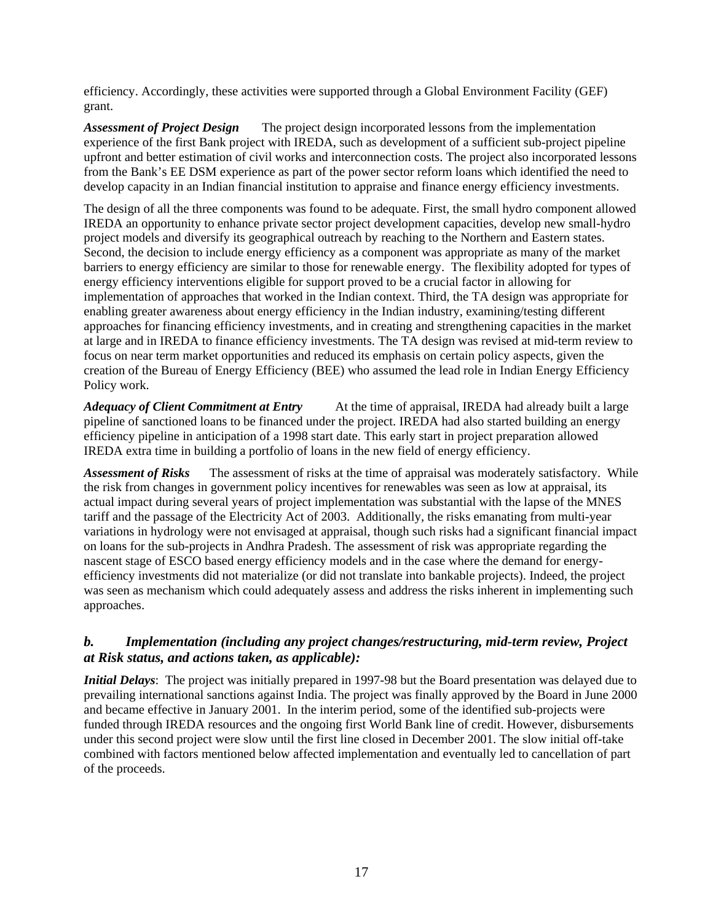efficiency. Accordingly, these activities were supported through a Global Environment Facility (GEF) grant.

*Assessment of Project Design* The project design incorporated lessons from the implementation experience of the first Bank project with IREDA, such as development of a sufficient sub-project pipeline upfront and better estimation of civil works and interconnection costs. The project also incorporated lessons from the Bank's EE DSM experience as part of the power sector reform loans which identified the need to develop capacity in an Indian financial institution to appraise and finance energy efficiency investments.

The design of all the three components was found to be adequate. First, the small hydro component allowed IREDA an opportunity to enhance private sector project development capacities, develop new small-hydro project models and diversify its geographical outreach by reaching to the Northern and Eastern states. Second, the decision to include energy efficiency as a component was appropriate as many of the market barriers to energy efficiency are similar to those for renewable energy. The flexibility adopted for types of energy efficiency interventions eligible for support proved to be a crucial factor in allowing for implementation of approaches that worked in the Indian context. Third, the TA design was appropriate for enabling greater awareness about energy efficiency in the Indian industry, examining/testing different approaches for financing efficiency investments, and in creating and strengthening capacities in the market at large and in IREDA to finance efficiency investments. The TA design was revised at mid-term review to focus on near term market opportunities and reduced its emphasis on certain policy aspects, given the creation of the Bureau of Energy Efficiency (BEE) who assumed the lead role in Indian Energy Efficiency Policy work.

*Adequacy of Client Commitment at Entry* At the time of appraisal, IREDA had already built a large pipeline of sanctioned loans to be financed under the project. IREDA had also started building an energy efficiency pipeline in anticipation of a 1998 start date. This early start in project preparation allowed IREDA extra time in building a portfolio of loans in the new field of energy efficiency.

*Assessment of Risks* The assessment of risks at the time of appraisal was moderately satisfactory. While the risk from changes in government policy incentives for renewables was seen as low at appraisal, its actual impact during several years of project implementation was substantial with the lapse of the MNES tariff and the passage of the Electricity Act of 2003. Additionally, the risks emanating from multi-year variations in hydrology were not envisaged at appraisal, though such risks had a significant financial impact on loans for the sub-projects in Andhra Pradesh. The assessment of risk was appropriate regarding the nascent stage of ESCO based energy efficiency models and in the case where the demand for energyefficiency investments did not materialize (or did not translate into bankable projects). Indeed, the project was seen as mechanism which could adequately assess and address the risks inherent in implementing such approaches.

# *b. Implementation (including any project changes/restructuring, mid-term review, Project at Risk status, and actions taken, as applicable):*

*Initial Delays*: The project was initially prepared in 1997-98 but the Board presentation was delayed due to prevailing international sanctions against India. The project was finally approved by the Board in June 2000 and became effective in January 2001. In the interim period, some of the identified sub-projects were funded through IREDA resources and the ongoing first World Bank line of credit. However, disbursements under this second project were slow until the first line closed in December 2001. The slow initial off-take combined with factors mentioned below affected implementation and eventually led to cancellation of part of the proceeds.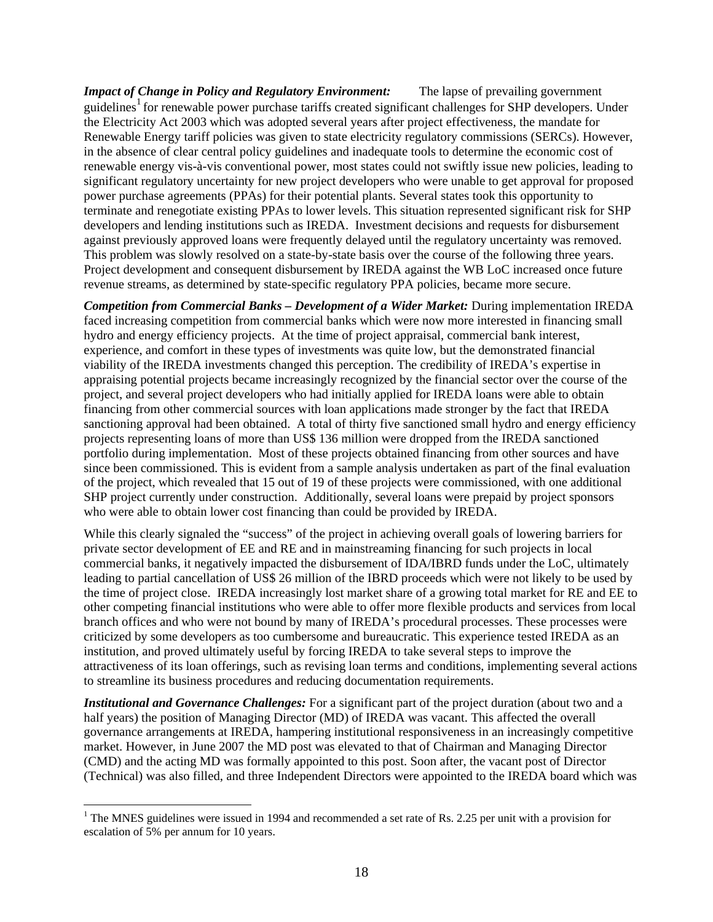*Impact of Change in Policy and Regulatory Environment:* The lapse of prevailing government guidelines<sup>1</sup> for renewable power purchase tariffs created significant challenges for SHP developers. Under the Electricity Act 2003 which was adopted several years after project effectiveness, the mandate for Renewable Energy tariff policies was given to state electricity regulatory commissions (SERCs). However, in the absence of clear central policy guidelines and inadequate tools to determine the economic cost of renewable energy vis-à-vis conventional power, most states could not swiftly issue new policies, leading to significant regulatory uncertainty for new project developers who were unable to get approval for proposed power purchase agreements (PPAs) for their potential plants. Several states took this opportunity to terminate and renegotiate existing PPAs to lower levels. This situation represented significant risk for SHP developers and lending institutions such as IREDA. Investment decisions and requests for disbursement against previously approved loans were frequently delayed until the regulatory uncertainty was removed. This problem was slowly resolved on a state-by-state basis over the course of the following three years. Project development and consequent disbursement by IREDA against the WB LoC increased once future revenue streams, as determined by state-specific regulatory PPA policies, became more secure.

*Competition from Commercial Banks – Development of a Wider Market:* During implementation IREDA faced increasing competition from commercial banks which were now more interested in financing small hydro and energy efficiency projects. At the time of project appraisal, commercial bank interest, experience, and comfort in these types of investments was quite low, but the demonstrated financial viability of the IREDA investments changed this perception. The credibility of IREDA's expertise in appraising potential projects became increasingly recognized by the financial sector over the course of the project, and several project developers who had initially applied for IREDA loans were able to obtain financing from other commercial sources with loan applications made stronger by the fact that IREDA sanctioning approval had been obtained. A total of thirty five sanctioned small hydro and energy efficiency projects representing loans of more than US\$ 136 million were dropped from the IREDA sanctioned portfolio during implementation. Most of these projects obtained financing from other sources and have since been commissioned. This is evident from a sample analysis undertaken as part of the final evaluation of the project, which revealed that 15 out of 19 of these projects were commissioned, with one additional SHP project currently under construction. Additionally, several loans were prepaid by project sponsors who were able to obtain lower cost financing than could be provided by IREDA.

While this clearly signaled the "success" of the project in achieving overall goals of lowering barriers for private sector development of EE and RE and in mainstreaming financing for such projects in local commercial banks, it negatively impacted the disbursement of IDA/IBRD funds under the LoC, ultimately leading to partial cancellation of US\$ 26 million of the IBRD proceeds which were not likely to be used by the time of project close. IREDA increasingly lost market share of a growing total market for RE and EE to other competing financial institutions who were able to offer more flexible products and services from local branch offices and who were not bound by many of IREDA's procedural processes. These processes were criticized by some developers as too cumbersome and bureaucratic. This experience tested IREDA as an institution, and proved ultimately useful by forcing IREDA to take several steps to improve the attractiveness of its loan offerings, such as revising loan terms and conditions, implementing several actions to streamline its business procedures and reducing documentation requirements.

*Institutional and Governance Challenges:* For a significant part of the project duration (about two and a half years) the position of Managing Director (MD) of IREDA was vacant. This affected the overall governance arrangements at IREDA, hampering institutional responsiveness in an increasingly competitive market. However, in June 2007 the MD post was elevated to that of Chairman and Managing Director (CMD) and the acting MD was formally appointed to this post. Soon after, the vacant post of Director (Technical) was also filled, and three Independent Directors were appointed to the IREDA board which was

 $\overline{a}$ 

<sup>&</sup>lt;sup>1</sup> The MNES guidelines were issued in 1994 and recommended a set rate of Rs. 2.25 per unit with a provision for escalation of 5% per annum for 10 years.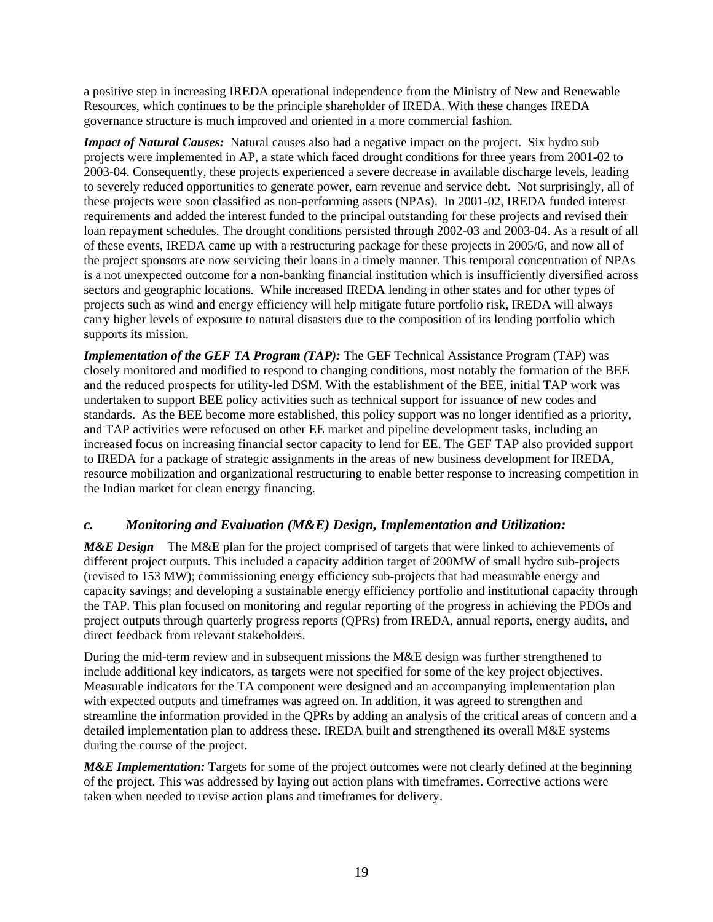a positive step in increasing IREDA operational independence from the Ministry of New and Renewable Resources, which continues to be the principle shareholder of IREDA. With these changes IREDA governance structure is much improved and oriented in a more commercial fashion.

*Impact of Natural Causes:* Natural causes also had a negative impact on the project. Six hydro sub projects were implemented in AP, a state which faced drought conditions for three years from 2001-02 to 2003-04. Consequently, these projects experienced a severe decrease in available discharge levels, leading to severely reduced opportunities to generate power, earn revenue and service debt. Not surprisingly, all of these projects were soon classified as non-performing assets (NPAs). In 2001-02, IREDA funded interest requirements and added the interest funded to the principal outstanding for these projects and revised their loan repayment schedules. The drought conditions persisted through 2002-03 and 2003-04. As a result of all of these events, IREDA came up with a restructuring package for these projects in 2005/6, and now all of the project sponsors are now servicing their loans in a timely manner. This temporal concentration of NPAs is a not unexpected outcome for a non-banking financial institution which is insufficiently diversified across sectors and geographic locations. While increased IREDA lending in other states and for other types of projects such as wind and energy efficiency will help mitigate future portfolio risk, IREDA will always carry higher levels of exposure to natural disasters due to the composition of its lending portfolio which supports its mission.

*Implementation of the GEF TA Program (TAP):* The GEF Technical Assistance Program (TAP) was closely monitored and modified to respond to changing conditions, most notably the formation of the BEE and the reduced prospects for utility-led DSM. With the establishment of the BEE, initial TAP work was undertaken to support BEE policy activities such as technical support for issuance of new codes and standards. As the BEE become more established, this policy support was no longer identified as a priority, and TAP activities were refocused on other EE market and pipeline development tasks, including an increased focus on increasing financial sector capacity to lend for EE. The GEF TAP also provided support to IREDA for a package of strategic assignments in the areas of new business development for IREDA, resource mobilization and organizational restructuring to enable better response to increasing competition in the Indian market for clean energy financing.

# *c. Monitoring and Evaluation (M&E) Design, Implementation and Utilization:*

*M&E Design* The M&E plan for the project comprised of targets that were linked to achievements of different project outputs. This included a capacity addition target of 200MW of small hydro sub-projects (revised to 153 MW); commissioning energy efficiency sub-projects that had measurable energy and capacity savings; and developing a sustainable energy efficiency portfolio and institutional capacity through the TAP. This plan focused on monitoring and regular reporting of the progress in achieving the PDOs and project outputs through quarterly progress reports (QPRs) from IREDA, annual reports, energy audits, and direct feedback from relevant stakeholders.

During the mid-term review and in subsequent missions the M&E design was further strengthened to include additional key indicators, as targets were not specified for some of the key project objectives. Measurable indicators for the TA component were designed and an accompanying implementation plan with expected outputs and timeframes was agreed on. In addition, it was agreed to strengthen and streamline the information provided in the QPRs by adding an analysis of the critical areas of concern and a detailed implementation plan to address these. IREDA built and strengthened its overall M&E systems during the course of the project.

*M&E Implementation:* Targets for some of the project outcomes were not clearly defined at the beginning of the project. This was addressed by laying out action plans with timeframes. Corrective actions were taken when needed to revise action plans and timeframes for delivery.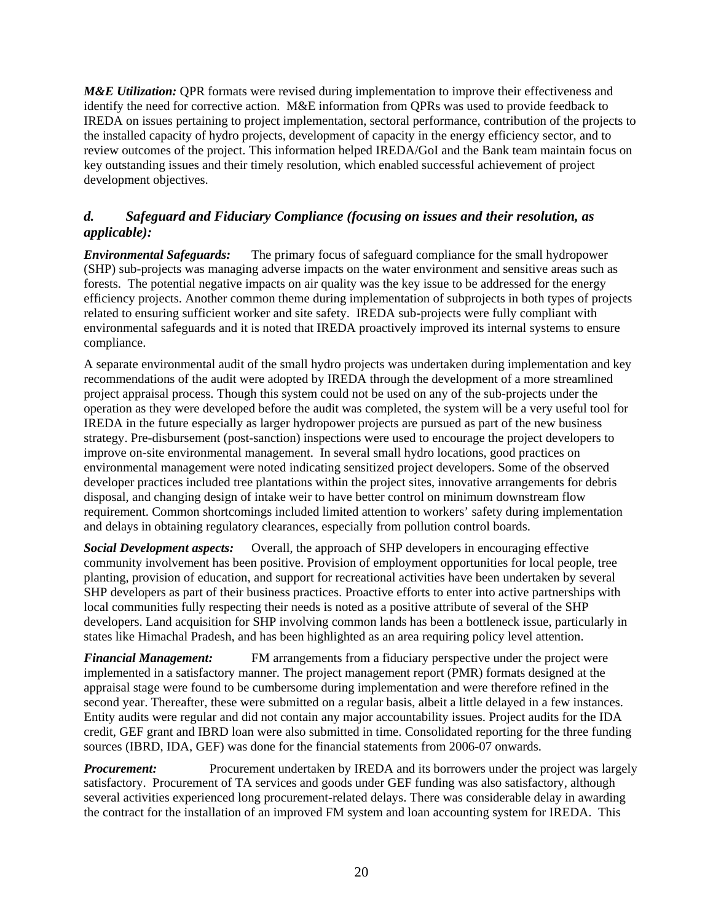*M&E Utilization:* OPR formats were revised during implementation to improve their effectiveness and identify the need for corrective action. M&E information from QPRs was used to provide feedback to IREDA on issues pertaining to project implementation, sectoral performance, contribution of the projects to the installed capacity of hydro projects, development of capacity in the energy efficiency sector, and to review outcomes of the project. This information helped IREDA/GoI and the Bank team maintain focus on key outstanding issues and their timely resolution, which enabled successful achievement of project development objectives.

# *d. Safeguard and Fiduciary Compliance (focusing on issues and their resolution, as applicable):*

*Environmental Safeguards:* The primary focus of safeguard compliance for the small hydropower (SHP) sub-projects was managing adverse impacts on the water environment and sensitive areas such as forests. The potential negative impacts on air quality was the key issue to be addressed for the energy efficiency projects. Another common theme during implementation of subprojects in both types of projects related to ensuring sufficient worker and site safety. IREDA sub-projects were fully compliant with environmental safeguards and it is noted that IREDA proactively improved its internal systems to ensure compliance.

A separate environmental audit of the small hydro projects was undertaken during implementation and key recommendations of the audit were adopted by IREDA through the development of a more streamlined project appraisal process. Though this system could not be used on any of the sub-projects under the operation as they were developed before the audit was completed, the system will be a very useful tool for IREDA in the future especially as larger hydropower projects are pursued as part of the new business strategy. Pre-disbursement (post-sanction) inspections were used to encourage the project developers to improve on-site environmental management. In several small hydro locations, good practices on environmental management were noted indicating sensitized project developers. Some of the observed developer practices included tree plantations within the project sites, innovative arrangements for debris disposal, and changing design of intake weir to have better control on minimum downstream flow requirement. Common shortcomings included limited attention to workers' safety during implementation and delays in obtaining regulatory clearances, especially from pollution control boards.

*Social Development aspects:* Overall, the approach of SHP developers in encouraging effective community involvement has been positive. Provision of employment opportunities for local people, tree planting, provision of education, and support for recreational activities have been undertaken by several SHP developers as part of their business practices. Proactive efforts to enter into active partnerships with local communities fully respecting their needs is noted as a positive attribute of several of the SHP developers. Land acquisition for SHP involving common lands has been a bottleneck issue, particularly in states like Himachal Pradesh, and has been highlighted as an area requiring policy level attention.

*Financial Management:* FM arrangements from a fiduciary perspective under the project were implemented in a satisfactory manner. The project management report (PMR) formats designed at the appraisal stage were found to be cumbersome during implementation and were therefore refined in the second year. Thereafter, these were submitted on a regular basis, albeit a little delayed in a few instances. Entity audits were regular and did not contain any major accountability issues. Project audits for the IDA credit, GEF grant and IBRD loan were also submitted in time. Consolidated reporting for the three funding sources (IBRD, IDA, GEF) was done for the financial statements from 2006-07 onwards.

*Procurement:* Procurement undertaken by IREDA and its borrowers under the project was largely satisfactory. Procurement of TA services and goods under GEF funding was also satisfactory, although several activities experienced long procurement-related delays. There was considerable delay in awarding the contract for the installation of an improved FM system and loan accounting system for IREDA. This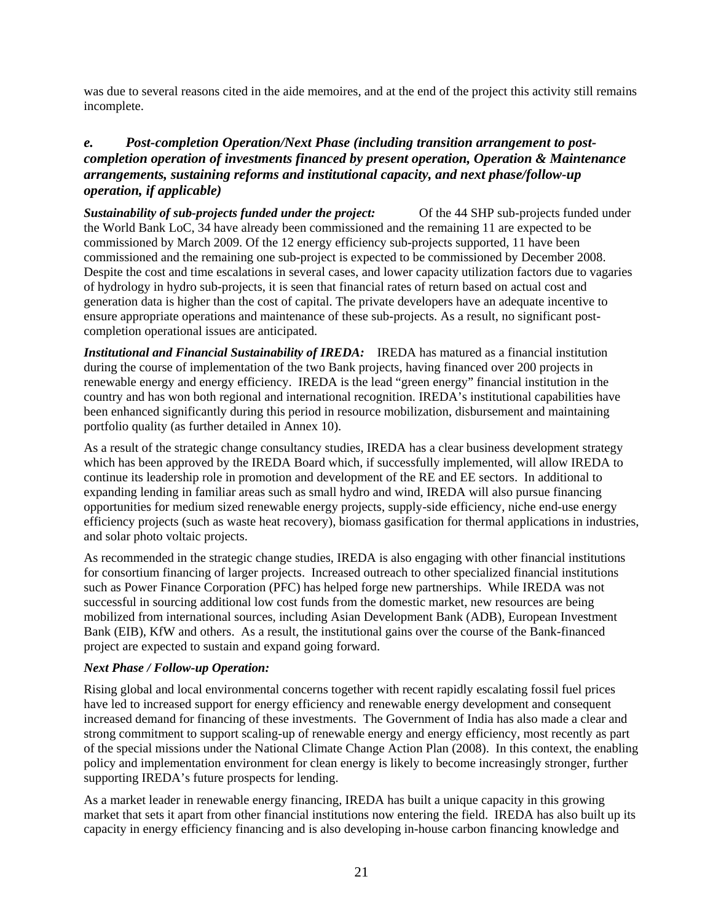was due to several reasons cited in the aide memoires, and at the end of the project this activity still remains incomplete.

# *e. Post-completion Operation/Next Phase (including transition arrangement to postcompletion operation of investments financed by present operation, Operation & Maintenance arrangements, sustaining reforms and institutional capacity, and next phase/follow-up operation, if applicable)*

*Sustainability of sub-projects funded under the project:* Of the 44 SHP sub-projects funded under the World Bank LoC, 34 have already been commissioned and the remaining 11 are expected to be commissioned by March 2009. Of the 12 energy efficiency sub-projects supported, 11 have been commissioned and the remaining one sub-project is expected to be commissioned by December 2008. Despite the cost and time escalations in several cases, and lower capacity utilization factors due to vagaries of hydrology in hydro sub-projects, it is seen that financial rates of return based on actual cost and generation data is higher than the cost of capital. The private developers have an adequate incentive to ensure appropriate operations and maintenance of these sub-projects. As a result, no significant postcompletion operational issues are anticipated.

*Institutional and Financial Sustainability of IREDA:* IREDA has matured as a financial institution during the course of implementation of the two Bank projects, having financed over 200 projects in renewable energy and energy efficiency. IREDA is the lead "green energy" financial institution in the country and has won both regional and international recognition. IREDA's institutional capabilities have been enhanced significantly during this period in resource mobilization, disbursement and maintaining portfolio quality (as further detailed in Annex 10).

As a result of the strategic change consultancy studies, IREDA has a clear business development strategy which has been approved by the IREDA Board which, if successfully implemented, will allow IREDA to continue its leadership role in promotion and development of the RE and EE sectors. In additional to expanding lending in familiar areas such as small hydro and wind, IREDA will also pursue financing opportunities for medium sized renewable energy projects, supply-side efficiency, niche end-use energy efficiency projects (such as waste heat recovery), biomass gasification for thermal applications in industries, and solar photo voltaic projects.

As recommended in the strategic change studies, IREDA is also engaging with other financial institutions for consortium financing of larger projects. Increased outreach to other specialized financial institutions such as Power Finance Corporation (PFC) has helped forge new partnerships. While IREDA was not successful in sourcing additional low cost funds from the domestic market, new resources are being mobilized from international sources, including Asian Development Bank (ADB), European Investment Bank (EIB), KfW and others. As a result, the institutional gains over the course of the Bank-financed project are expected to sustain and expand going forward.

#### *Next Phase / Follow-up Operation:*

Rising global and local environmental concerns together with recent rapidly escalating fossil fuel prices have led to increased support for energy efficiency and renewable energy development and consequent increased demand for financing of these investments. The Government of India has also made a clear and strong commitment to support scaling-up of renewable energy and energy efficiency, most recently as part of the special missions under the National Climate Change Action Plan (2008). In this context, the enabling policy and implementation environment for clean energy is likely to become increasingly stronger, further supporting IREDA's future prospects for lending.

As a market leader in renewable energy financing, IREDA has built a unique capacity in this growing market that sets it apart from other financial institutions now entering the field. IREDA has also built up its capacity in energy efficiency financing and is also developing in-house carbon financing knowledge and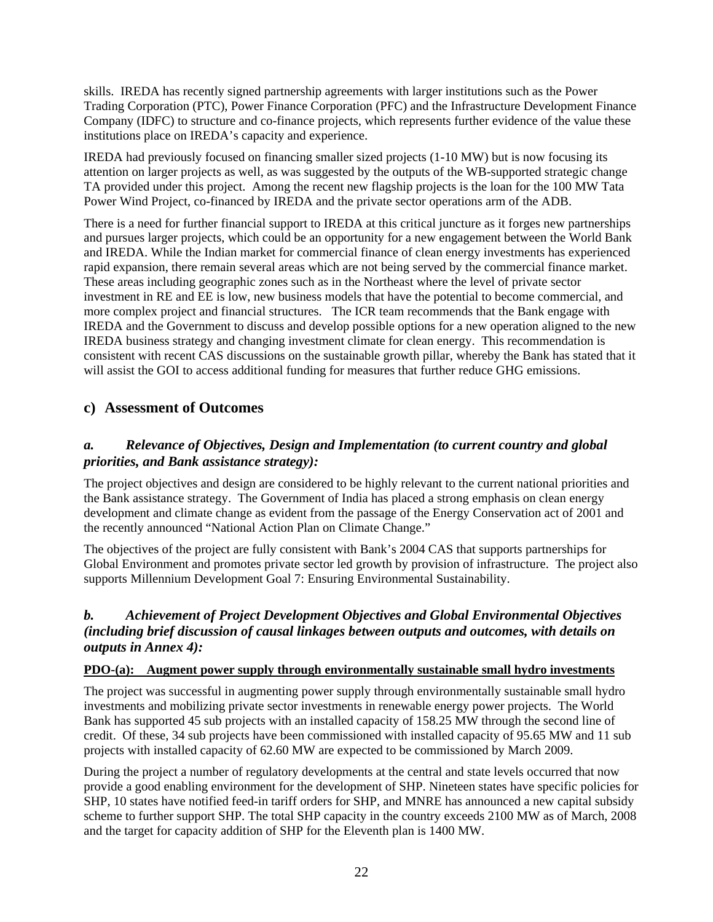skills. IREDA has recently signed partnership agreements with larger institutions such as the Power Trading Corporation (PTC), Power Finance Corporation (PFC) and the Infrastructure Development Finance Company (IDFC) to structure and co-finance projects, which represents further evidence of the value these institutions place on IREDA's capacity and experience.

IREDA had previously focused on financing smaller sized projects (1-10 MW) but is now focusing its attention on larger projects as well, as was suggested by the outputs of the WB-supported strategic change TA provided under this project. Among the recent new flagship projects is the loan for the 100 MW Tata Power Wind Project, co-financed by IREDA and the private sector operations arm of the ADB.

There is a need for further financial support to IREDA at this critical juncture as it forges new partnerships and pursues larger projects, which could be an opportunity for a new engagement between the World Bank and IREDA. While the Indian market for commercial finance of clean energy investments has experienced rapid expansion, there remain several areas which are not being served by the commercial finance market. These areas including geographic zones such as in the Northeast where the level of private sector investment in RE and EE is low, new business models that have the potential to become commercial, and more complex project and financial structures. The ICR team recommends that the Bank engage with IREDA and the Government to discuss and develop possible options for a new operation aligned to the new IREDA business strategy and changing investment climate for clean energy. This recommendation is consistent with recent CAS discussions on the sustainable growth pillar, whereby the Bank has stated that it will assist the GOI to access additional funding for measures that further reduce GHG emissions.

# **c) Assessment of Outcomes**

# *a. Relevance of Objectives, Design and Implementation (to current country and global priorities, and Bank assistance strategy):*

The project objectives and design are considered to be highly relevant to the current national priorities and the Bank assistance strategy. The Government of India has placed a strong emphasis on clean energy development and climate change as evident from the passage of the Energy Conservation act of 2001 and the recently announced "National Action Plan on Climate Change."

The objectives of the project are fully consistent with Bank's 2004 CAS that supports partnerships for Global Environment and promotes private sector led growth by provision of infrastructure. The project also supports Millennium Development Goal 7: Ensuring Environmental Sustainability.

# *b. Achievement of Project Development Objectives and Global Environmental Objectives (including brief discussion of causal linkages between outputs and outcomes, with details on outputs in Annex 4):*

#### **PDO-(a): Augment power supply through environmentally sustainable small hydro investments**

The project was successful in augmenting power supply through environmentally sustainable small hydro investments and mobilizing private sector investments in renewable energy power projects. The World Bank has supported 45 sub projects with an installed capacity of 158.25 MW through the second line of credit. Of these, 34 sub projects have been commissioned with installed capacity of 95.65 MW and 11 sub projects with installed capacity of 62.60 MW are expected to be commissioned by March 2009.

During the project a number of regulatory developments at the central and state levels occurred that now provide a good enabling environment for the development of SHP. Nineteen states have specific policies for SHP, 10 states have notified feed-in tariff orders for SHP, and MNRE has announced a new capital subsidy scheme to further support SHP. The total SHP capacity in the country exceeds 2100 MW as of March, 2008 and the target for capacity addition of SHP for the Eleventh plan is 1400 MW.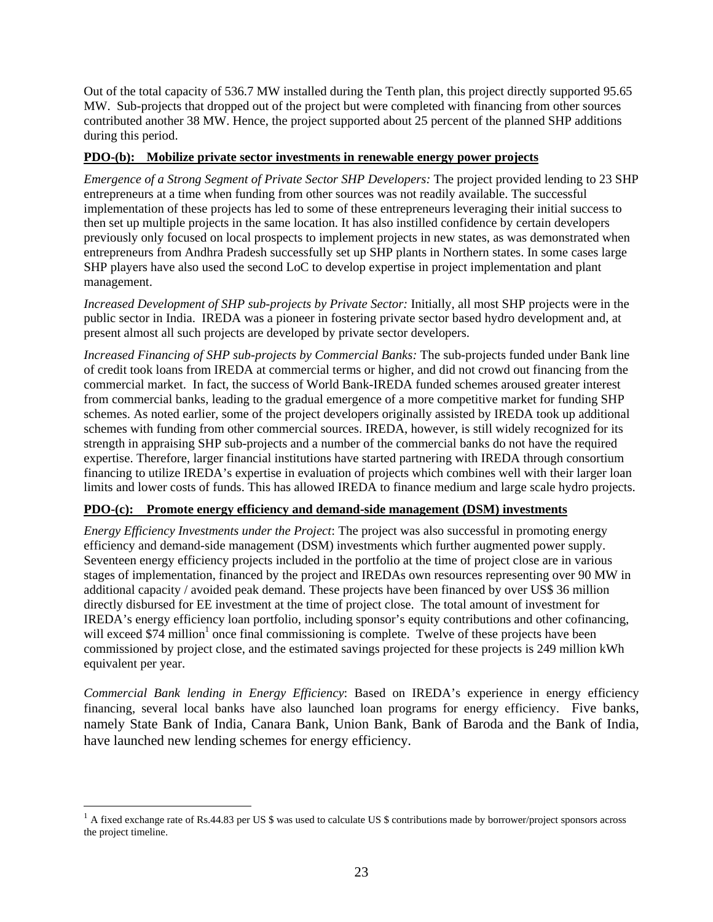Out of the total capacity of 536.7 MW installed during the Tenth plan, this project directly supported 95.65 MW. Sub-projects that dropped out of the project but were completed with financing from other sources contributed another 38 MW. Hence, the project supported about 25 percent of the planned SHP additions during this period.

## **PDO-(b): Mobilize private sector investments in renewable energy power projects**

*Emergence of a Strong Segment of Private Sector SHP Developers:* The project provided lending to 23 SHP entrepreneurs at a time when funding from other sources was not readily available. The successful implementation of these projects has led to some of these entrepreneurs leveraging their initial success to then set up multiple projects in the same location. It has also instilled confidence by certain developers previously only focused on local prospects to implement projects in new states, as was demonstrated when entrepreneurs from Andhra Pradesh successfully set up SHP plants in Northern states. In some cases large SHP players have also used the second LoC to develop expertise in project implementation and plant management.

*Increased Development of SHP sub-projects by Private Sector:* Initially, all most SHP projects were in the public sector in India. IREDA was a pioneer in fostering private sector based hydro development and, at present almost all such projects are developed by private sector developers.

*Increased Financing of SHP sub-projects by Commercial Banks:* The sub-projects funded under Bank line of credit took loans from IREDA at commercial terms or higher, and did not crowd out financing from the commercial market. In fact, the success of World Bank-IREDA funded schemes aroused greater interest from commercial banks, leading to the gradual emergence of a more competitive market for funding SHP schemes. As noted earlier, some of the project developers originally assisted by IREDA took up additional schemes with funding from other commercial sources. IREDA, however, is still widely recognized for its strength in appraising SHP sub-projects and a number of the commercial banks do not have the required expertise. Therefore, larger financial institutions have started partnering with IREDA through consortium financing to utilize IREDA's expertise in evaluation of projects which combines well with their larger loan limits and lower costs of funds. This has allowed IREDA to finance medium and large scale hydro projects.

## **PDO-(c): Promote energy efficiency and demand-side management (DSM) investments**

*Energy Efficiency Investments under the Project*: The project was also successful in promoting energy efficiency and demand-side management (DSM) investments which further augmented power supply. Seventeen energy efficiency projects included in the portfolio at the time of project close are in various stages of implementation, financed by the project and IREDAs own resources representing over 90 MW in additional capacity / avoided peak demand. These projects have been financed by over US\$ 36 million directly disbursed for EE investment at the time of project close. The total amount of investment for IREDA's energy efficiency loan portfolio, including sponsor's equity contributions and other cofinancing, will exceed  $$74$  million<sup>1</sup> once final commissioning is complete. Twelve of these projects have been commissioned by project close, and the estimated savings projected for these projects is 249 million kWh equivalent per year.

*Commercial Bank lending in Energy Efficiency*: Based on IREDA's experience in energy efficiency financing, several local banks have also launched loan programs for energy efficiency. Five banks, namely State Bank of India, Canara Bank, Union Bank, Bank of Baroda and the Bank of India, have launched new lending schemes for energy efficiency.

 $\overline{a}$ 

 $<sup>1</sup>$  A fixed exchange rate of Rs.44.83 per US \$ was used to calculate US \$ contributions made by borrower/project sponsors across</sup> the project timeline.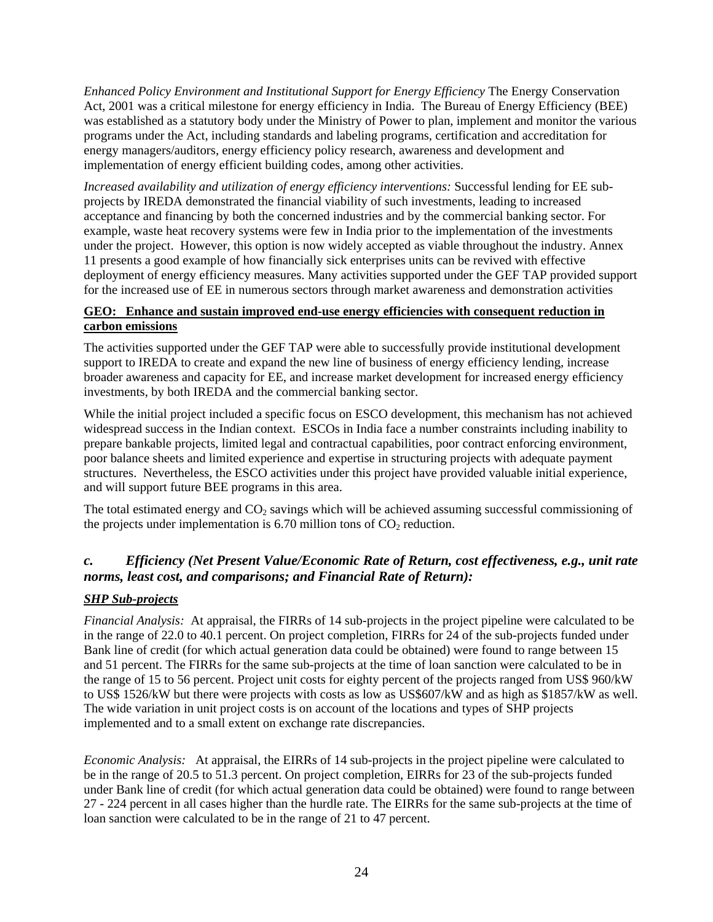*Enhanced Policy Environment and Institutional Support for Energy Efficiency* The Energy Conservation Act, 2001 was a critical milestone for energy efficiency in India. The Bureau of Energy Efficiency (BEE) was established as a statutory body under the Ministry of Power to plan, implement and monitor the various programs under the Act, including standards and labeling programs, certification and accreditation for energy managers/auditors, energy efficiency policy research, awareness and development and implementation of energy efficient building codes, among other activities.

*Increased availability and utilization of energy efficiency interventions:* Successful lending for EE subprojects by IREDA demonstrated the financial viability of such investments, leading to increased acceptance and financing by both the concerned industries and by the commercial banking sector. For example, waste heat recovery systems were few in India prior to the implementation of the investments under the project. However, this option is now widely accepted as viable throughout the industry. Annex 11 presents a good example of how financially sick enterprises units can be revived with effective deployment of energy efficiency measures. Many activities supported under the GEF TAP provided support for the increased use of EE in numerous sectors through market awareness and demonstration activities

## **GEO: Enhance and sustain improved end-use energy efficiencies with consequent reduction in carbon emissions**

The activities supported under the GEF TAP were able to successfully provide institutional development support to IREDA to create and expand the new line of business of energy efficiency lending, increase broader awareness and capacity for EE, and increase market development for increased energy efficiency investments, by both IREDA and the commercial banking sector.

While the initial project included a specific focus on ESCO development, this mechanism has not achieved widespread success in the Indian context. ESCOs in India face a number constraints including inability to prepare bankable projects, limited legal and contractual capabilities, poor contract enforcing environment, poor balance sheets and limited experience and expertise in structuring projects with adequate payment structures. Nevertheless, the ESCO activities under this project have provided valuable initial experience, and will support future BEE programs in this area.

The total estimated energy and  $CO<sub>2</sub>$  savings which will be achieved assuming successful commissioning of the projects under implementation is 6.70 million tons of  $CO<sub>2</sub>$  reduction.

# *c. Efficiency (Net Present Value/Economic Rate of Return, cost effectiveness, e.g., unit rate norms, least cost, and comparisons; and Financial Rate of Return):*

# *SHP Sub-projects*

*Financial Analysis:* At appraisal, the FIRRs of 14 sub-projects in the project pipeline were calculated to be in the range of 22.0 to 40.1 percent. On project completion, FIRRs for 24 of the sub-projects funded under Bank line of credit (for which actual generation data could be obtained) were found to range between 15 and 51 percent. The FIRRs for the same sub-projects at the time of loan sanction were calculated to be in the range of 15 to 56 percent. Project unit costs for eighty percent of the projects ranged from US\$ 960/kW to US\$ 1526/kW but there were projects with costs as low as US\$607/kW and as high as \$1857/kW as well. The wide variation in unit project costs is on account of the locations and types of SHP projects implemented and to a small extent on exchange rate discrepancies.

*Economic Analysis:* At appraisal, the EIRRs of 14 sub-projects in the project pipeline were calculated to be in the range of 20.5 to 51.3 percent. On project completion, EIRRs for 23 of the sub-projects funded under Bank line of credit (for which actual generation data could be obtained) were found to range between 27 - 224 percent in all cases higher than the hurdle rate. The EIRRs for the same sub-projects at the time of loan sanction were calculated to be in the range of 21 to 47 percent.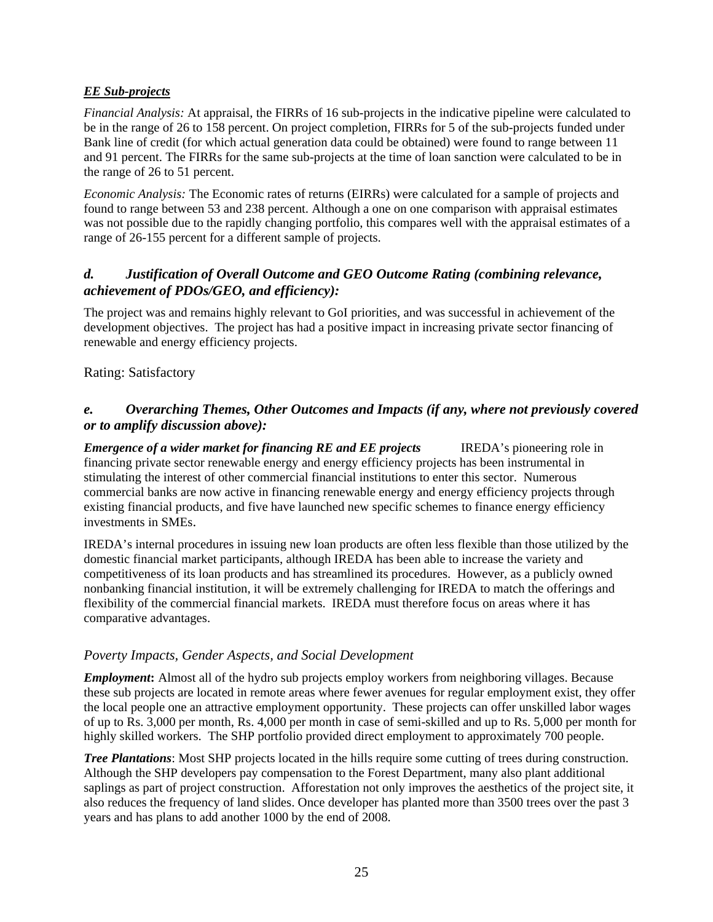## *EE Sub-projects*

*Financial Analysis:* At appraisal, the FIRRs of 16 sub-projects in the indicative pipeline were calculated to be in the range of 26 to 158 percent. On project completion, FIRRs for 5 of the sub-projects funded under Bank line of credit (for which actual generation data could be obtained) were found to range between 11 and 91 percent. The FIRRs for the same sub-projects at the time of loan sanction were calculated to be in the range of 26 to 51 percent.

*Economic Analysis:* The Economic rates of returns (EIRRs) were calculated for a sample of projects and found to range between 53 and 238 percent. Although a one on one comparison with appraisal estimates was not possible due to the rapidly changing portfolio, this compares well with the appraisal estimates of a range of 26-155 percent for a different sample of projects.

## *d. Justification of Overall Outcome and GEO Outcome Rating (combining relevance, achievement of PDOs/GEO, and efficiency):*

The project was and remains highly relevant to GoI priorities, and was successful in achievement of the development objectives. The project has had a positive impact in increasing private sector financing of renewable and energy efficiency projects.

Rating: Satisfactory

# *e. Overarching Themes, Other Outcomes and Impacts (if any, where not previously covered or to amplify discussion above):*

*Emergence of a wider market for financing RE and EE projects* IREDA's pioneering role in financing private sector renewable energy and energy efficiency projects has been instrumental in stimulating the interest of other commercial financial institutions to enter this sector. Numerous commercial banks are now active in financing renewable energy and energy efficiency projects through existing financial products, and five have launched new specific schemes to finance energy efficiency investments in SMEs.

IREDA's internal procedures in issuing new loan products are often less flexible than those utilized by the domestic financial market participants, although IREDA has been able to increase the variety and competitiveness of its loan products and has streamlined its procedures. However, as a publicly owned nonbanking financial institution, it will be extremely challenging for IREDA to match the offerings and flexibility of the commercial financial markets. IREDA must therefore focus on areas where it has comparative advantages.

## *Poverty Impacts, Gender Aspects, and Social Development*

*Employment***:** Almost all of the hydro sub projects employ workers from neighboring villages. Because these sub projects are located in remote areas where fewer avenues for regular employment exist, they offer the local people one an attractive employment opportunity. These projects can offer unskilled labor wages of up to Rs. 3,000 per month, Rs. 4,000 per month in case of semi-skilled and up to Rs. 5,000 per month for highly skilled workers. The SHP portfolio provided direct employment to approximately 700 people.

*Tree Plantations*: Most SHP projects located in the hills require some cutting of trees during construction. Although the SHP developers pay compensation to the Forest Department, many also plant additional saplings as part of project construction. Afforestation not only improves the aesthetics of the project site, it also reduces the frequency of land slides. Once developer has planted more than 3500 trees over the past 3 years and has plans to add another 1000 by the end of 2008.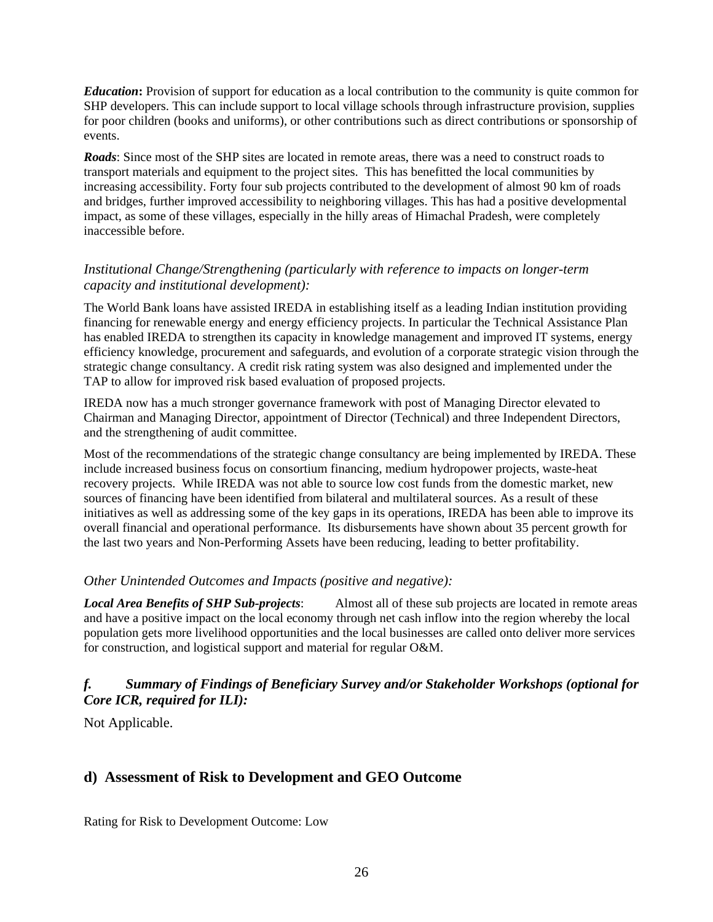*Education***:** Provision of support for education as a local contribution to the community is quite common for SHP developers. This can include support to local village schools through infrastructure provision, supplies for poor children (books and uniforms), or other contributions such as direct contributions or sponsorship of events.

*Roads*: Since most of the SHP sites are located in remote areas, there was a need to construct roads to transport materials and equipment to the project sites. This has benefitted the local communities by increasing accessibility. Forty four sub projects contributed to the development of almost 90 km of roads and bridges, further improved accessibility to neighboring villages. This has had a positive developmental impact, as some of these villages, especially in the hilly areas of Himachal Pradesh, were completely inaccessible before.

## *Institutional Change/Strengthening (particularly with reference to impacts on longer-term capacity and institutional development):*

The World Bank loans have assisted IREDA in establishing itself as a leading Indian institution providing financing for renewable energy and energy efficiency projects. In particular the Technical Assistance Plan has enabled IREDA to strengthen its capacity in knowledge management and improved IT systems, energy efficiency knowledge, procurement and safeguards, and evolution of a corporate strategic vision through the strategic change consultancy. A credit risk rating system was also designed and implemented under the TAP to allow for improved risk based evaluation of proposed projects.

IREDA now has a much stronger governance framework with post of Managing Director elevated to Chairman and Managing Director, appointment of Director (Technical) and three Independent Directors, and the strengthening of audit committee.

Most of the recommendations of the strategic change consultancy are being implemented by IREDA. These include increased business focus on consortium financing, medium hydropower projects, waste-heat recovery projects. While IREDA was not able to source low cost funds from the domestic market, new sources of financing have been identified from bilateral and multilateral sources. As a result of these initiatives as well as addressing some of the key gaps in its operations, IREDA has been able to improve its overall financial and operational performance. Its disbursements have shown about 35 percent growth for the last two years and Non-Performing Assets have been reducing, leading to better profitability.

## *Other Unintended Outcomes and Impacts (positive and negative):*

*Local Area Benefits of SHP Sub-projects*: Almost all of these sub projects are located in remote areas and have a positive impact on the local economy through net cash inflow into the region whereby the local population gets more livelihood opportunities and the local businesses are called onto deliver more services for construction, and logistical support and material for regular O&M.

# *f. Summary of Findings of Beneficiary Survey and/or Stakeholder Workshops (optional for Core ICR, required for ILI):*

Not Applicable.

# **d) Assessment of Risk to Development and GEO Outcome**

Rating for Risk to Development Outcome: Low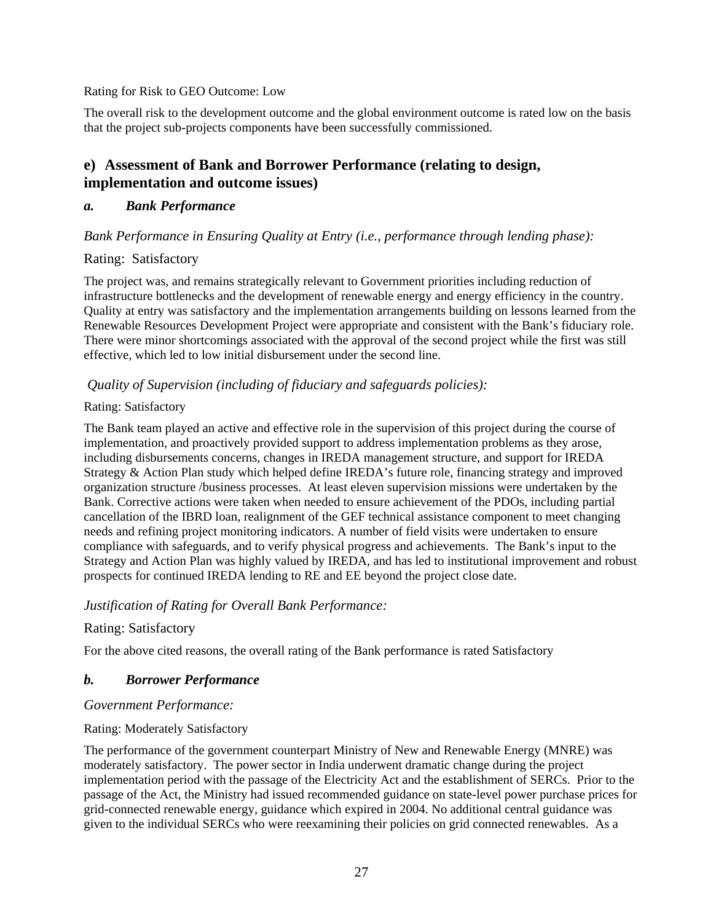#### Rating for Risk to GEO Outcome: Low

The overall risk to the development outcome and the global environment outcome is rated low on the basis that the project sub-projects components have been successfully commissioned.

# **e) Assessment of Bank and Borrower Performance (relating to design, implementation and outcome issues)**

## *a. Bank Performance*

## *Bank Performance in Ensuring Quality at Entry (i.e., performance through lending phase):*

# Rating: Satisfactory

The project was, and remains strategically relevant to Government priorities including reduction of infrastructure bottlenecks and the development of renewable energy and energy efficiency in the country. Quality at entry was satisfactory and the implementation arrangements building on lessons learned from the Renewable Resources Development Project were appropriate and consistent with the Bank's fiduciary role. There were minor shortcomings associated with the approval of the second project while the first was still effective, which led to low initial disbursement under the second line.

# *Quality of Supervision (including of fiduciary and safeguards policies):*

## Rating: Satisfactory

The Bank team played an active and effective role in the supervision of this project during the course of implementation, and proactively provided support to address implementation problems as they arose, including disbursements concerns, changes in IREDA management structure, and support for IREDA Strategy & Action Plan study which helped define IREDA's future role, financing strategy and improved organization structure /business processes. At least eleven supervision missions were undertaken by the Bank. Corrective actions were taken when needed to ensure achievement of the PDOs, including partial cancellation of the IBRD loan, realignment of the GEF technical assistance component to meet changing needs and refining project monitoring indicators. A number of field visits were undertaken to ensure compliance with safeguards, and to verify physical progress and achievements. The Bank's input to the Strategy and Action Plan was highly valued by IREDA, and has led to institutional improvement and robust prospects for continued IREDA lending to RE and EE beyond the project close date.

## *Justification of Rating for Overall Bank Performance:*

# Rating: Satisfactory

For the above cited reasons, the overall rating of the Bank performance is rated Satisfactory

# *b. Borrower Performance*

## *Government Performance:*

## Rating: Moderately Satisfactory

The performance of the government counterpart Ministry of New and Renewable Energy (MNRE) was moderately satisfactory. The power sector in India underwent dramatic change during the project implementation period with the passage of the Electricity Act and the establishment of SERCs. Prior to the passage of the Act, the Ministry had issued recommended guidance on state-level power purchase prices for grid-connected renewable energy, guidance which expired in 2004. No additional central guidance was given to the individual SERCs who were reexamining their policies on grid connected renewables. As a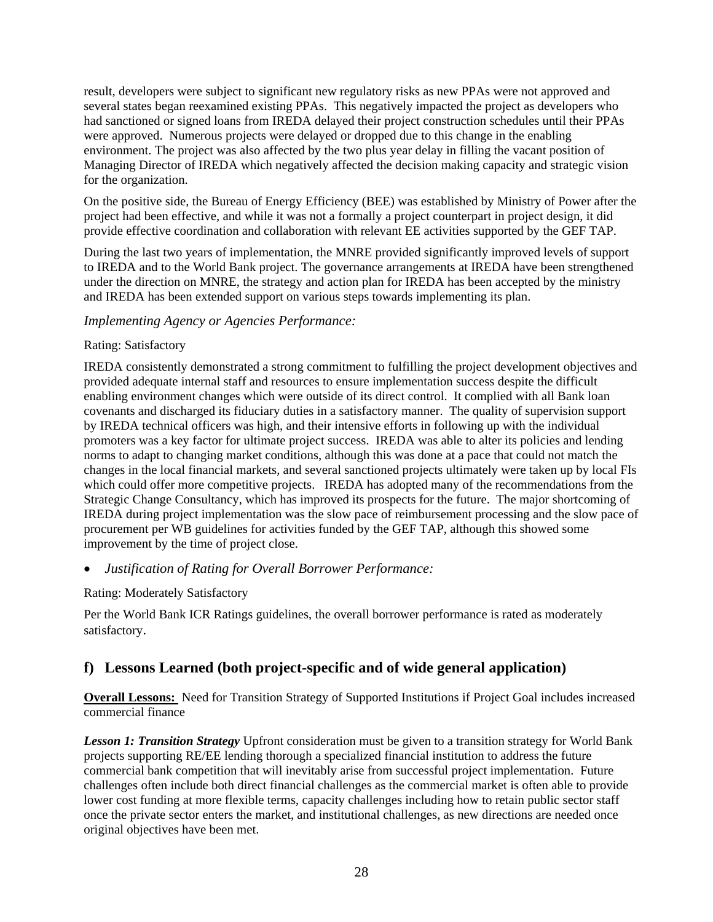result, developers were subject to significant new regulatory risks as new PPAs were not approved and several states began reexamined existing PPAs. This negatively impacted the project as developers who had sanctioned or signed loans from IREDA delayed their project construction schedules until their PPAs were approved. Numerous projects were delayed or dropped due to this change in the enabling environment. The project was also affected by the two plus year delay in filling the vacant position of Managing Director of IREDA which negatively affected the decision making capacity and strategic vision for the organization.

On the positive side, the Bureau of Energy Efficiency (BEE) was established by Ministry of Power after the project had been effective, and while it was not a formally a project counterpart in project design, it did provide effective coordination and collaboration with relevant EE activities supported by the GEF TAP.

During the last two years of implementation, the MNRE provided significantly improved levels of support to IREDA and to the World Bank project. The governance arrangements at IREDA have been strengthened under the direction on MNRE, the strategy and action plan for IREDA has been accepted by the ministry and IREDA has been extended support on various steps towards implementing its plan.

## *Implementing Agency or Agencies Performance:*

#### Rating: Satisfactory

IREDA consistently demonstrated a strong commitment to fulfilling the project development objectives and provided adequate internal staff and resources to ensure implementation success despite the difficult enabling environment changes which were outside of its direct control. It complied with all Bank loan covenants and discharged its fiduciary duties in a satisfactory manner. The quality of supervision support by IREDA technical officers was high, and their intensive efforts in following up with the individual promoters was a key factor for ultimate project success. IREDA was able to alter its policies and lending norms to adapt to changing market conditions, although this was done at a pace that could not match the changes in the local financial markets, and several sanctioned projects ultimately were taken up by local FIs which could offer more competitive projects. IREDA has adopted many of the recommendations from the Strategic Change Consultancy, which has improved its prospects for the future. The major shortcoming of IREDA during project implementation was the slow pace of reimbursement processing and the slow pace of procurement per WB guidelines for activities funded by the GEF TAP, although this showed some improvement by the time of project close.

• *Justification of Rating for Overall Borrower Performance:* 

## Rating: Moderately Satisfactory

Per the World Bank ICR Ratings guidelines, the overall borrower performance is rated as moderately satisfactory.

# **f) Lessons Learned (both project-specific and of wide general application)**

**Overall Lessons:** Need for Transition Strategy of Supported Institutions if Project Goal includes increased commercial finance

*Lesson 1: Transition Strategy* Upfront consideration must be given to a transition strategy for World Bank projects supporting RE/EE lending thorough a specialized financial institution to address the future commercial bank competition that will inevitably arise from successful project implementation. Future challenges often include both direct financial challenges as the commercial market is often able to provide lower cost funding at more flexible terms, capacity challenges including how to retain public sector staff once the private sector enters the market, and institutional challenges, as new directions are needed once original objectives have been met.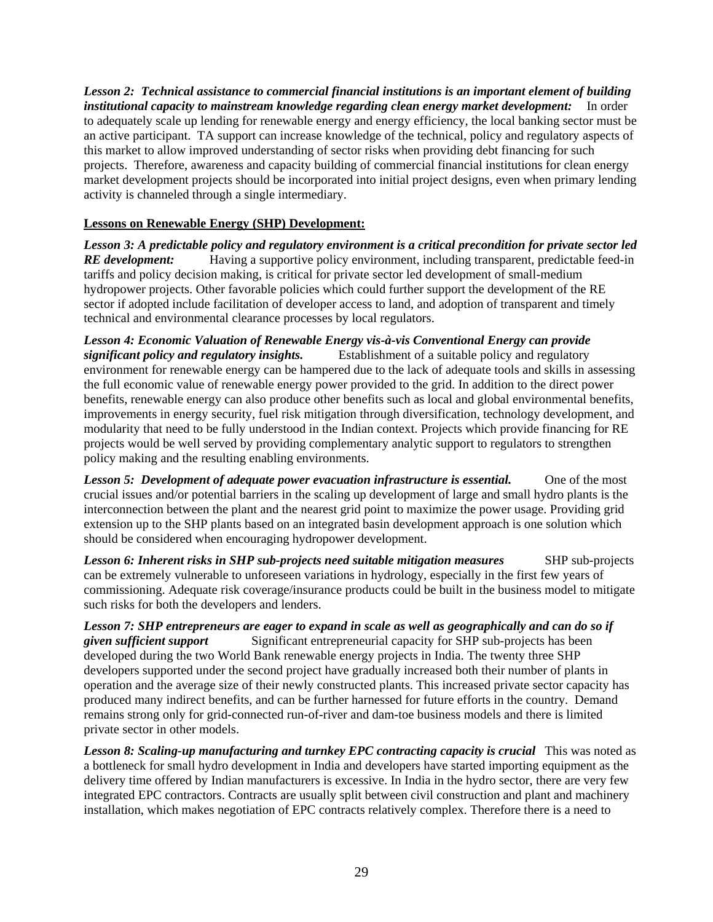*Lesson 2: Technical assistance to commercial financial institutions is an important element of building institutional capacity to mainstream knowledge regarding clean energy market development:* In order to adequately scale up lending for renewable energy and energy efficiency, the local banking sector must be an active participant. TA support can increase knowledge of the technical, policy and regulatory aspects of this market to allow improved understanding of sector risks when providing debt financing for such projects. Therefore, awareness and capacity building of commercial financial institutions for clean energy market development projects should be incorporated into initial project designs, even when primary lending activity is channeled through a single intermediary.

## **Lessons on Renewable Energy (SHP) Development:**

*Lesson 3: A predictable policy and regulatory environment is a critical precondition for private sector led RE development:* Having a supportive policy environment, including transparent, predictable feed-in tariffs and policy decision making, is critical for private sector led development of small-medium hydropower projects. Other favorable policies which could further support the development of the RE sector if adopted include facilitation of developer access to land, and adoption of transparent and timely technical and environmental clearance processes by local regulators.

*Lesson 4: Economic Valuation of Renewable Energy vis-à-vis Conventional Energy can provide significant policy and regulatory insights.* Establishment of a suitable policy and regulatory environment for renewable energy can be hampered due to the lack of adequate tools and skills in assessing the full economic value of renewable energy power provided to the grid. In addition to the direct power benefits, renewable energy can also produce other benefits such as local and global environmental benefits, improvements in energy security, fuel risk mitigation through diversification, technology development, and modularity that need to be fully understood in the Indian context. Projects which provide financing for RE projects would be well served by providing complementary analytic support to regulators to strengthen policy making and the resulting enabling environments.

**Lesson 5: Development of adequate power evacuation infrastructure is essential.** One of the most crucial issues and/or potential barriers in the scaling up development of large and small hydro plants is the interconnection between the plant and the nearest grid point to maximize the power usage. Providing grid extension up to the SHP plants based on an integrated basin development approach is one solution which should be considered when encouraging hydropower development.

**Lesson 6: Inherent risks in SHP sub-projects need suitable mitigation measures** SHP sub-projects can be extremely vulnerable to unforeseen variations in hydrology, especially in the first few years of commissioning. Adequate risk coverage/insurance products could be built in the business model to mitigate such risks for both the developers and lenders.

*Lesson 7: SHP entrepreneurs are eager to expand in scale as well as geographically and can do so if given sufficient support* Significant entrepreneurial capacity for SHP sub-projects has been developed during the two World Bank renewable energy projects in India. The twenty three SHP developers supported under the second project have gradually increased both their number of plants in operation and the average size of their newly constructed plants. This increased private sector capacity has produced many indirect benefits, and can be further harnessed for future efforts in the country. Demand remains strong only for grid-connected run-of-river and dam-toe business models and there is limited private sector in other models.

Lesson 8: Scaling-up manufacturing and turnkey EPC contracting capacity is crucial This was noted as a bottleneck for small hydro development in India and developers have started importing equipment as the delivery time offered by Indian manufacturers is excessive. In India in the hydro sector, there are very few integrated EPC contractors. Contracts are usually split between civil construction and plant and machinery installation, which makes negotiation of EPC contracts relatively complex. Therefore there is a need to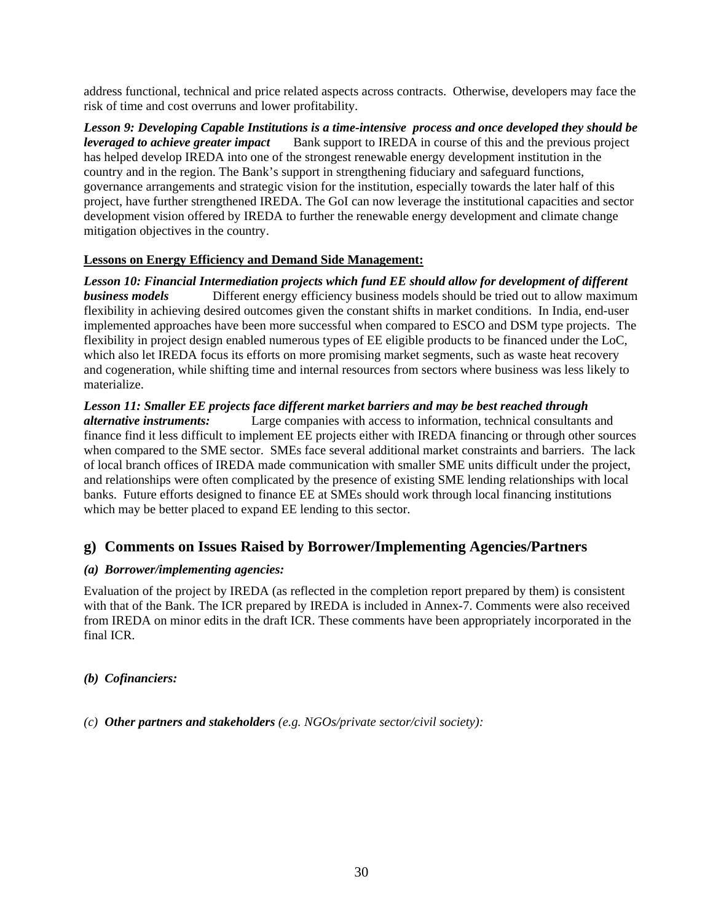address functional, technical and price related aspects across contracts. Otherwise, developers may face the risk of time and cost overruns and lower profitability.

*Lesson 9: Developing Capable Institutions is a time-intensive process and once developed they should be leveraged to achieve greater impact* Bank support to IREDA in course of this and the previous project has helped develop IREDA into one of the strongest renewable energy development institution in the country and in the region. The Bank's support in strengthening fiduciary and safeguard functions, governance arrangements and strategic vision for the institution, especially towards the later half of this project, have further strengthened IREDA. The GoI can now leverage the institutional capacities and sector development vision offered by IREDA to further the renewable energy development and climate change mitigation objectives in the country.

#### **Lessons on Energy Efficiency and Demand Side Management:**

*Lesson 10: Financial Intermediation projects which fund EE should allow for development of different business models* Different energy efficiency business models should be tried out to allow maximum flexibility in achieving desired outcomes given the constant shifts in market conditions. In India, end-user implemented approaches have been more successful when compared to ESCO and DSM type projects. The flexibility in project design enabled numerous types of EE eligible products to be financed under the LoC, which also let IREDA focus its efforts on more promising market segments, such as waste heat recovery and cogeneration, while shifting time and internal resources from sectors where business was less likely to materialize.

*Lesson 11: Smaller EE projects face different market barriers and may be best reached through alternative instruments:* Large companies with access to information, technical consultants and finance find it less difficult to implement EE projects either with IREDA financing or through other sources when compared to the SME sector. SMEs face several additional market constraints and barriers. The lack of local branch offices of IREDA made communication with smaller SME units difficult under the project, and relationships were often complicated by the presence of existing SME lending relationships with local banks. Future efforts designed to finance EE at SMEs should work through local financing institutions which may be better placed to expand EE lending to this sector.

# **g) Comments on Issues Raised by Borrower/Implementing Agencies/Partners**

#### *(a) Borrower/implementing agencies:*

Evaluation of the project by IREDA (as reflected in the completion report prepared by them) is consistent with that of the Bank. The ICR prepared by IREDA is included in Annex-7. Comments were also received from IREDA on minor edits in the draft ICR. These comments have been appropriately incorporated in the final ICR.

*(b) Cofinanciers:* 

*(c) Other partners and stakeholders (e.g. NGOs/private sector/civil society):*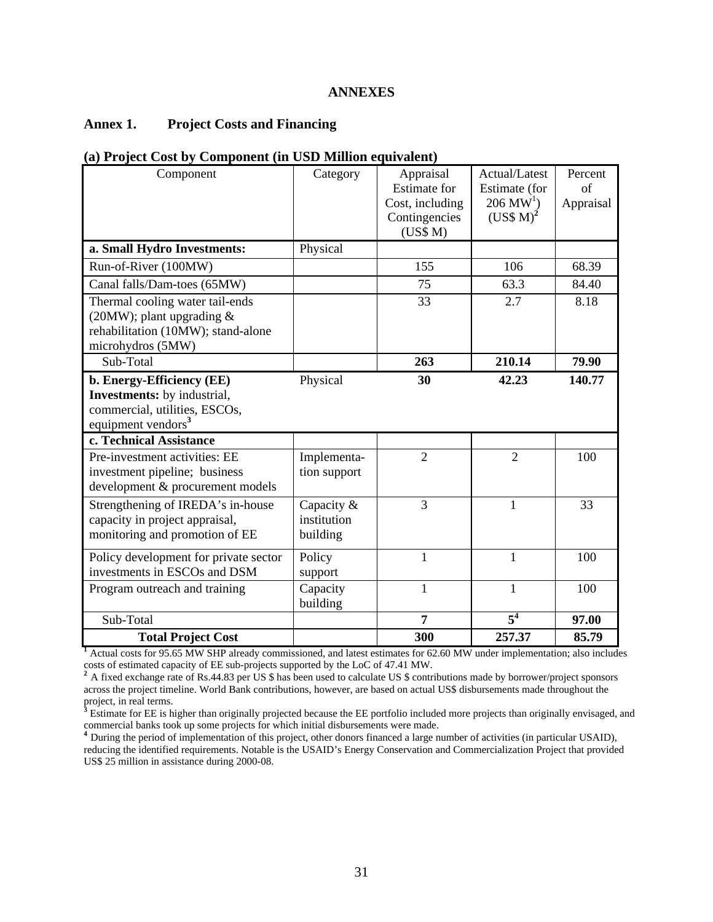#### **ANNEXES**

## **Annex 1. Project Costs and Financing**

#### **(a) Project Cost by Component (in USD Million equivalent)**

| Component                                                                                                                                                     | Category                              | Appraisal<br><b>Estimate</b> for<br>Cost, including<br>Contingencies<br>(US\$M) | Actual/Latest<br>Estimate (for<br>$206 \,\mathrm{MW}^1$ )<br>$(USS M)^2$ | Percent<br>of<br>Appraisal |
|---------------------------------------------------------------------------------------------------------------------------------------------------------------|---------------------------------------|---------------------------------------------------------------------------------|--------------------------------------------------------------------------|----------------------------|
| a. Small Hydro Investments:                                                                                                                                   | Physical                              |                                                                                 |                                                                          |                            |
| Run-of-River (100MW)                                                                                                                                          |                                       | 155                                                                             | 106                                                                      | 68.39                      |
| Canal falls/Dam-toes (65MW)                                                                                                                                   |                                       | 75                                                                              | 63.3                                                                     | 84.40                      |
| Thermal cooling water tail-ends<br>(20MW); plant upgrading $&$<br>rehabilitation (10MW); stand-alone<br>microhydros (5MW)                                     |                                       | 33                                                                              | 2.7                                                                      | 8.18                       |
| Sub-Total                                                                                                                                                     |                                       | 263                                                                             | 210.14                                                                   | 79.90                      |
| b. Energy-Efficiency (EE)<br><b>Investments:</b> by industrial,<br>commercial, utilities, ESCOs,<br>equipment vendors <sup>3</sup><br>c. Technical Assistance | Physical                              | 30                                                                              | 42.23                                                                    | 140.77                     |
|                                                                                                                                                               |                                       |                                                                                 |                                                                          |                            |
| Pre-investment activities: EE<br>investment pipeline; business<br>development & procurement models                                                            | Implementa-<br>tion support           | $\overline{2}$                                                                  | $\overline{2}$                                                           | 100                        |
| Strengthening of IREDA's in-house<br>capacity in project appraisal,<br>monitoring and promotion of EE                                                         | Capacity &<br>institution<br>building | 3                                                                               | $\mathbf{1}$                                                             | 33                         |
| Policy development for private sector<br>investments in ESCOs and DSM                                                                                         | Policy<br>support                     | $\mathbf{1}$                                                                    | $\mathbf{1}$                                                             | 100                        |
| Program outreach and training                                                                                                                                 | Capacity<br>building                  | $\mathbf{1}$                                                                    | 1                                                                        | 100                        |
| Sub-Total                                                                                                                                                     |                                       | 7                                                                               | 5 <sup>4</sup>                                                           | 97.00                      |
| <b>Total Project Cost</b>                                                                                                                                     |                                       | 300                                                                             | 257.37                                                                   | 85.79                      |

costs of estimated capacity of EE sub-projects supported by the LoC of 47.41 MW.<br><sup>2</sup> A fixed exchange rate of Rs.44.83 per US \$ has been used to calculate US \$ contributions made by borrower/project sponsors

across the project timeline. World Bank contributions, however, are based on actual US\$ disbursements made throughout the

project, in real terms.<br><sup>3</sup> Estimate for EE is higher than originally projected because the EE portfolio included more projects than originally envisaged, and commercial banks took up some projects for which initial disbursements were made. **<sup>4</sup>** During the period of implementation of this project, other donors financed a large number of activities (in particular USAID),

reducing the identified requirements. Notable is the USAID's Energy Conservation and Commercialization Project that provided US\$ 25 million in assistance during 2000-08.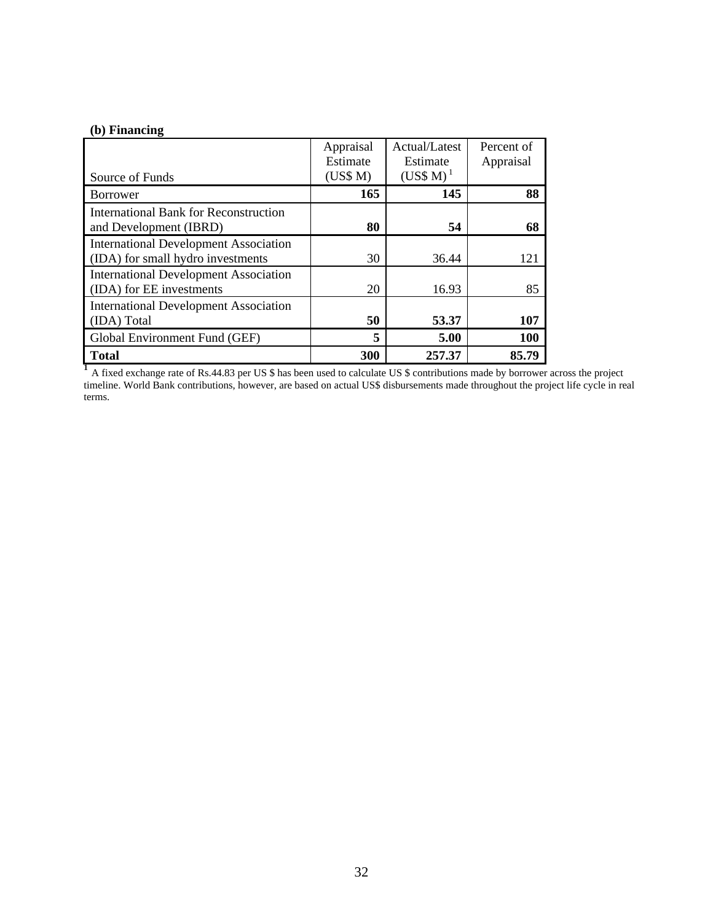# **(b) Financing**

|                                              | Appraisal | Actual/Latest        | Percent of |
|----------------------------------------------|-----------|----------------------|------------|
|                                              | Estimate  | Estimate             | Appraisal  |
| Source of Funds                              | (US\$M)   | (US\$M) <sup>1</sup> |            |
| <b>Borrower</b>                              | 165       | 145                  | 88         |
| <b>International Bank for Reconstruction</b> |           |                      |            |
| and Development (IBRD)                       | 80        | 54                   | 68         |
| <b>International Development Association</b> |           |                      |            |
| (IDA) for small hydro investments            | 30        | 36.44                | 121        |
| <b>International Development Association</b> |           |                      |            |
| (IDA) for EE investments                     | 20        | 16.93                | 85         |
| <b>International Development Association</b> |           |                      |            |
| (IDA) Total                                  | 50        | 53.37                | 107        |
| Global Environment Fund (GEF)                | 5         | 5.00                 | 100        |
| <b>Total</b>                                 | 300       | 257.37               | 85.79      |

**<sup>1</sup>** A fixed exchange rate of Rs.44.83 per US \$ has been used to calculate US \$ contributions made by borrower across the project timeline. World Bank contributions, however, are based on actual US\$ disbursements made throughout the project life cycle in real terms.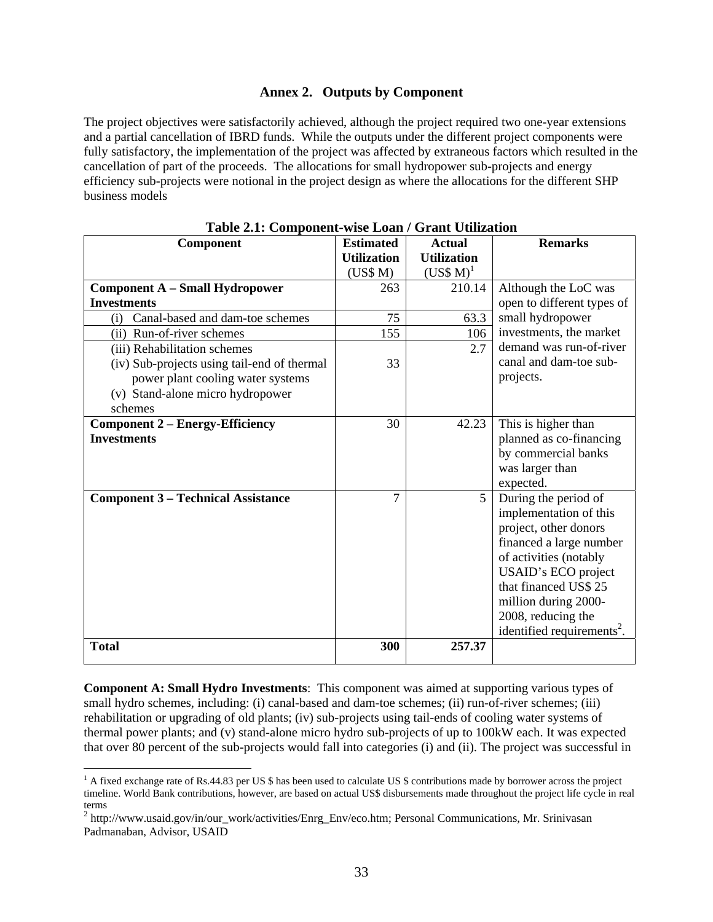#### **Annex 2. Outputs by Component**

The project objectives were satisfactorily achieved, although the project required two one-year extensions and a partial cancellation of IBRD funds. While the outputs under the different project components were fully satisfactory, the implementation of the project was affected by extraneous factors which resulted in the cancellation of part of the proceeds. The allocations for small hydropower sub-projects and energy efficiency sub-projects were notional in the project design as where the allocations for the different SHP business models

| Component                                   | <b>Estimated</b>   | <b>Actual</b>        | <b>Remarks</b>                         |
|---------------------------------------------|--------------------|----------------------|----------------------------------------|
|                                             | <b>Utilization</b> | <b>Utilization</b>   |                                        |
|                                             | (US\$M)            | (US\$M) <sup>1</sup> |                                        |
| Component A - Small Hydropower              | 263                | 210.14               | Although the LoC was                   |
| <b>Investments</b>                          |                    |                      | open to different types of             |
| Canal-based and dam-toe schemes<br>(i)      | 75                 | 63.3                 | small hydropower                       |
| (ii) Run-of-river schemes                   | 155                | 106                  | investments, the market                |
| (iii) Rehabilitation schemes                |                    | 2.7                  | demand was run-of-river                |
| (iv) Sub-projects using tail-end of thermal | 33                 |                      | canal and dam-toe sub-                 |
| power plant cooling water systems           |                    |                      | projects.                              |
| (v) Stand-alone micro hydropower            |                    |                      |                                        |
| schemes                                     |                    |                      |                                        |
| <b>Component 2 – Energy-Efficiency</b>      | 30                 | 42.23                | This is higher than                    |
| <b>Investments</b>                          |                    |                      | planned as co-financing                |
|                                             |                    |                      | by commercial banks                    |
|                                             |                    |                      | was larger than                        |
|                                             |                    |                      | expected.                              |
| <b>Component 3 - Technical Assistance</b>   | $\overline{7}$     | 5                    | During the period of                   |
|                                             |                    |                      | implementation of this                 |
|                                             |                    |                      | project, other donors                  |
|                                             |                    |                      | financed a large number                |
|                                             |                    |                      | of activities (notably                 |
|                                             |                    |                      | USAID's ECO project                    |
|                                             |                    |                      | that financed US\$ 25                  |
|                                             |                    |                      | million during 2000-                   |
|                                             |                    |                      | 2008, reducing the                     |
|                                             |                    |                      | identified requirements <sup>2</sup> . |
| <b>Total</b>                                | 300                | 257.37               |                                        |

|  | Table 2.1: Component-wise Loan / Grant Utilization |  |  |
|--|----------------------------------------------------|--|--|
|--|----------------------------------------------------|--|--|

**Component A: Small Hydro Investments**: This component was aimed at supporting various types of small hydro schemes, including: (i) canal-based and dam-toe schemes; (ii) run-of-river schemes; (iii) rehabilitation or upgrading of old plants; (iv) sub-projects using tail-ends of cooling water systems of thermal power plants; and (v) stand-alone micro hydro sub-projects of up to 100kW each. It was expected that over 80 percent of the sub-projects would fall into categories (i) and (ii). The project was successful in

 $\overline{a}$ 

<sup>&</sup>lt;sup>1</sup> A fixed exchange rate of Rs.44.83 per US \$ has been used to calculate US \$ contributions made by borrower across the project timeline. World Bank contributions, however, are based on actual US\$ disbursements made throughout the project life cycle in real terms

<sup>&</sup>lt;sup>2</sup> http://www.usaid.gov/in/our\_work/activities/Enrg\_Env/eco.htm; Personal Communications, Mr. Srinivasan Padmanaban, Advisor, USAID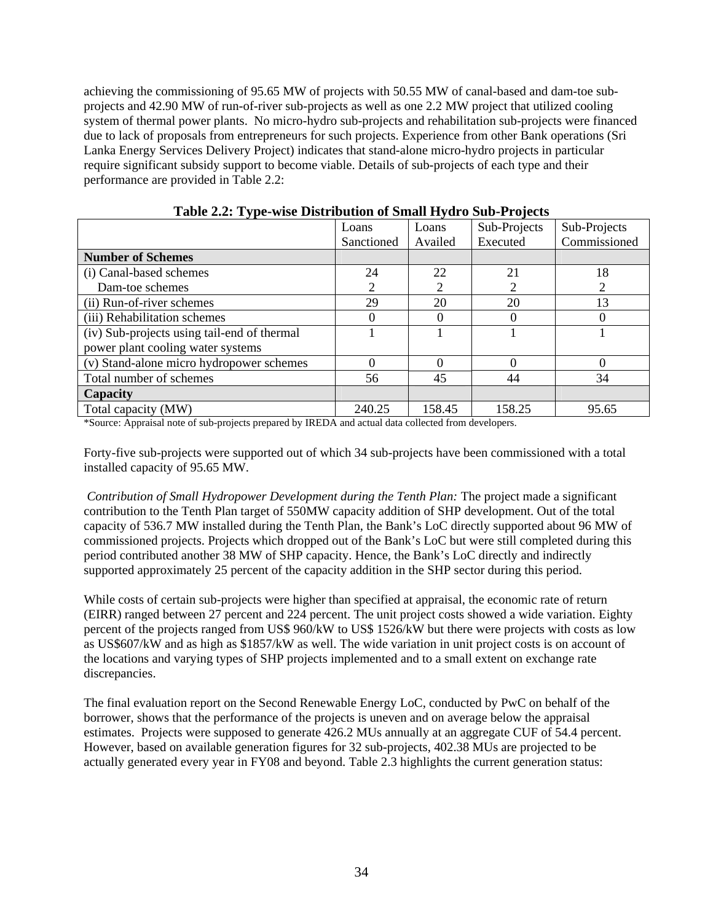achieving the commissioning of 95.65 MW of projects with 50.55 MW of canal-based and dam-toe subprojects and 42.90 MW of run-of-river sub-projects as well as one 2.2 MW project that utilized cooling system of thermal power plants. No micro-hydro sub-projects and rehabilitation sub-projects were financed due to lack of proposals from entrepreneurs for such projects. Experience from other Bank operations (Sri Lanka Energy Services Delivery Project) indicates that stand-alone micro-hydro projects in particular require significant subsidy support to become viable. Details of sub-projects of each type and their performance are provided in Table 2.2:

|                                             | Loans      | Loans   | Sub-Projects | Sub-Projects |
|---------------------------------------------|------------|---------|--------------|--------------|
|                                             | Sanctioned | Availed | Executed     | Commissioned |
| <b>Number of Schemes</b>                    |            |         |              |              |
| (i) Canal-based schemes                     | 24         | 22      | 21           | 18           |
| Dam-toe schemes                             | 2          |         |              | 2            |
| (ii) Run-of-river schemes                   | 29         | 20      | 20           | 13           |
| (iii) Rehabilitation schemes                |            |         |              |              |
| (iv) Sub-projects using tail-end of thermal |            |         |              |              |
| power plant cooling water systems           |            |         |              |              |
| (v) Stand-alone micro hydropower schemes    | 0          |         |              | $\Omega$     |
| Total number of schemes                     | 56         | 45      | 44           | 34           |
| Capacity                                    |            |         |              |              |
| Total capacity (MW)                         | 240.25     | 158.45  | 158.25       | 95.65        |

|  |  |  | Table 2.2: Type-wise Distribution of Small Hydro Sub-Projects |
|--|--|--|---------------------------------------------------------------|
|  |  |  |                                                               |

\*Source: Appraisal note of sub-projects prepared by IREDA and actual data collected from developers.

Forty-five sub-projects were supported out of which 34 sub-projects have been commissioned with a total installed capacity of 95.65 MW.

 *Contribution of Small Hydropower Development during the Tenth Plan:* The project made a significant contribution to the Tenth Plan target of 550MW capacity addition of SHP development. Out of the total capacity of 536.7 MW installed during the Tenth Plan, the Bank's LoC directly supported about 96 MW of commissioned projects. Projects which dropped out of the Bank's LoC but were still completed during this period contributed another 38 MW of SHP capacity. Hence, the Bank's LoC directly and indirectly supported approximately 25 percent of the capacity addition in the SHP sector during this period.

While costs of certain sub-projects were higher than specified at appraisal, the economic rate of return (EIRR) ranged between 27 percent and 224 percent. The unit project costs showed a wide variation. Eighty percent of the projects ranged from US\$ 960/kW to US\$ 1526/kW but there were projects with costs as low as US\$607/kW and as high as \$1857/kW as well. The wide variation in unit project costs is on account of the locations and varying types of SHP projects implemented and to a small extent on exchange rate discrepancies.

The final evaluation report on the Second Renewable Energy LoC, conducted by PwC on behalf of the borrower, shows that the performance of the projects is uneven and on average below the appraisal estimates. Projects were supposed to generate 426.2 MUs annually at an aggregate CUF of 54.4 percent. However, based on available generation figures for 32 sub-projects, 402.38 MUs are projected to be actually generated every year in FY08 and beyond. Table 2.3 highlights the current generation status: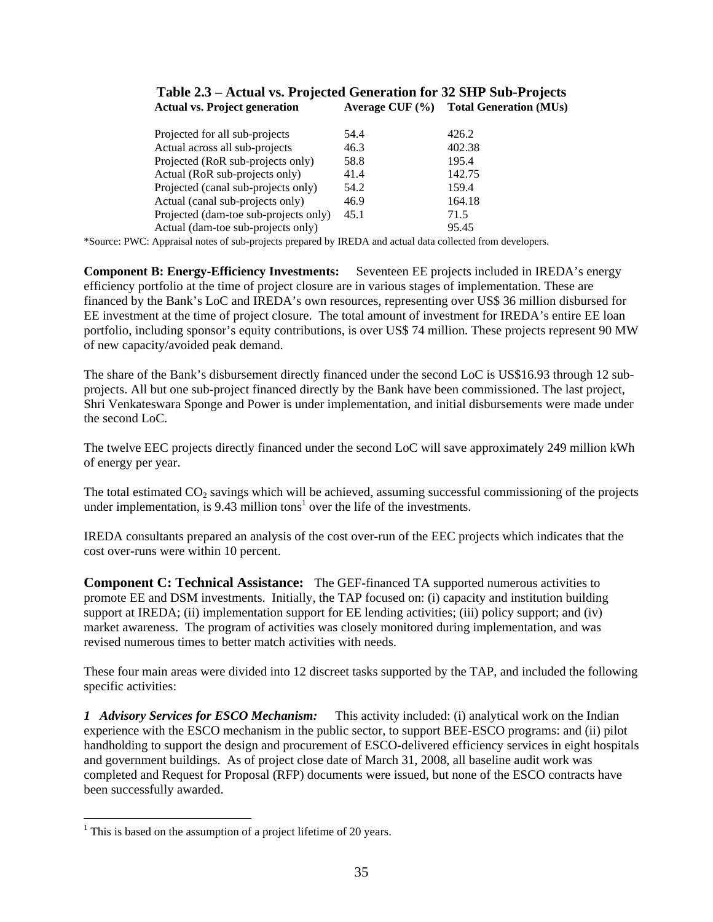#### **Table 2.3 – Actual vs. Projected Generation for 32 SHP Sub-Projects Actual vs. Project generation Average CUF (%) Total Generation (MUs)**

| Projected for all sub-projects        | 54.4 | 426.2  |
|---------------------------------------|------|--------|
| Actual across all sub-projects        | 46.3 | 402.38 |
| Projected (RoR sub-projects only)     | 58.8 | 195.4  |
| Actual (RoR sub-projects only)        | 41.4 | 142.75 |
| Projected (canal sub-projects only)   | 54.2 | 159.4  |
| Actual (canal sub-projects only)      | 46.9 | 164.18 |
| Projected (dam-toe sub-projects only) | 45.1 | 71.5   |
| Actual (dam-toe sub-projects only)    |      | 95.45  |

\*Source: PWC: Appraisal notes of sub-projects prepared by IREDA and actual data collected from developers.

**Component B: Energy-Efficiency Investments:** Seventeen EE projects included in IREDA's energy efficiency portfolio at the time of project closure are in various stages of implementation. These are financed by the Bank's LoC and IREDA's own resources, representing over US\$ 36 million disbursed for EE investment at the time of project closure. The total amount of investment for IREDA's entire EE loan portfolio, including sponsor's equity contributions, is over US\$ 74 million. These projects represent 90 MW of new capacity/avoided peak demand.

The share of the Bank's disbursement directly financed under the second LoC is US\$16.93 through 12 subprojects. All but one sub-project financed directly by the Bank have been commissioned. The last project, Shri Venkateswara Sponge and Power is under implementation, and initial disbursements were made under the second LoC.

The twelve EEC projects directly financed under the second LoC will save approximately 249 million kWh of energy per year.

The total estimated  $CO_2$  savings which will be achieved, assuming successful commissioning of the projects under implementation, is  $9.43$  million tons<sup>1</sup> over the life of the investments.

IREDA consultants prepared an analysis of the cost over-run of the EEC projects which indicates that the cost over-runs were within 10 percent.

**Component C: Technical Assistance:** The GEF-financed TA supported numerous activities to promote EE and DSM investments. Initially, the TAP focused on: (i) capacity and institution building support at IREDA; (ii) implementation support for EE lending activities; (iii) policy support; and (iv) market awareness. The program of activities was closely monitored during implementation, and was revised numerous times to better match activities with needs.

These four main areas were divided into 12 discreet tasks supported by the TAP, and included the following specific activities:

*1 Advisory Services for ESCO Mechanism:* This activity included: (i) analytical work on the Indian experience with the ESCO mechanism in the public sector, to support BEE-ESCO programs: and (ii) pilot handholding to support the design and procurement of ESCO-delivered efficiency services in eight hospitals and government buildings. As of project close date of March 31, 2008, all baseline audit work was completed and Request for Proposal (RFP) documents were issued, but none of the ESCO contracts have been successfully awarded.

 $\overline{a}$ 

<sup>&</sup>lt;sup>1</sup> This is based on the assumption of a project lifetime of 20 years.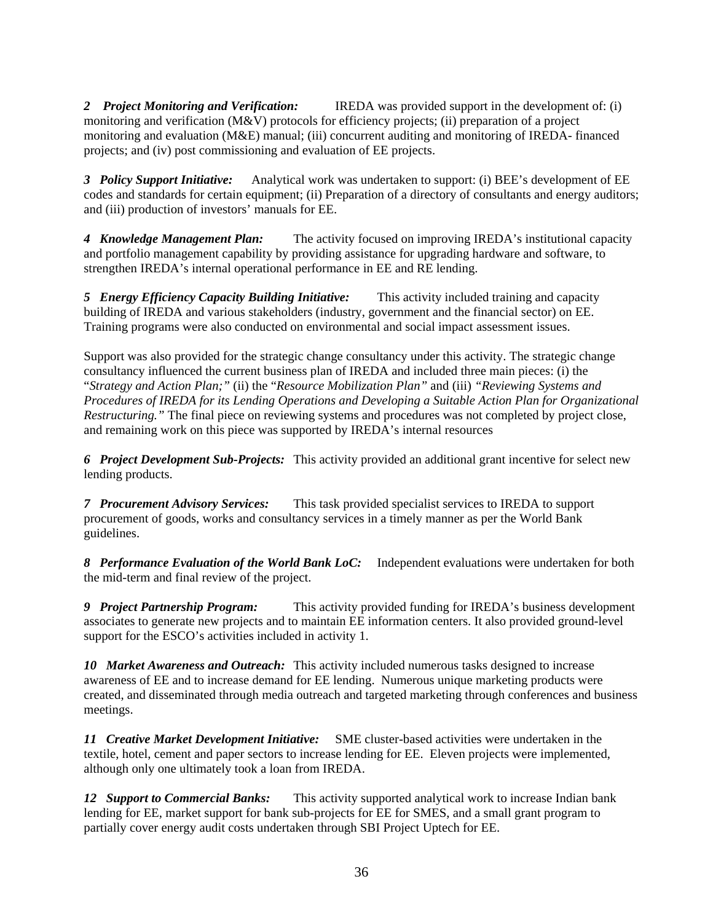*2 Project Monitoring and Verification:* IREDA was provided support in the development of: (i) monitoring and verification (M&V) protocols for efficiency projects; (ii) preparation of a project monitoring and evaluation (M&E) manual; (iii) concurrent auditing and monitoring of IREDA- financed projects; and (iv) post commissioning and evaluation of EE projects.

*3 Policy Support Initiative:* Analytical work was undertaken to support: (i) BEE's development of EE codes and standards for certain equipment; (ii) Preparation of a directory of consultants and energy auditors; and (iii) production of investors' manuals for EE.

*4 Knowledge Management Plan:* The activity focused on improving IREDA's institutional capacity and portfolio management capability by providing assistance for upgrading hardware and software, to strengthen IREDA's internal operational performance in EE and RE lending.

*5 Energy Efficiency Capacity Building Initiative:* This activity included training and capacity building of IREDA and various stakeholders (industry, government and the financial sector) on EE. Training programs were also conducted on environmental and social impact assessment issues.

Support was also provided for the strategic change consultancy under this activity. The strategic change consultancy influenced the current business plan of IREDA and included three main pieces: (i) the "*Strategy and Action Plan;"* (ii) the "*Resource Mobilization Plan"* and (iii) *"Reviewing Systems and Procedures of IREDA for its Lending Operations and Developing a Suitable Action Plan for Organizational Restructuring."* The final piece on reviewing systems and procedures was not completed by project close, and remaining work on this piece was supported by IREDA's internal resources

*6 Project Development Sub-Projects:* This activity provided an additional grant incentive for select new lending products.

*7 Procurement Advisory Services:* This task provided specialist services to IREDA to support procurement of goods, works and consultancy services in a timely manner as per the World Bank guidelines.

*8 Performance Evaluation of the World Bank LoC:* Independent evaluations were undertaken for both the mid-term and final review of the project.

*9 Project Partnership Program:* This activity provided funding for IREDA's business development associates to generate new projects and to maintain EE information centers. It also provided ground-level support for the ESCO's activities included in activity 1.

*10 Market Awareness and Outreach:* This activity included numerous tasks designed to increase awareness of EE and to increase demand for EE lending. Numerous unique marketing products were created, and disseminated through media outreach and targeted marketing through conferences and business meetings.

*11 Creative Market Development Initiative:* SME cluster-based activities were undertaken in the textile, hotel, cement and paper sectors to increase lending for EE. Eleven projects were implemented, although only one ultimately took a loan from IREDA.

*12 Support to Commercial Banks:* This activity supported analytical work to increase Indian bank lending for EE, market support for bank sub-projects for EE for SMES, and a small grant program to partially cover energy audit costs undertaken through SBI Project Uptech for EE.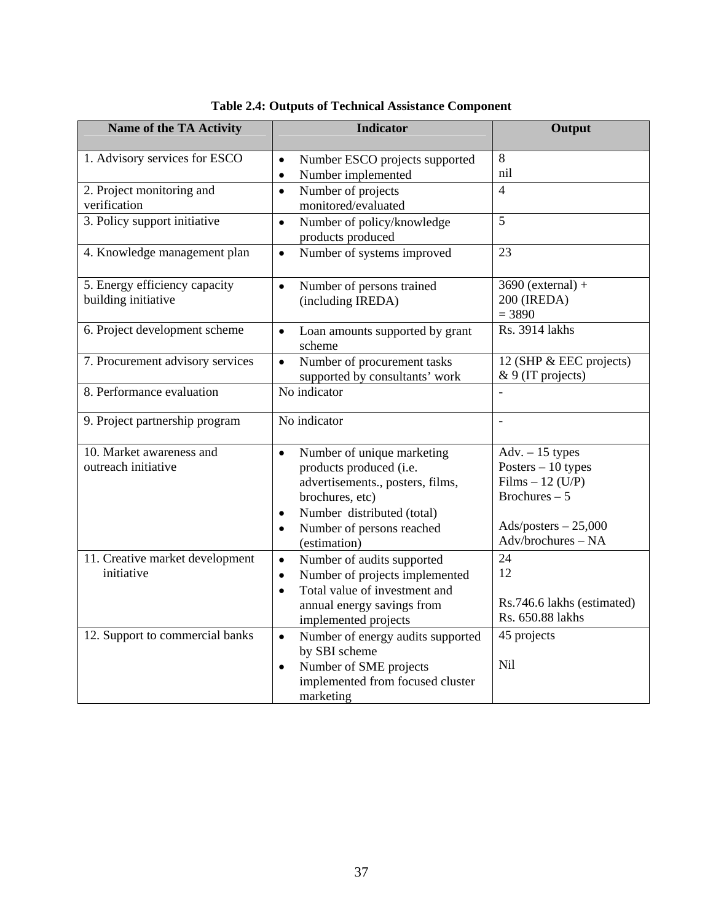| Name of the TA Activity                              | <b>Indicator</b>                                                                                                                                                                                                               | Output                                                                                                                           |
|------------------------------------------------------|--------------------------------------------------------------------------------------------------------------------------------------------------------------------------------------------------------------------------------|----------------------------------------------------------------------------------------------------------------------------------|
| 1. Advisory services for ESCO                        | Number ESCO projects supported<br>$\bullet$<br>Number implemented<br>$\bullet$                                                                                                                                                 | 8<br>nil                                                                                                                         |
| 2. Project monitoring and<br>verification            | Number of projects<br>$\bullet$<br>monitored/evaluated                                                                                                                                                                         | $\overline{4}$                                                                                                                   |
| 3. Policy support initiative                         | Number of policy/knowledge<br>$\bullet$<br>products produced                                                                                                                                                                   | 5                                                                                                                                |
| 4. Knowledge management plan                         | Number of systems improved<br>$\bullet$                                                                                                                                                                                        | 23                                                                                                                               |
| 5. Energy efficiency capacity<br>building initiative | Number of persons trained<br>$\bullet$<br>(including IREDA)                                                                                                                                                                    | $3690$ (external) +<br>200 (IREDA)<br>$= 3890$                                                                                   |
| 6. Project development scheme                        | Loan amounts supported by grant<br>$\bullet$<br>scheme                                                                                                                                                                         | Rs. 3914 lakhs                                                                                                                   |
| 7. Procurement advisory services                     | Number of procurement tasks<br>$\bullet$<br>supported by consultants' work                                                                                                                                                     | 12 (SHP & EEC projects)<br>& 9 (IT projects)                                                                                     |
| 8. Performance evaluation                            | No indicator                                                                                                                                                                                                                   |                                                                                                                                  |
| 9. Project partnership program                       | No indicator                                                                                                                                                                                                                   |                                                                                                                                  |
| 10. Market awareness and<br>outreach initiative      | Number of unique marketing<br>$\bullet$<br>products produced (i.e.<br>advertisements., posters, films,<br>brochures, etc)<br>Number distributed (total)<br>$\bullet$<br>Number of persons reached<br>$\bullet$<br>(estimation) | Adv. $-15$ types<br>Posters $-10$ types<br>Films $-12$ (U/P)<br>Brochures $-5$<br>$Ads$ /posters $-25,000$<br>Adv/brochures - NA |
| 11. Creative market development<br>initiative        | Number of audits supported<br>$\bullet$<br>Number of projects implemented<br>$\bullet$<br>Total value of investment and<br>$\bullet$<br>annual energy savings from<br>implemented projects                                     | 24<br>12<br>Rs.746.6 lakhs (estimated)<br>Rs. 650.88 lakhs                                                                       |
| 12. Support to commercial banks                      | Number of energy audits supported<br>$\bullet$<br>by SBI scheme<br>Number of SME projects<br>$\bullet$<br>implemented from focused cluster<br>marketing                                                                        | 45 projects<br>Nil                                                                                                               |

|  |  |  |  | <b>Table 2.4: Outputs of Technical Assistance Component</b> |
|--|--|--|--|-------------------------------------------------------------|
|--|--|--|--|-------------------------------------------------------------|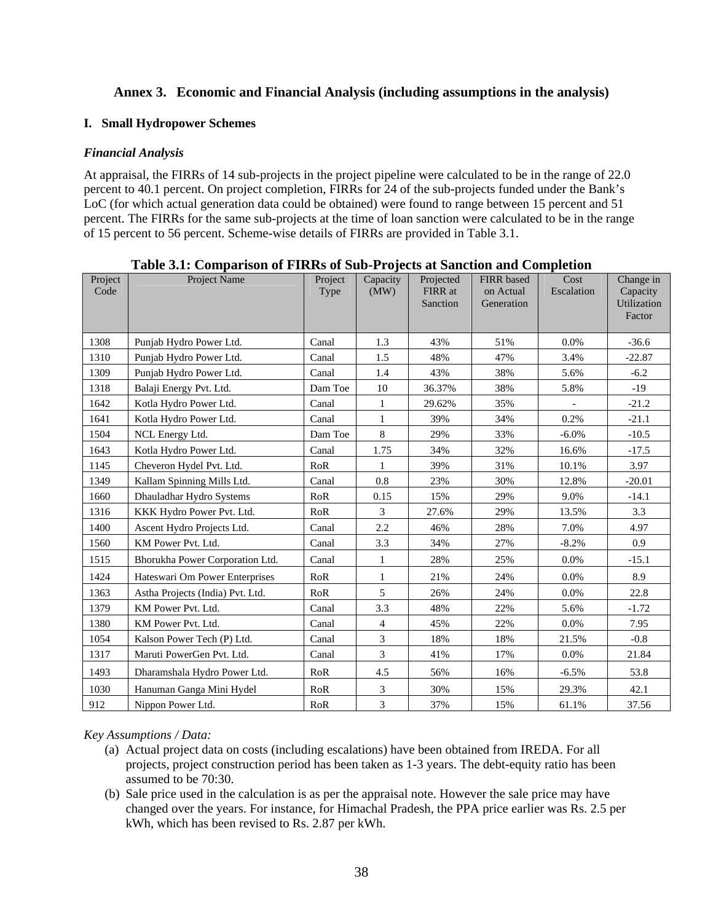# **Annex 3. Economic and Financial Analysis (including assumptions in the analysis)**

#### **I. Small Hydropower Schemes**

#### *Financial Analysis*

At appraisal, the FIRRs of 14 sub-projects in the project pipeline were calculated to be in the range of 22.0 percent to 40.1 percent. On project completion, FIRRs for 24 of the sub-projects funded under the Bank's LoC (for which actual generation data could be obtained) were found to range between 15 percent and 51 percent. The FIRRs for the same sub-projects at the time of loan sanction were calculated to be in the range of 15 percent to 56 percent. Scheme-wise details of FIRRs are provided in Table 3.1.

| Project<br>Code | Project Name                     | Project<br>Type | Capacity<br>(MW) | Projected<br>FIRR at<br>Sanction | <b>FIRR</b> based<br>on Actual<br>Generation | Cost<br>Escalation | Change in<br>Capacity<br>Utilization<br>Factor |
|-----------------|----------------------------------|-----------------|------------------|----------------------------------|----------------------------------------------|--------------------|------------------------------------------------|
| 1308            | Punjab Hydro Power Ltd.          | Canal           | 1.3              | 43%                              | 51%                                          | 0.0%               | $-36.6$                                        |
| 1310            | Punjab Hydro Power Ltd.          | Canal           | 1.5              | 48%                              | 47%                                          | 3.4%               | $-22.87$                                       |
| 1309            | Punjab Hydro Power Ltd.          | Canal           | 1.4              | 43%                              | 38%                                          | 5.6%               | $-6.2$                                         |
| 1318            | Balaji Energy Pvt. Ltd.          | Dam Toe         | 10               | 36.37%                           | 38%                                          | 5.8%               | $-19$                                          |
| 1642            | Kotla Hydro Power Ltd.           | Canal           | 1                | 29.62%                           | 35%                                          |                    | $-21.2$                                        |
| 1641            | Kotla Hydro Power Ltd.           | Canal           | $\mathbf{1}$     | 39%                              | 34%                                          | 0.2%               | $-21.1$                                        |
| 1504            | NCL Energy Ltd.                  | Dam Toe         | 8                | 29%                              | 33%                                          | $-6.0\%$           | $-10.5$                                        |
| 1643            | Kotla Hydro Power Ltd.           | Canal           | 1.75             | 34%                              | 32%                                          | 16.6%              | $-17.5$                                        |
| 1145            | Cheveron Hydel Pvt. Ltd.         | RoR             | 1                | 39%                              | 31%                                          | 10.1%              | 3.97                                           |
| 1349            | Kallam Spinning Mills Ltd.       | Canal           | 0.8              | 23%                              | 30%                                          | 12.8%              | $-20.01$                                       |
| 1660            | Dhauladhar Hydro Systems         | RoR             | 0.15             | 15%                              | 29%                                          | 9.0%               | $-14.1$                                        |
| 1316            | KKK Hydro Power Pvt. Ltd.        | RoR             | 3                | 27.6%                            | 29%                                          | 13.5%              | 3.3                                            |
| 1400            | Ascent Hydro Projects Ltd.       | Canal           | 2.2              | 46%                              | 28%                                          | 7.0%               | 4.97                                           |
| 1560            | KM Power Pvt. Ltd.               | Canal           | 3.3              | 34%                              | 27%                                          | $-8.2%$            | 0.9                                            |
| 1515            | Bhorukha Power Corporation Ltd.  | Canal           | $\mathbf{1}$     | 28%                              | 25%                                          | 0.0%               | $-15.1$                                        |
| 1424            | Hateswari Om Power Enterprises   | RoR             | $\mathbf{1}$     | 21%                              | 24%                                          | 0.0%               | 8.9                                            |
| 1363            | Astha Projects (India) Pvt. Ltd. | RoR             | 5                | 26%                              | 24%                                          | 0.0%               | 22.8                                           |
| 1379            | KM Power Pvt. Ltd.               | Canal           | 3.3              | 48%                              | 22%                                          | 5.6%               | $-1.72$                                        |
| 1380            | KM Power Pvt. Ltd.               | Canal           | $\overline{4}$   | 45%                              | 22%                                          | 0.0%               | 7.95                                           |
| 1054            | Kalson Power Tech (P) Ltd.       | Canal           | 3                | 18%                              | 18%                                          | 21.5%              | $-0.8$                                         |
| 1317            | Maruti PowerGen Pvt. Ltd.        | Canal           | 3                | 41%                              | 17%                                          | $0.0\%$            | 21.84                                          |
| 1493            | Dharamshala Hydro Power Ltd.     | RoR             | 4.5              | 56%                              | 16%                                          | $-6.5%$            | 53.8                                           |
| 1030            | Hanuman Ganga Mini Hydel         | RoR             | 3                | 30%                              | 15%                                          | 29.3%              | 42.1                                           |
| 912             | Nippon Power Ltd.                | RoR             | 3                | 37%                              | 15%                                          | 61.1%              | 37.56                                          |

**Table 3.1: Comparison of FIRRs of Sub-Projects at Sanction and Completion** 

*Key Assumptions / Data:* 

- (a) Actual project data on costs (including escalations) have been obtained from IREDA. For all projects, project construction period has been taken as 1-3 years. The debt-equity ratio has been assumed to be 70:30.
- (b) Sale price used in the calculation is as per the appraisal note. However the sale price may have changed over the years. For instance, for Himachal Pradesh, the PPA price earlier was Rs. 2.5 per kWh, which has been revised to Rs. 2.87 per kWh.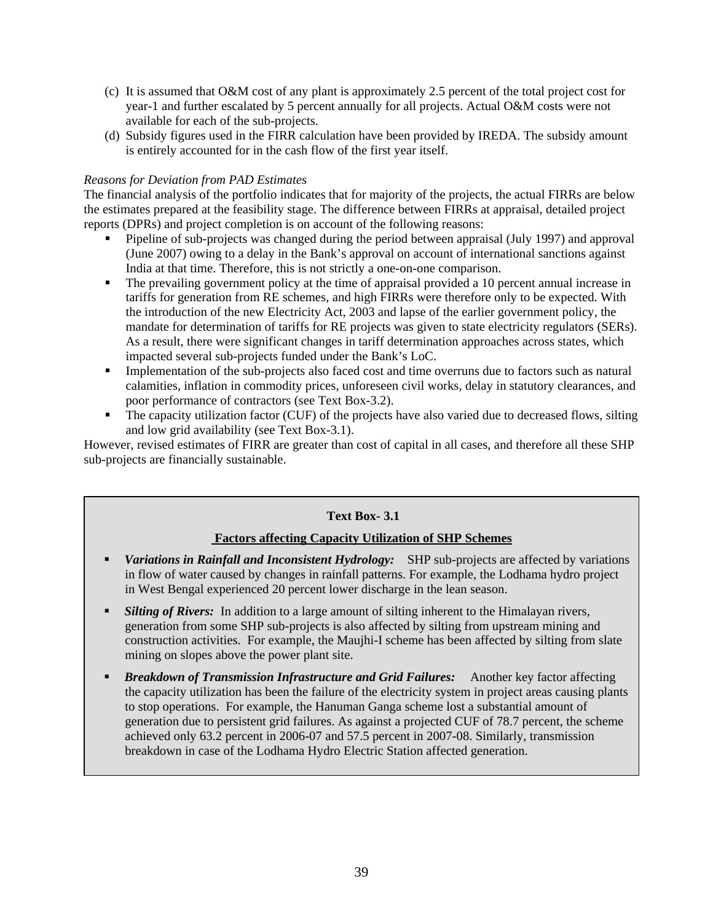- (c) It is assumed that O&M cost of any plant is approximately 2.5 percent of the total project cost for year-1 and further escalated by 5 percent annually for all projects. Actual O&M costs were not available for each of the sub-projects.
- (d) Subsidy figures used in the FIRR calculation have been provided by IREDA. The subsidy amount is entirely accounted for in the cash flow of the first year itself.

#### *Reasons for Deviation from PAD Estimates*

The financial analysis of the portfolio indicates that for majority of the projects, the actual FIRRs are below the estimates prepared at the feasibility stage. The difference between FIRRs at appraisal, detailed project reports (DPRs) and project completion is on account of the following reasons:

- Pipeline of sub-projects was changed during the period between appraisal (July 1997) and approval (June 2007) owing to a delay in the Bank's approval on account of international sanctions against India at that time. Therefore, this is not strictly a one-on-one comparison.
- The prevailing government policy at the time of appraisal provided a 10 percent annual increase in tariffs for generation from RE schemes, and high FIRRs were therefore only to be expected. With the introduction of the new Electricity Act, 2003 and lapse of the earlier government policy, the mandate for determination of tariffs for RE projects was given to state electricity regulators (SERs). As a result, there were significant changes in tariff determination approaches across states, which impacted several sub-projects funded under the Bank's LoC.
- Implementation of the sub-projects also faced cost and time overruns due to factors such as natural calamities, inflation in commodity prices, unforeseen civil works, delay in statutory clearances, and poor performance of contractors (see Text Box-3.2).
- The capacity utilization factor (CUF) of the projects have also varied due to decreased flows, silting and low grid availability (see Text Box-3.1).

However, revised estimates of FIRR are greater than cost of capital in all cases, and therefore all these SHP sub-projects are financially sustainable.

# **Text Box- 3.1**

## **Factors affecting Capacity Utilization of SHP Schemes**

- *Variations in Rainfall and Inconsistent Hydrology:* SHP sub-projects are affected by variations in flow of water caused by changes in rainfall patterns. For example, the Lodhama hydro project in West Bengal experienced 20 percent lower discharge in the lean season.
- **Silting of Rivers:** In addition to a large amount of silting inherent to the Himalayan rivers, generation from some SHP sub-projects is also affected by silting from upstream mining and construction activities. For example, the Maujhi-I scheme has been affected by silting from slate mining on slopes above the power plant site.
- *Breakdown of Transmission Infrastructure and Grid Failures:* Another key factor affecting the capacity utilization has been the failure of the electricity system in project areas causing plants to stop operations. For example, the Hanuman Ganga scheme lost a substantial amount of generation due to persistent grid failures. As against a projected CUF of 78.7 percent, the scheme achieved only 63.2 percent in 2006-07 and 57.5 percent in 2007-08. Similarly, transmission breakdown in case of the Lodhama Hydro Electric Station affected generation.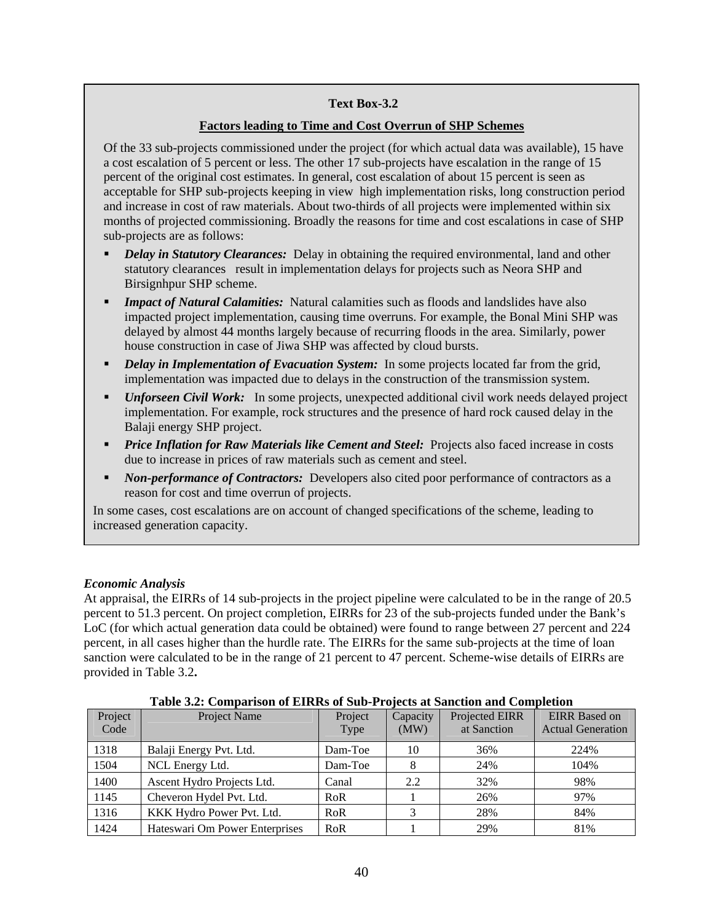#### **Text Box-3.2**

#### **Factors leading to Time and Cost Overrun of SHP Schemes**

Of the 33 sub-projects commissioned under the project (for which actual data was available), 15 have a cost escalation of 5 percent or less. The other 17 sub-projects have escalation in the range of 15 percent of the original cost estimates. In general, cost escalation of about 15 percent is seen as acceptable for SHP sub-projects keeping in view high implementation risks, long construction period and increase in cost of raw materials. About two-thirds of all projects were implemented within six months of projected commissioning. Broadly the reasons for time and cost escalations in case of SHP sub-projects are as follows:

- *Delay in Statutory Clearances:* Delay in obtaining the required environmental, land and other statutory clearances result in implementation delays for projects such as Neora SHP and Birsignhpur SHP scheme.
- *Impact of Natural Calamities:* Natural calamities such as floods and landslides have also impacted project implementation, causing time overruns. For example, the Bonal Mini SHP was delayed by almost 44 months largely because of recurring floods in the area. Similarly, power house construction in case of Jiwa SHP was affected by cloud bursts.
- *Delay in Implementation of Evacuation System:* In some projects located far from the grid, implementation was impacted due to delays in the construction of the transmission system.
- *Unforseen Civil Work:* In some projects, unexpected additional civil work needs delayed project implementation. For example, rock structures and the presence of hard rock caused delay in the Balaji energy SHP project.
- *Price Inflation for Raw Materials like Cement and Steel:* Projects also faced increase in costs due to increase in prices of raw materials such as cement and steel.
- *Non-performance of Contractors:* Developers also cited poor performance of contractors as a reason for cost and time overrun of projects.

In some cases, cost escalations are on account of changed specifications of the scheme, leading to increased generation capacity.

## *Economic Analysis*

At appraisal, the EIRRs of 14 sub-projects in the project pipeline were calculated to be in the range of 20.5 percent to 51.3 percent. On project completion, EIRRs for 23 of the sub-projects funded under the Bank's LoC (for which actual generation data could be obtained) were found to range between 27 percent and 224 percent, in all cases higher than the hurdle rate. The EIRRs for the same sub-projects at the time of loan sanction were calculated to be in the range of 21 percent to 47 percent. Scheme-wise details of EIRRs are provided in Table 3.2**.**

| Project<br>Code | Project Name                   | Project<br>Type | Capacity<br>(MW) | Projected EIRR<br>at Sanction | <b>EIRR</b> Based on<br><b>Actual Generation</b> |
|-----------------|--------------------------------|-----------------|------------------|-------------------------------|--------------------------------------------------|
| 1318            | Balaji Energy Pvt. Ltd.        | Dam-Toe         | 10               | 36%                           | 224%                                             |
| 1504            | NCL Energy Ltd.                | Dam-Toe         |                  | 24%                           | 104%                                             |
| 1400            | Ascent Hydro Projects Ltd.     | Canal           | 2.2              | 32%                           | 98%                                              |
| 1145            | Cheveron Hydel Pvt. Ltd.       | RoR             |                  | 26%                           | 97%                                              |
| 1316            | KKK Hydro Power Pvt. Ltd.      | RoR             |                  | 28%                           | 84%                                              |
| 1424            | Hateswari Om Power Enterprises | RoR             |                  | 29%                           | 81%                                              |

**Table 3.2: Comparison of EIRRs of Sub-Projects at Sanction and Completion**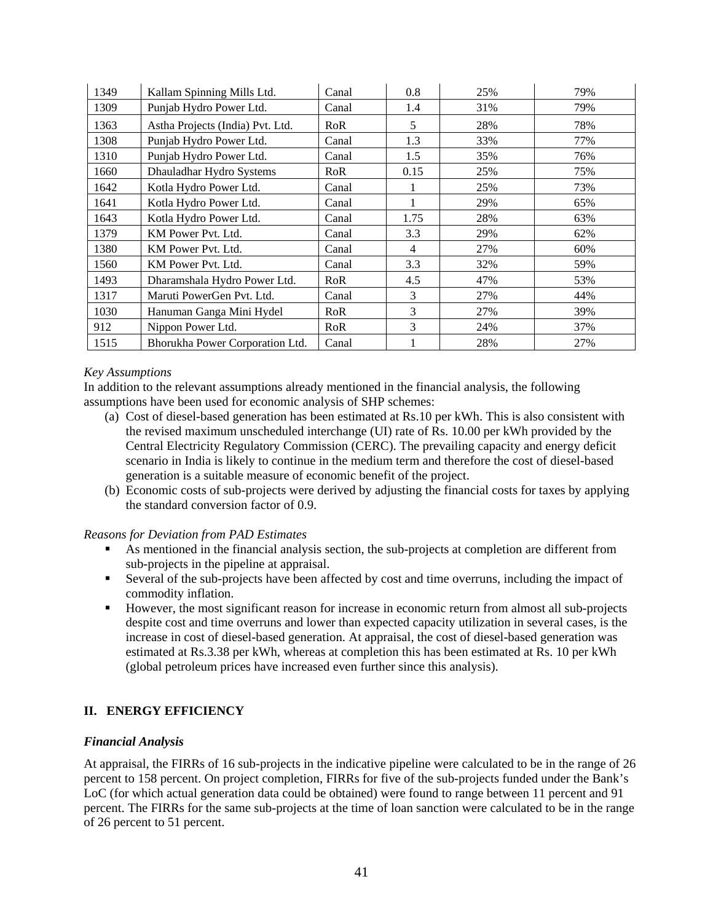| 1349 | Kallam Spinning Mills Ltd.       | Canal      | 0.8  | 25% | 79% |
|------|----------------------------------|------------|------|-----|-----|
| 1309 | Punjab Hydro Power Ltd.          | Canal      | 1.4  | 31% | 79% |
| 1363 | Astha Projects (India) Pvt. Ltd. | <b>RoR</b> | 5    | 28% | 78% |
| 1308 | Punjab Hydro Power Ltd.          | Canal      | 1.3  | 33% | 77% |
| 1310 | Punjab Hydro Power Ltd.          | Canal      | 1.5  | 35% | 76% |
| 1660 | Dhauladhar Hydro Systems         | <b>RoR</b> | 0.15 | 25% | 75% |
| 1642 | Kotla Hydro Power Ltd.           | Canal      |      | 25% | 73% |
| 1641 | Kotla Hydro Power Ltd.           | Canal      |      | 29% | 65% |
| 1643 | Kotla Hydro Power Ltd.           | Canal      | 1.75 | 28% | 63% |
| 1379 | KM Power Pvt. Ltd.               | Canal      | 3.3  | 29% | 62% |
| 1380 | KM Power Pvt. Ltd.               | Canal      | 4    | 27% | 60% |
| 1560 | KM Power Pvt. Ltd.               | Canal      | 3.3  | 32% | 59% |
| 1493 | Dharamshala Hydro Power Ltd.     | RoR        | 4.5  | 47% | 53% |
| 1317 | Maruti PowerGen Pvt. Ltd.        | Canal      | 3    | 27% | 44% |
| 1030 | Hanuman Ganga Mini Hydel         | RoR        | 3    | 27% | 39% |
| 912  | Nippon Power Ltd.                | RoR        | 3    | 24% | 37% |
| 1515 | Bhorukha Power Corporation Ltd.  | Canal      |      | 28% | 27% |

#### *Key Assumptions*

In addition to the relevant assumptions already mentioned in the financial analysis, the following assumptions have been used for economic analysis of SHP schemes:

- (a) Cost of diesel-based generation has been estimated at Rs.10 per kWh. This is also consistent with the revised maximum unscheduled interchange (UI) rate of Rs. 10.00 per kWh provided by the Central Electricity Regulatory Commission (CERC). The prevailing capacity and energy deficit scenario in India is likely to continue in the medium term and therefore the cost of diesel-based generation is a suitable measure of economic benefit of the project.
- (b) Economic costs of sub-projects were derived by adjusting the financial costs for taxes by applying the standard conversion factor of 0.9.

#### *Reasons for Deviation from PAD Estimates*

- As mentioned in the financial analysis section, the sub-projects at completion are different from sub-projects in the pipeline at appraisal.
- Several of the sub-projects have been affected by cost and time overruns, including the impact of commodity inflation.
- However, the most significant reason for increase in economic return from almost all sub-projects despite cost and time overruns and lower than expected capacity utilization in several cases, is the increase in cost of diesel-based generation. At appraisal, the cost of diesel-based generation was estimated at Rs.3.38 per kWh, whereas at completion this has been estimated at Rs. 10 per kWh (global petroleum prices have increased even further since this analysis).

## **II. ENERGY EFFICIENCY**

## *Financial Analysis*

At appraisal, the FIRRs of 16 sub-projects in the indicative pipeline were calculated to be in the range of 26 percent to 158 percent. On project completion, FIRRs for five of the sub-projects funded under the Bank's LoC (for which actual generation data could be obtained) were found to range between 11 percent and 91 percent. The FIRRs for the same sub-projects at the time of loan sanction were calculated to be in the range of 26 percent to 51 percent.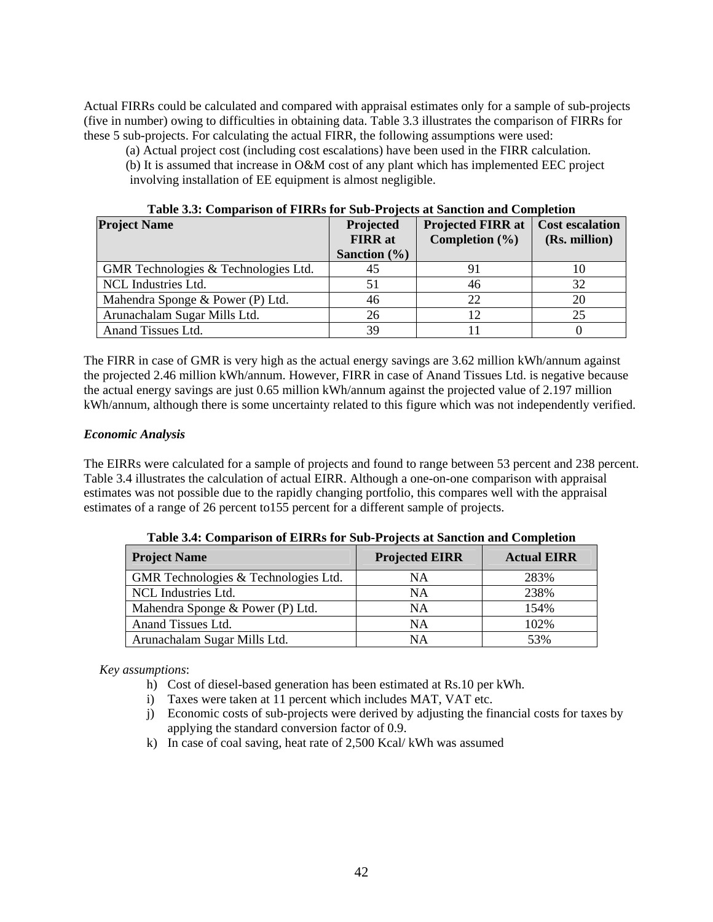Actual FIRRs could be calculated and compared with appraisal estimates only for a sample of sub-projects (five in number) owing to difficulties in obtaining data. Table 3.3 illustrates the comparison of FIRRs for these 5 sub-projects. For calculating the actual FIRR, the following assumptions were used:

(a) Actual project cost (including cost escalations) have been used in the FIRR calculation. (b) It is assumed that increase in O&M cost of any plant which has implemented EEC project

involving installation of EE equipment is almost negligible.

| <b>Project Name</b>                  | Projected        | <b>Projected FIRR at</b> | <b>Cost escalation</b> |
|--------------------------------------|------------------|--------------------------|------------------------|
|                                      | <b>FIRR</b> at   | Completion $(\% )$       | (Rs. million)          |
|                                      | Sanction $(\% )$ |                          |                        |
| GMR Technologies & Technologies Ltd. | 45               |                          | 10                     |
| NCL Industries Ltd.                  |                  | 46                       | 32                     |
| Mahendra Sponge & Power (P) Ltd.     | 46               | 22                       | 20                     |
| Arunachalam Sugar Mills Ltd.         | 26               | 12                       | 25                     |
| Anand Tissues Ltd.                   | 39               |                          |                        |

**Table 3.3: Comparison of FIRRs for Sub-Projects at Sanction and Completion** 

The FIRR in case of GMR is very high as the actual energy savings are 3.62 million kWh/annum against the projected 2.46 million kWh/annum. However, FIRR in case of Anand Tissues Ltd. is negative because the actual energy savings are just 0.65 million kWh/annum against the projected value of 2.197 million kWh/annum, although there is some uncertainty related to this figure which was not independently verified.

#### *Economic Analysis*

The EIRRs were calculated for a sample of projects and found to range between 53 percent and 238 percent. Table 3.4 illustrates the calculation of actual EIRR. Although a one-on-one comparison with appraisal estimates was not possible due to the rapidly changing portfolio, this compares well with the appraisal estimates of a range of 26 percent to155 percent for a different sample of projects.

| <b>Project Name</b>                  | <b>Projected EIRR</b> | <b>Actual EIRR</b> |
|--------------------------------------|-----------------------|--------------------|
| GMR Technologies & Technologies Ltd. | NA                    | 283%               |
| NCL Industries Ltd.                  | <b>NA</b>             | 238%               |
| Mahendra Sponge & Power (P) Ltd.     | NA                    | 154%               |
| Anand Tissues Ltd.                   | <b>NA</b>             | 102%               |
| Arunachalam Sugar Mills Ltd.         | NA                    | 53%                |

**Table 3.4: Comparison of EIRRs for Sub-Projects at Sanction and Completion** 

#### *Key assumptions*:

- h) Cost of diesel-based generation has been estimated at Rs.10 per kWh.
- i) Taxes were taken at 11 percent which includes MAT, VAT etc.
- j) Economic costs of sub-projects were derived by adjusting the financial costs for taxes by applying the standard conversion factor of 0.9.
- k) In case of coal saving, heat rate of 2,500 Kcal/ kWh was assumed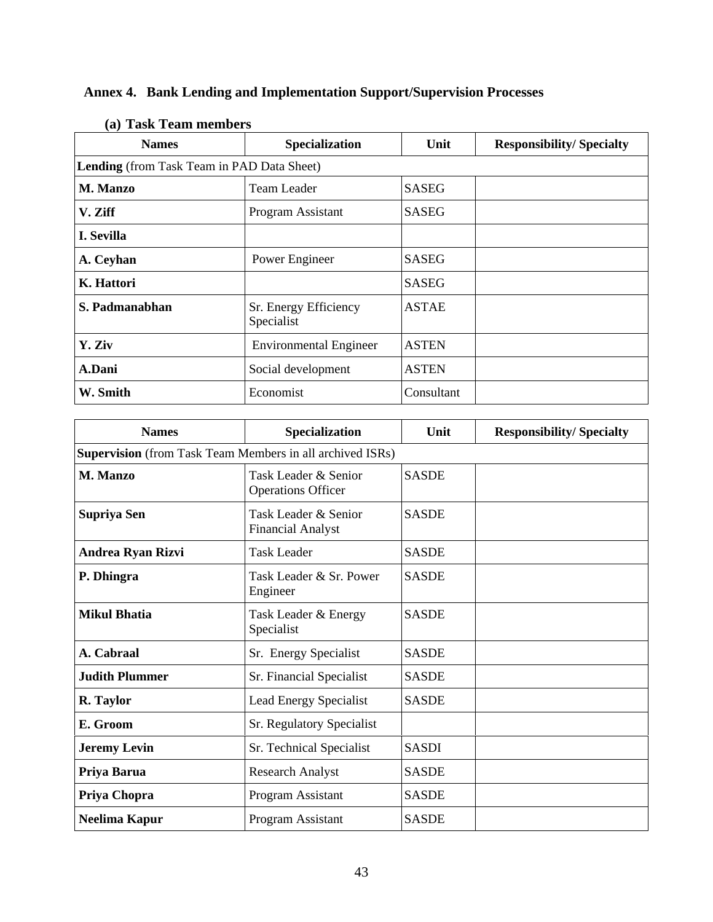| (a) таѕк теаш шешрегѕ |                                            |              |                                 |  |
|-----------------------|--------------------------------------------|--------------|---------------------------------|--|
| <b>Names</b>          | Specialization                             | Unit         | <b>Responsibility/Specialty</b> |  |
|                       | Lending (from Task Team in PAD Data Sheet) |              |                                 |  |
| <b>M. Manzo</b>       | <b>Team Leader</b>                         | <b>SASEG</b> |                                 |  |
| V. Ziff               | Program Assistant                          | <b>SASEG</b> |                                 |  |
| I. Sevilla            |                                            |              |                                 |  |
| A. Ceyhan             | Power Engineer                             | <b>SASEG</b> |                                 |  |
| K. Hattori            |                                            | <b>SASEG</b> |                                 |  |
| S. Padmanabhan        | Sr. Energy Efficiency<br>Specialist        | <b>ASTAE</b> |                                 |  |
| Y. Ziv                | <b>Environmental Engineer</b>              | <b>ASTEN</b> |                                 |  |
| A.Dani                | <b>ASTEN</b><br>Social development         |              |                                 |  |
| W. Smith              | Economist                                  | Consultant   |                                 |  |

# **Annex 4. Bank Lending and Implementation Support/Supervision Processes**

| <b>Names</b>             | Specialization                                                   | Unit         | <b>Responsibility/Specialty</b> |  |
|--------------------------|------------------------------------------------------------------|--------------|---------------------------------|--|
|                          | <b>Supervision</b> (from Task Team Members in all archived ISRs) |              |                                 |  |
| M. Manzo                 | Task Leader & Senior<br><b>Operations Officer</b>                | <b>SASDE</b> |                                 |  |
| Supriya Sen              | <b>SASDE</b><br>Task Leader & Senior<br><b>Financial Analyst</b> |              |                                 |  |
| <b>Andrea Ryan Rizvi</b> | <b>Task Leader</b>                                               | <b>SASDE</b> |                                 |  |
| P. Dhingra               | Task Leader & Sr. Power<br>Engineer                              | <b>SASDE</b> |                                 |  |
| <b>Mikul Bhatia</b>      | Task Leader & Energy<br>Specialist                               | <b>SASDE</b> |                                 |  |
| A. Cabraal               | Sr. Energy Specialist                                            | <b>SASDE</b> |                                 |  |
| <b>Judith Plummer</b>    | Sr. Financial Specialist                                         | <b>SASDE</b> |                                 |  |
| R. Taylor                | <b>Lead Energy Specialist</b>                                    | <b>SASDE</b> |                                 |  |
| E. Groom                 | Sr. Regulatory Specialist                                        |              |                                 |  |
| <b>Jeremy Levin</b>      | Sr. Technical Specialist                                         | <b>SASDI</b> |                                 |  |
| Priya Barua              | <b>Research Analyst</b>                                          | <b>SASDE</b> |                                 |  |
| Priya Chopra             | Program Assistant                                                | <b>SASDE</b> |                                 |  |
| Neelima Kapur            | Program Assistant                                                | <b>SASDE</b> |                                 |  |

# (a) **Task Team mamb**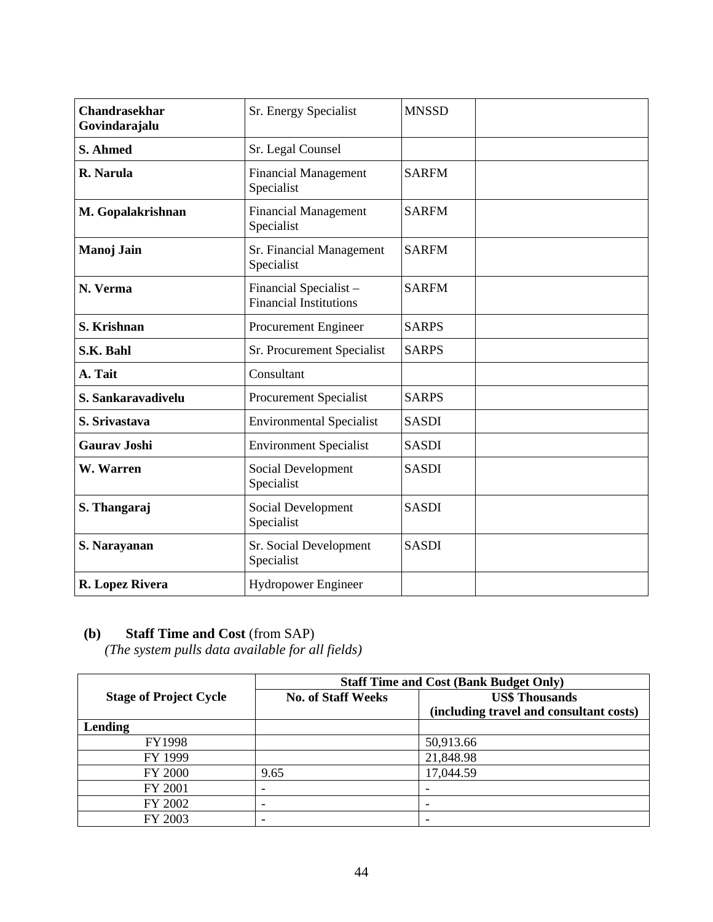| <b>Chandrasekhar</b><br>Sr. Energy Specialist<br>Govindarajalu |                                                                        | <b>MNSSD</b> |  |
|----------------------------------------------------------------|------------------------------------------------------------------------|--------------|--|
| S. Ahmed                                                       | Sr. Legal Counsel                                                      |              |  |
| R. Narula<br><b>Financial Management</b><br>Specialist         |                                                                        | <b>SARFM</b> |  |
| M. Gopalakrishnan                                              | <b>Financial Management</b><br>Specialist                              | <b>SARFM</b> |  |
| Manoj Jain                                                     | Sr. Financial Management<br>Specialist                                 | <b>SARFM</b> |  |
| N. Verma                                                       | Financial Specialist-<br><b>SARFM</b><br><b>Financial Institutions</b> |              |  |
| S. Krishnan                                                    | Procurement Engineer                                                   | <b>SARPS</b> |  |
| S.K. Bahl                                                      | Sr. Procurement Specialist                                             | <b>SARPS</b> |  |
| A. Tait                                                        | Consultant                                                             |              |  |
| S. Sankaravadivelu                                             | Procurement Specialist                                                 | <b>SARPS</b> |  |
| S. Srivastava                                                  | <b>Environmental Specialist</b>                                        | <b>SASDI</b> |  |
| <b>Gaurav Joshi</b>                                            | <b>Environment Specialist</b>                                          | <b>SASDI</b> |  |
| W. Warren                                                      | Social Development<br>Specialist                                       | <b>SASDI</b> |  |
| S. Thangaraj                                                   | Social Development<br>Specialist                                       | <b>SASDI</b> |  |
| S. Narayanan                                                   | Sr. Social Development<br>Specialist                                   | <b>SASDI</b> |  |
| R. Lopez Rivera                                                | <b>Hydropower Engineer</b>                                             |              |  |

# **(b) Staff Time and Cost** (from SAP)

*(The system pulls data available for all fields)*

|                               | <b>Staff Time and Cost (Bank Budget Only)</b> |                                         |
|-------------------------------|-----------------------------------------------|-----------------------------------------|
| <b>Stage of Project Cycle</b> | <b>No. of Staff Weeks</b>                     | <b>US\$ Thousands</b>                   |
|                               |                                               | (including travel and consultant costs) |
| Lending                       |                                               |                                         |
| FY1998                        |                                               | 50,913.66                               |
| FY 1999                       |                                               | 21,848.98                               |
| <b>FY 2000</b>                | 9.65                                          | 17,044.59                               |
| FY 2001                       | -                                             |                                         |
| FY 2002                       | -                                             |                                         |
| FY 2003                       | -                                             |                                         |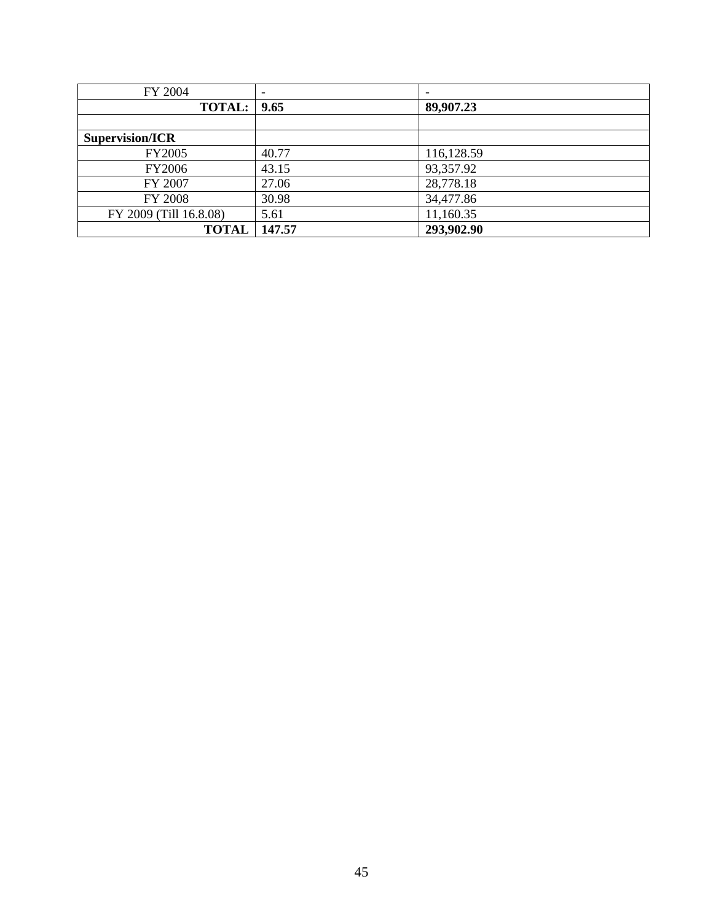| FY 2004                | $\overline{\phantom{0}}$ |            |
|------------------------|--------------------------|------------|
| <b>TOTAL:</b> 9.65     |                          | 89,907.23  |
|                        |                          |            |
| Supervision/ICR        |                          |            |
| FY2005                 | 40.77                    | 116,128.59 |
| FY2006                 | 43.15                    | 93,357.92  |
| FY 2007                | 27.06                    | 28,778.18  |
| FY 2008                | 30.98                    | 34,477.86  |
| FY 2009 (Till 16.8.08) | 5.61                     | 11,160.35  |
| <b>TOTAL</b>           | 147.57                   | 293,902.90 |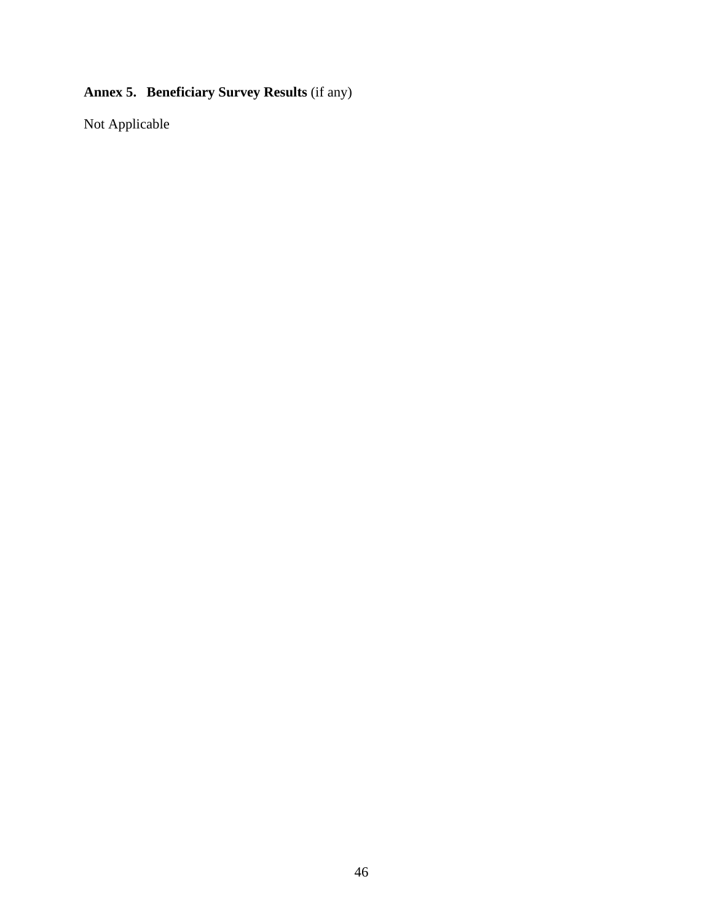# **Annex 5. Beneficiary Survey Results** (if any)

Not Applicable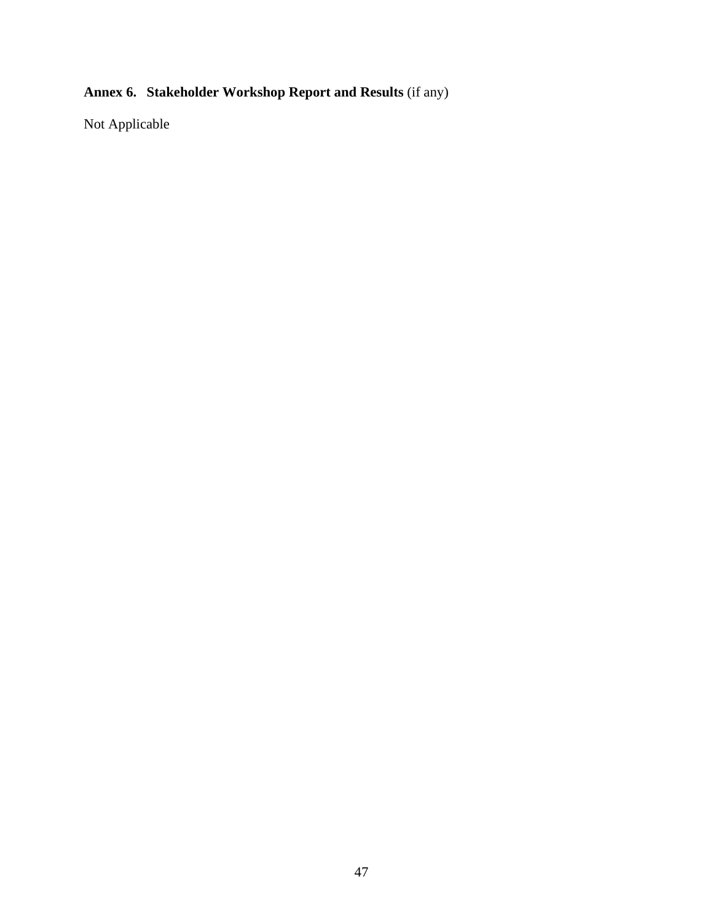# **Annex 6. Stakeholder Workshop Report and Results** (if any)

Not Applicable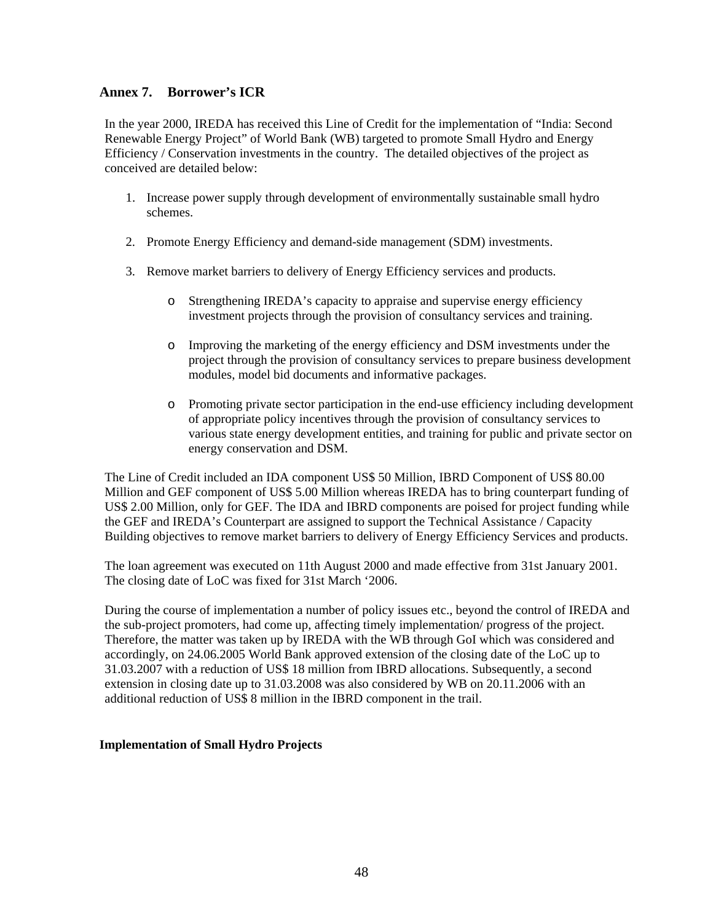## **Annex 7. Borrower's ICR**

In the year 2000, IREDA has received this Line of Credit for the implementation of "India: Second Renewable Energy Project" of World Bank (WB) targeted to promote Small Hydro and Energy Efficiency / Conservation investments in the country. The detailed objectives of the project as conceived are detailed below:

- 1. Increase power supply through development of environmentally sustainable small hydro schemes.
- 2. Promote Energy Efficiency and demand-side management (SDM) investments.
- 3. Remove market barriers to delivery of Energy Efficiency services and products.
	- o Strengthening IREDA's capacity to appraise and supervise energy efficiency investment projects through the provision of consultancy services and training.
	- o Improving the marketing of the energy efficiency and DSM investments under the project through the provision of consultancy services to prepare business development modules, model bid documents and informative packages.
	- o Promoting private sector participation in the end-use efficiency including development of appropriate policy incentives through the provision of consultancy services to various state energy development entities, and training for public and private sector on energy conservation and DSM.

The Line of Credit included an IDA component US\$ 50 Million, IBRD Component of US\$ 80.00 Million and GEF component of US\$ 5.00 Million whereas IREDA has to bring counterpart funding of US\$ 2.00 Million, only for GEF. The IDA and IBRD components are poised for project funding while the GEF and IREDA's Counterpart are assigned to support the Technical Assistance / Capacity Building objectives to remove market barriers to delivery of Energy Efficiency Services and products.

The loan agreement was executed on 11th August 2000 and made effective from 31st January 2001. The closing date of LoC was fixed for 31st March '2006.

During the course of implementation a number of policy issues etc., beyond the control of IREDA and the sub-project promoters, had come up, affecting timely implementation/ progress of the project. Therefore, the matter was taken up by IREDA with the WB through GoI which was considered and accordingly, on 24.06.2005 World Bank approved extension of the closing date of the LoC up to 31.03.2007 with a reduction of US\$ 18 million from IBRD allocations. Subsequently, a second extension in closing date up to 31.03.2008 was also considered by WB on 20.11.2006 with an additional reduction of US\$ 8 million in the IBRD component in the trail.

#### **Implementation of Small Hydro Projects**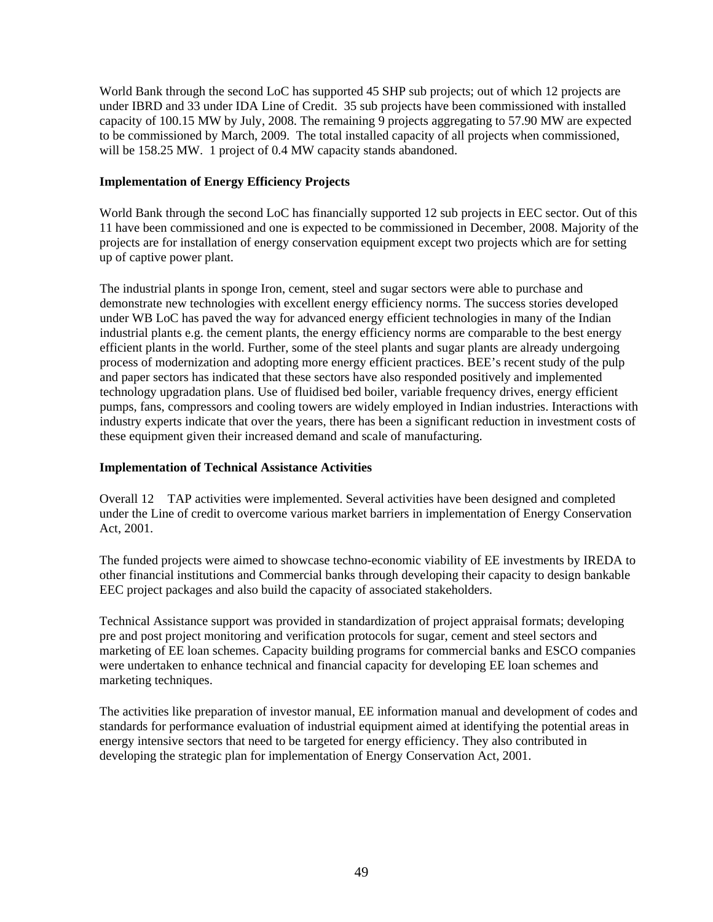World Bank through the second LoC has supported 45 SHP sub projects; out of which 12 projects are under IBRD and 33 under IDA Line of Credit. 35 sub projects have been commissioned with installed capacity of 100.15 MW by July, 2008. The remaining 9 projects aggregating to 57.90 MW are expected to be commissioned by March, 2009. The total installed capacity of all projects when commissioned, will be 158.25 MW. 1 project of 0.4 MW capacity stands abandoned.

#### **Implementation of Energy Efficiency Projects**

World Bank through the second LoC has financially supported 12 sub projects in EEC sector. Out of this 11 have been commissioned and one is expected to be commissioned in December, 2008. Majority of the projects are for installation of energy conservation equipment except two projects which are for setting up of captive power plant.

The industrial plants in sponge Iron, cement, steel and sugar sectors were able to purchase and demonstrate new technologies with excellent energy efficiency norms. The success stories developed under WB LoC has paved the way for advanced energy efficient technologies in many of the Indian industrial plants e.g. the cement plants, the energy efficiency norms are comparable to the best energy efficient plants in the world. Further, some of the steel plants and sugar plants are already undergoing process of modernization and adopting more energy efficient practices. BEE's recent study of the pulp and paper sectors has indicated that these sectors have also responded positively and implemented technology upgradation plans. Use of fluidised bed boiler, variable frequency drives, energy efficient pumps, fans, compressors and cooling towers are widely employed in Indian industries. Interactions with industry experts indicate that over the years, there has been a significant reduction in investment costs of these equipment given their increased demand and scale of manufacturing.

## **Implementation of Technical Assistance Activities**

Overall 12 TAP activities were implemented. Several activities have been designed and completed under the Line of credit to overcome various market barriers in implementation of Energy Conservation Act, 2001.

The funded projects were aimed to showcase techno-economic viability of EE investments by IREDA to other financial institutions and Commercial banks through developing their capacity to design bankable EEC project packages and also build the capacity of associated stakeholders.

Technical Assistance support was provided in standardization of project appraisal formats; developing pre and post project monitoring and verification protocols for sugar, cement and steel sectors and marketing of EE loan schemes. Capacity building programs for commercial banks and ESCO companies were undertaken to enhance technical and financial capacity for developing EE loan schemes and marketing techniques.

The activities like preparation of investor manual, EE information manual and development of codes and standards for performance evaluation of industrial equipment aimed at identifying the potential areas in energy intensive sectors that need to be targeted for energy efficiency. They also contributed in developing the strategic plan for implementation of Energy Conservation Act, 2001.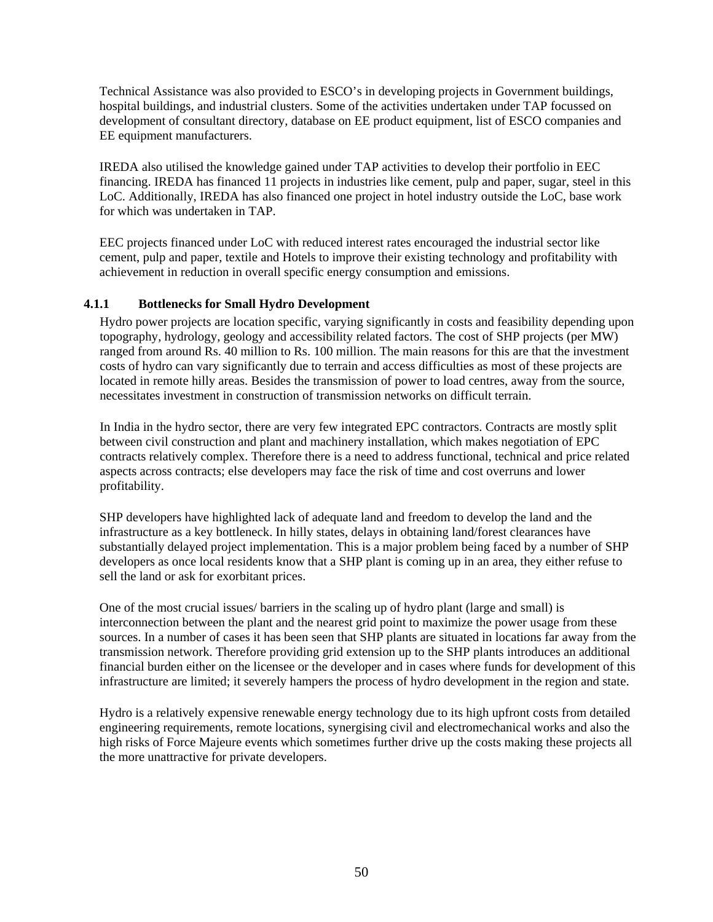Technical Assistance was also provided to ESCO's in developing projects in Government buildings, hospital buildings, and industrial clusters. Some of the activities undertaken under TAP focussed on development of consultant directory, database on EE product equipment, list of ESCO companies and EE equipment manufacturers.

IREDA also utilised the knowledge gained under TAP activities to develop their portfolio in EEC financing. IREDA has financed 11 projects in industries like cement, pulp and paper, sugar, steel in this LoC. Additionally, IREDA has also financed one project in hotel industry outside the LoC, base work for which was undertaken in TAP.

EEC projects financed under LoC with reduced interest rates encouraged the industrial sector like cement, pulp and paper, textile and Hotels to improve their existing technology and profitability with achievement in reduction in overall specific energy consumption and emissions.

#### **4.1.1 Bottlenecks for Small Hydro Development**

Hydro power projects are location specific, varying significantly in costs and feasibility depending upon topography, hydrology, geology and accessibility related factors. The cost of SHP projects (per MW) ranged from around Rs. 40 million to Rs. 100 million. The main reasons for this are that the investment costs of hydro can vary significantly due to terrain and access difficulties as most of these projects are located in remote hilly areas. Besides the transmission of power to load centres, away from the source, necessitates investment in construction of transmission networks on difficult terrain.

In India in the hydro sector, there are very few integrated EPC contractors. Contracts are mostly split between civil construction and plant and machinery installation, which makes negotiation of EPC contracts relatively complex. Therefore there is a need to address functional, technical and price related aspects across contracts; else developers may face the risk of time and cost overruns and lower profitability.

SHP developers have highlighted lack of adequate land and freedom to develop the land and the infrastructure as a key bottleneck. In hilly states, delays in obtaining land/forest clearances have substantially delayed project implementation. This is a major problem being faced by a number of SHP developers as once local residents know that a SHP plant is coming up in an area, they either refuse to sell the land or ask for exorbitant prices.

One of the most crucial issues/ barriers in the scaling up of hydro plant (large and small) is interconnection between the plant and the nearest grid point to maximize the power usage from these sources. In a number of cases it has been seen that SHP plants are situated in locations far away from the transmission network. Therefore providing grid extension up to the SHP plants introduces an additional financial burden either on the licensee or the developer and in cases where funds for development of this infrastructure are limited; it severely hampers the process of hydro development in the region and state.

Hydro is a relatively expensive renewable energy technology due to its high upfront costs from detailed engineering requirements, remote locations, synergising civil and electromechanical works and also the high risks of Force Majeure events which sometimes further drive up the costs making these projects all the more unattractive for private developers.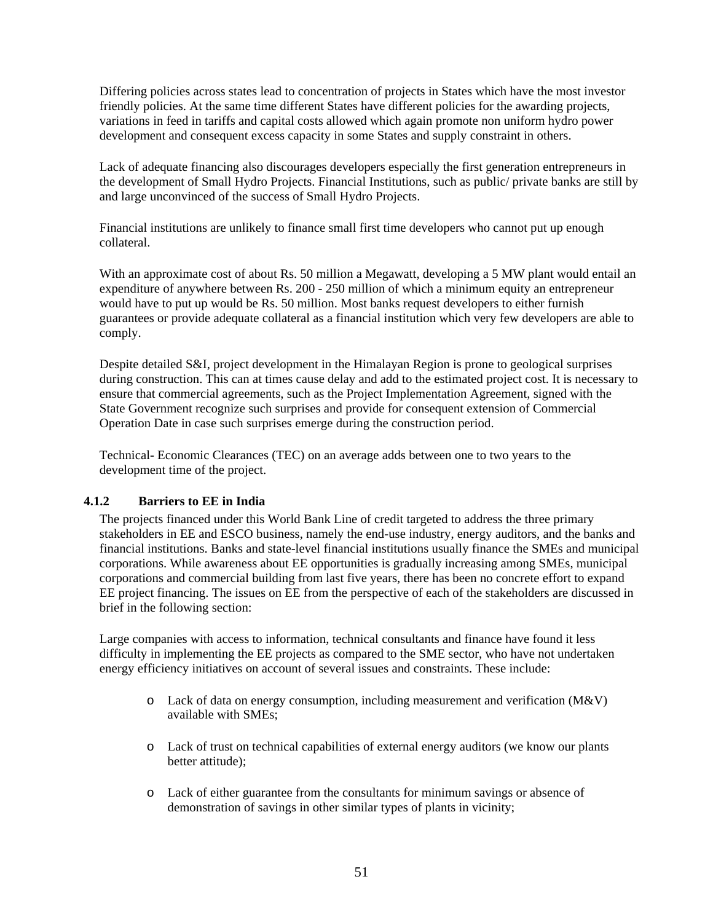Differing policies across states lead to concentration of projects in States which have the most investor friendly policies. At the same time different States have different policies for the awarding projects, variations in feed in tariffs and capital costs allowed which again promote non uniform hydro power development and consequent excess capacity in some States and supply constraint in others.

Lack of adequate financing also discourages developers especially the first generation entrepreneurs in the development of Small Hydro Projects. Financial Institutions, such as public/ private banks are still by and large unconvinced of the success of Small Hydro Projects.

Financial institutions are unlikely to finance small first time developers who cannot put up enough collateral.

With an approximate cost of about Rs. 50 million a Megawatt, developing a 5 MW plant would entail an expenditure of anywhere between Rs. 200 - 250 million of which a minimum equity an entrepreneur would have to put up would be Rs. 50 million. Most banks request developers to either furnish guarantees or provide adequate collateral as a financial institution which very few developers are able to comply.

Despite detailed S&I, project development in the Himalayan Region is prone to geological surprises during construction. This can at times cause delay and add to the estimated project cost. It is necessary to ensure that commercial agreements, such as the Project Implementation Agreement, signed with the State Government recognize such surprises and provide for consequent extension of Commercial Operation Date in case such surprises emerge during the construction period.

Technical- Economic Clearances (TEC) on an average adds between one to two years to the development time of the project.

## **4.1.2 Barriers to EE in India**

The projects financed under this World Bank Line of credit targeted to address the three primary stakeholders in EE and ESCO business, namely the end-use industry, energy auditors, and the banks and financial institutions. Banks and state-level financial institutions usually finance the SMEs and municipal corporations. While awareness about EE opportunities is gradually increasing among SMEs, municipal corporations and commercial building from last five years, there has been no concrete effort to expand EE project financing. The issues on EE from the perspective of each of the stakeholders are discussed in brief in the following section:

Large companies with access to information, technical consultants and finance have found it less difficulty in implementing the EE projects as compared to the SME sector, who have not undertaken energy efficiency initiatives on account of several issues and constraints. These include:

- $\circ$  Lack of data on energy consumption, including measurement and verification (M&V) available with SMEs;
- o Lack of trust on technical capabilities of external energy auditors (we know our plants better attitude);
- o Lack of either guarantee from the consultants for minimum savings or absence of demonstration of savings in other similar types of plants in vicinity;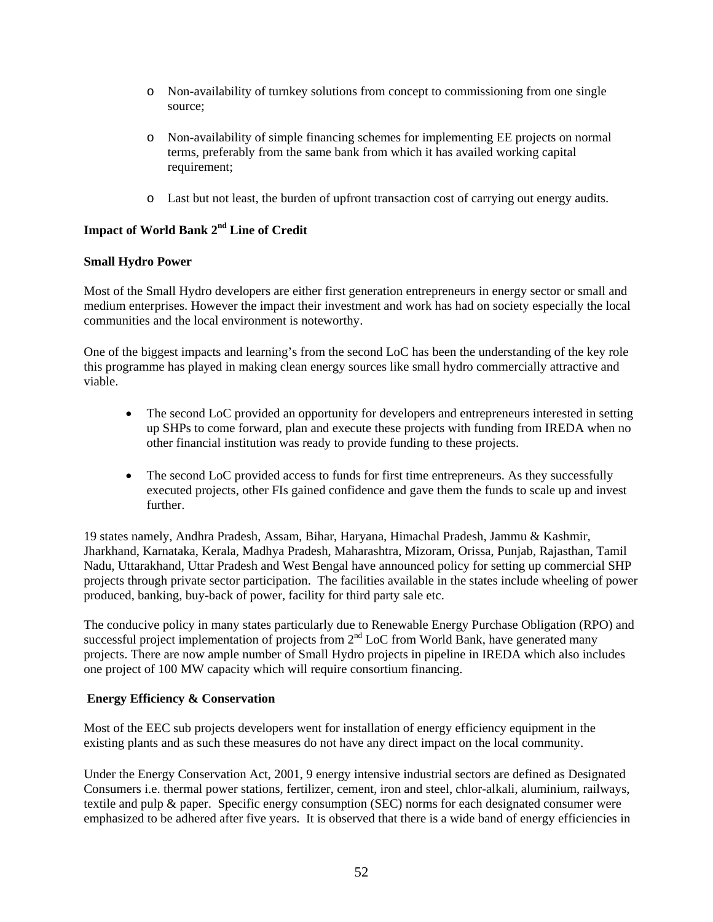- o Non-availability of turnkey solutions from concept to commissioning from one single source;
- o Non-availability of simple financing schemes for implementing EE projects on normal terms, preferably from the same bank from which it has availed working capital requirement;
- o Last but not least, the burden of upfront transaction cost of carrying out energy audits.

# **Impact of World Bank 2nd Line of Credit**

#### **Small Hydro Power**

Most of the Small Hydro developers are either first generation entrepreneurs in energy sector or small and medium enterprises. However the impact their investment and work has had on society especially the local communities and the local environment is noteworthy.

One of the biggest impacts and learning's from the second LoC has been the understanding of the key role this programme has played in making clean energy sources like small hydro commercially attractive and viable.

- The second LoC provided an opportunity for developers and entrepreneurs interested in setting up SHPs to come forward, plan and execute these projects with funding from IREDA when no other financial institution was ready to provide funding to these projects.
- The second LoC provided access to funds for first time entrepreneurs. As they successfully executed projects, other FIs gained confidence and gave them the funds to scale up and invest further.

19 states namely, Andhra Pradesh, Assam, Bihar, Haryana, Himachal Pradesh, Jammu & Kashmir, Jharkhand, Karnataka, Kerala, Madhya Pradesh, Maharashtra, Mizoram, Orissa, Punjab, Rajasthan, Tamil Nadu, Uttarakhand, Uttar Pradesh and West Bengal have announced policy for setting up commercial SHP projects through private sector participation. The facilities available in the states include wheeling of power produced, banking, buy-back of power, facility for third party sale etc.

The conducive policy in many states particularly due to Renewable Energy Purchase Obligation (RPO) and successful project implementation of projects from 2<sup>nd</sup> LoC from World Bank, have generated many projects. There are now ample number of Small Hydro projects in pipeline in IREDA which also includes one project of 100 MW capacity which will require consortium financing.

#### **Energy Efficiency & Conservation**

Most of the EEC sub projects developers went for installation of energy efficiency equipment in the existing plants and as such these measures do not have any direct impact on the local community.

Under the Energy Conservation Act, 2001, 9 energy intensive industrial sectors are defined as Designated Consumers i.e. thermal power stations, fertilizer, cement, iron and steel, chlor-alkali, aluminium, railways, textile and pulp & paper. Specific energy consumption (SEC) norms for each designated consumer were emphasized to be adhered after five years. It is observed that there is a wide band of energy efficiencies in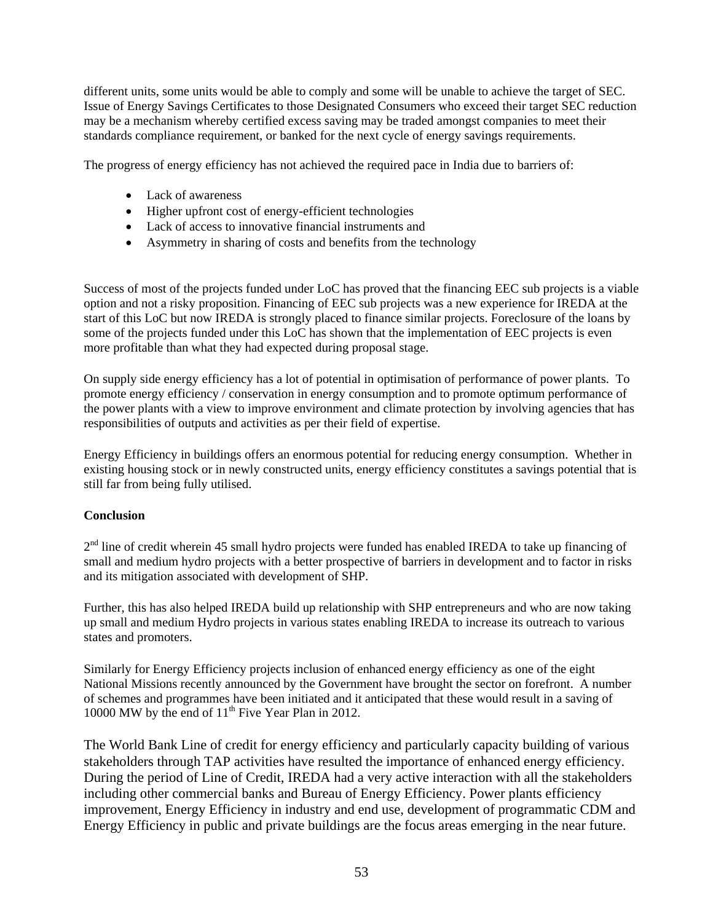different units, some units would be able to comply and some will be unable to achieve the target of SEC. Issue of Energy Savings Certificates to those Designated Consumers who exceed their target SEC reduction may be a mechanism whereby certified excess saving may be traded amongst companies to meet their standards compliance requirement, or banked for the next cycle of energy savings requirements.

The progress of energy efficiency has not achieved the required pace in India due to barriers of:

- Lack of awareness
- Higher upfront cost of energy-efficient technologies
- Lack of access to innovative financial instruments and
- Asymmetry in sharing of costs and benefits from the technology

Success of most of the projects funded under LoC has proved that the financing EEC sub projects is a viable option and not a risky proposition. Financing of EEC sub projects was a new experience for IREDA at the start of this LoC but now IREDA is strongly placed to finance similar projects. Foreclosure of the loans by some of the projects funded under this LoC has shown that the implementation of EEC projects is even more profitable than what they had expected during proposal stage.

On supply side energy efficiency has a lot of potential in optimisation of performance of power plants. To promote energy efficiency / conservation in energy consumption and to promote optimum performance of the power plants with a view to improve environment and climate protection by involving agencies that has responsibilities of outputs and activities as per their field of expertise.

Energy Efficiency in buildings offers an enormous potential for reducing energy consumption. Whether in existing housing stock or in newly constructed units, energy efficiency constitutes a savings potential that is still far from being fully utilised.

## **Conclusion**

 $2<sup>nd</sup>$  line of credit wherein 45 small hydro projects were funded has enabled IREDA to take up financing of small and medium hydro projects with a better prospective of barriers in development and to factor in risks and its mitigation associated with development of SHP.

Further, this has also helped IREDA build up relationship with SHP entrepreneurs and who are now taking up small and medium Hydro projects in various states enabling IREDA to increase its outreach to various states and promoters.

Similarly for Energy Efficiency projects inclusion of enhanced energy efficiency as one of the eight National Missions recently announced by the Government have brought the sector on forefront. A number of schemes and programmes have been initiated and it anticipated that these would result in a saving of 10000 MW by the end of  $11<sup>th</sup>$  Five Year Plan in 2012.

The World Bank Line of credit for energy efficiency and particularly capacity building of various stakeholders through TAP activities have resulted the importance of enhanced energy efficiency. During the period of Line of Credit, IREDA had a very active interaction with all the stakeholders including other commercial banks and Bureau of Energy Efficiency. Power plants efficiency improvement, Energy Efficiency in industry and end use, development of programmatic CDM and Energy Efficiency in public and private buildings are the focus areas emerging in the near future.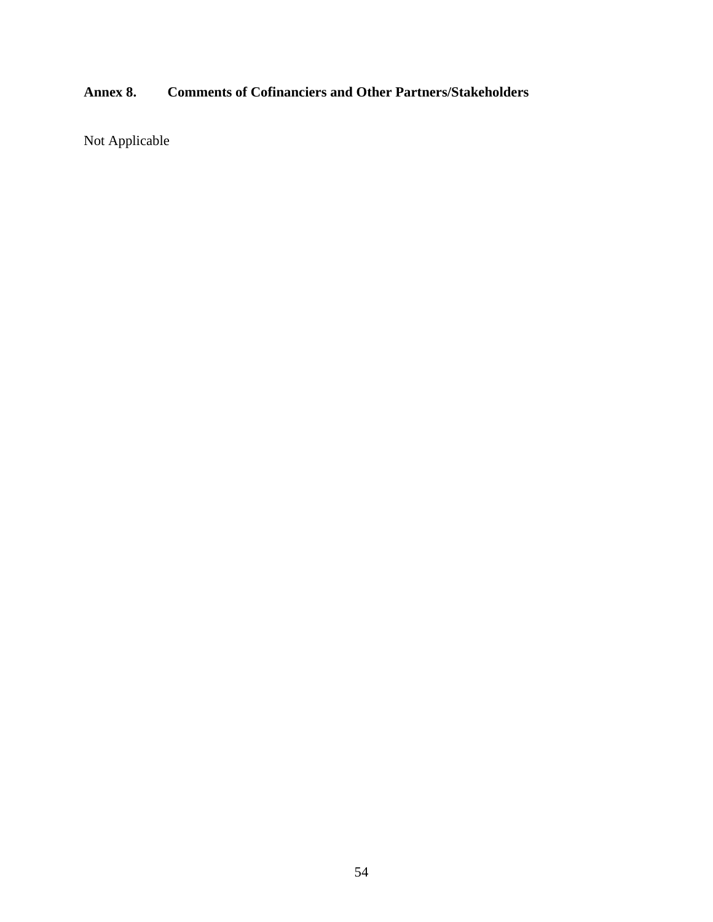# **Annex 8. Comments of Cofinanciers and Other Partners/Stakeholders**

Not Applicable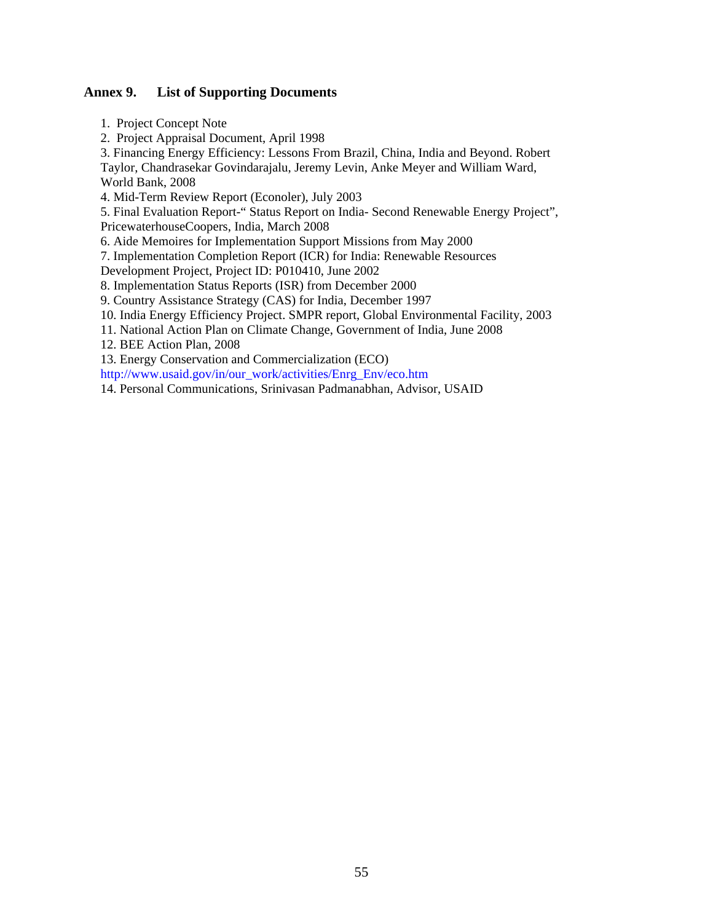#### **Annex 9. List of Supporting Documents**

1. Project Concept Note

2. Project Appraisal Document, April 1998

3. Financing Energy Efficiency: Lessons From Brazil, China, India and Beyond. Robert

Taylor, Chandrasekar Govindarajalu, Jeremy Levin, Anke Meyer and William Ward, World Bank, 2008

4. Mid-Term Review Report (Econoler), July 2003

5. Final Evaluation Report-" Status Report on India- Second Renewable Energy Project", PricewaterhouseCoopers, India, March 2008

6. Aide Memoires for Implementation Support Missions from May 2000

7. Implementation Completion Report (ICR) for India: Renewable Resources

Development Project, Project ID: P010410, June 2002

8. Implementation Status Reports (ISR) from December 2000

9. Country Assistance Strategy (CAS) for India, December 1997

10. India Energy Efficiency Project. SMPR report, Global Environmental Facility, 2003

11. National Action Plan on Climate Change, Government of India, June 2008

12. BEE Action Plan, 2008

13. Energy Conservation and Commercialization (ECO)

http://www.usaid.gov/in/our\_work/activities/Enrg\_Env/eco.htm

14. Personal Communications, Srinivasan Padmanabhan, Advisor, USAID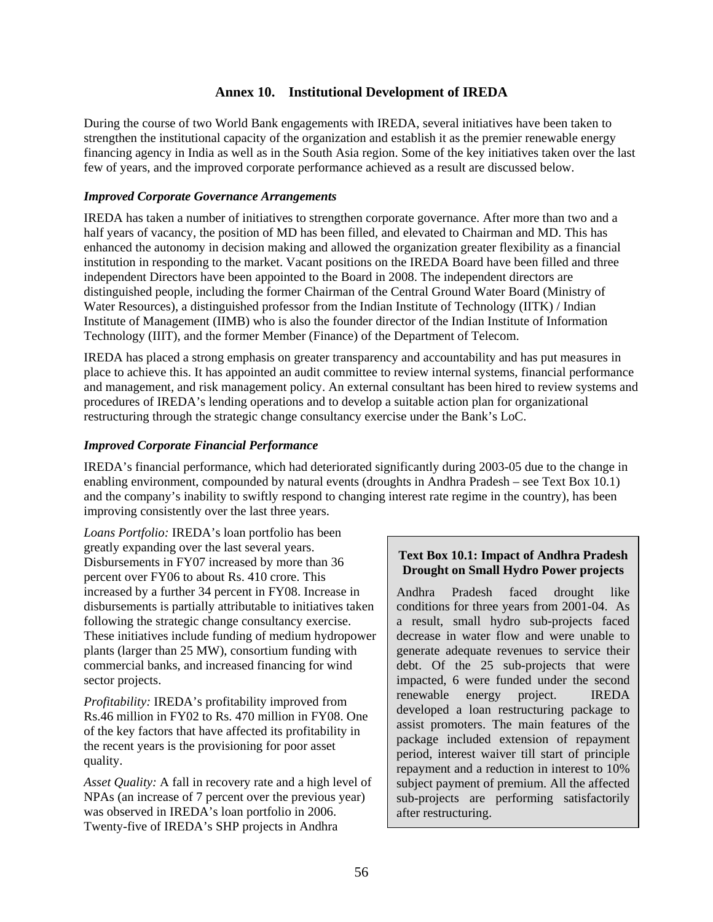## **Annex 10. Institutional Development of IREDA**

During the course of two World Bank engagements with IREDA, several initiatives have been taken to strengthen the institutional capacity of the organization and establish it as the premier renewable energy financing agency in India as well as in the South Asia region. Some of the key initiatives taken over the last few of years, and the improved corporate performance achieved as a result are discussed below.

#### *Improved Corporate Governance Arrangements*

IREDA has taken a number of initiatives to strengthen corporate governance. After more than two and a half years of vacancy, the position of MD has been filled, and elevated to Chairman and MD. This has enhanced the autonomy in decision making and allowed the organization greater flexibility as a financial institution in responding to the market. Vacant positions on the IREDA Board have been filled and three independent Directors have been appointed to the Board in 2008. The independent directors are distinguished people, including the former Chairman of the Central Ground Water Board (Ministry of Water Resources), a distinguished professor from the Indian Institute of Technology (IITK) / Indian Institute of Management (IIMB) who is also the founder director of the Indian Institute of Information Technology (IIIT), and the former Member (Finance) of the Department of Telecom.

IREDA has placed a strong emphasis on greater transparency and accountability and has put measures in place to achieve this. It has appointed an audit committee to review internal systems, financial performance and management, and risk management policy. An external consultant has been hired to review systems and procedures of IREDA's lending operations and to develop a suitable action plan for organizational restructuring through the strategic change consultancy exercise under the Bank's LoC.

## *Improved Corporate Financial Performance*

IREDA's financial performance, which had deteriorated significantly during 2003-05 due to the change in enabling environment, compounded by natural events (droughts in Andhra Pradesh – see Text Box 10.1) and the company's inability to swiftly respond to changing interest rate regime in the country), has been improving consistently over the last three years.

*Loans Portfolio:* IREDA's loan portfolio has been greatly expanding over the last several years. Disbursements in FY07 increased by more than 36 percent over FY06 to about Rs. 410 crore. This increased by a further 34 percent in FY08. Increase in disbursements is partially attributable to initiatives taken following the strategic change consultancy exercise. These initiatives include funding of medium hydropower plants (larger than 25 MW), consortium funding with commercial banks, and increased financing for wind sector projects.

*Profitability:* IREDA's profitability improved from Rs.46 million in FY02 to Rs. 470 million in FY08. One of the key factors that have affected its profitability in the recent years is the provisioning for poor asset quality.

*Asset Quality:* A fall in recovery rate and a high level of NPAs (an increase of 7 percent over the previous year) was observed in IREDA's loan portfolio in 2006. Twenty-five of IREDA's SHP projects in Andhra

#### **Text Box 10.1: Impact of Andhra Pradesh Drought on Small Hydro Power projects**

Andhra Pradesh faced drought like conditions for three years from 2001-04. As a result, small hydro sub-projects faced decrease in water flow and were unable to generate adequate revenues to service their debt. Of the 25 sub-projects that were impacted, 6 were funded under the second renewable energy project. IREDA developed a loan restructuring package to assist promoters. The main features of the package included extension of repayment period, interest waiver till start of principle repayment and a reduction in interest to 10% subject payment of premium. All the affected sub-projects are performing satisfactorily after restructuring.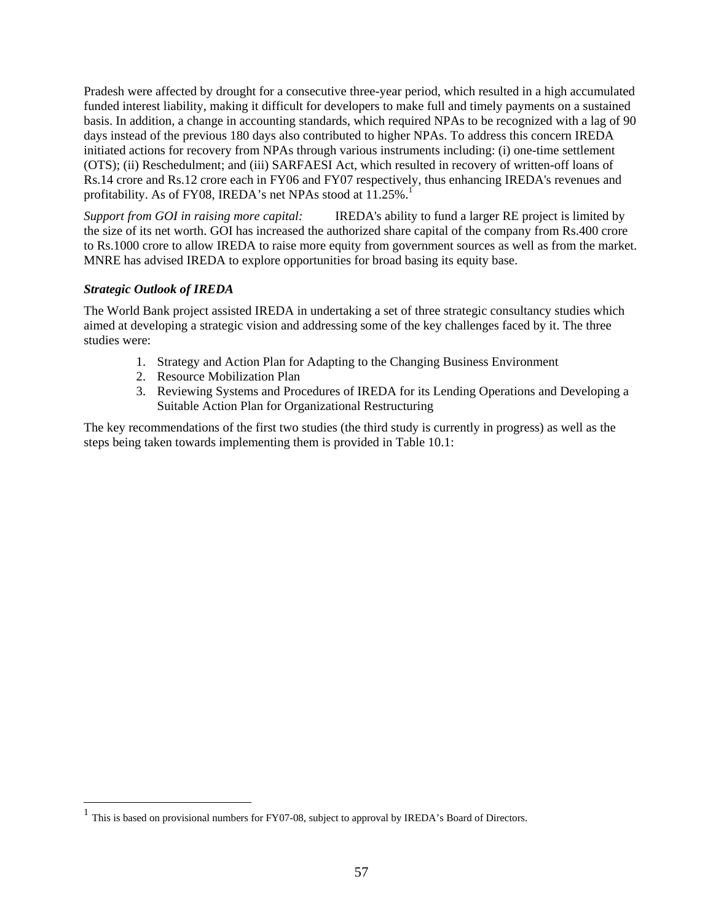Pradesh were affected by drought for a consecutive three-year period, which resulted in a high accumulated funded interest liability, making it difficult for developers to make full and timely payments on a sustained basis. In addition, a change in accounting standards, which required NPAs to be recognized with a lag of 90 days instead of the previous 180 days also contributed to higher NPAs. To address this concern IREDA initiated actions for recovery from NPAs through various instruments including: (i) one-time settlement (OTS); (ii) Reschedulment; and (iii) SARFAESI Act, which resulted in recovery of written-off loans of Rs.14 crore and Rs.12 crore each in FY06 and FY07 respectively, thus enhancing IREDA's revenues and profitability. As of FY08, IREDA's net NPAs stood at  $11.25\%$ .<sup>1</sup>

*Support from GOI in raising more capital:* IREDA's ability to fund a larger RE project is limited by the size of its net worth. GOI has increased the authorized share capital of the company from Rs.400 crore to Rs.1000 crore to allow IREDA to raise more equity from government sources as well as from the market. MNRE has advised IREDA to explore opportunities for broad basing its equity base.

#### *Strategic Outlook of IREDA*

 $\overline{a}$ 

The World Bank project assisted IREDA in undertaking a set of three strategic consultancy studies which aimed at developing a strategic vision and addressing some of the key challenges faced by it. The three studies were:

- 1. Strategy and Action Plan for Adapting to the Changing Business Environment
- 2. Resource Mobilization Plan
- 3. Reviewing Systems and Procedures of IREDA for its Lending Operations and Developing a Suitable Action Plan for Organizational Restructuring

The key recommendations of the first two studies (the third study is currently in progress) as well as the steps being taken towards implementing them is provided in Table 10.1:

<sup>&</sup>lt;sup>1</sup> This is based on provisional numbers for FY07-08, subject to approval by IREDA's Board of Directors.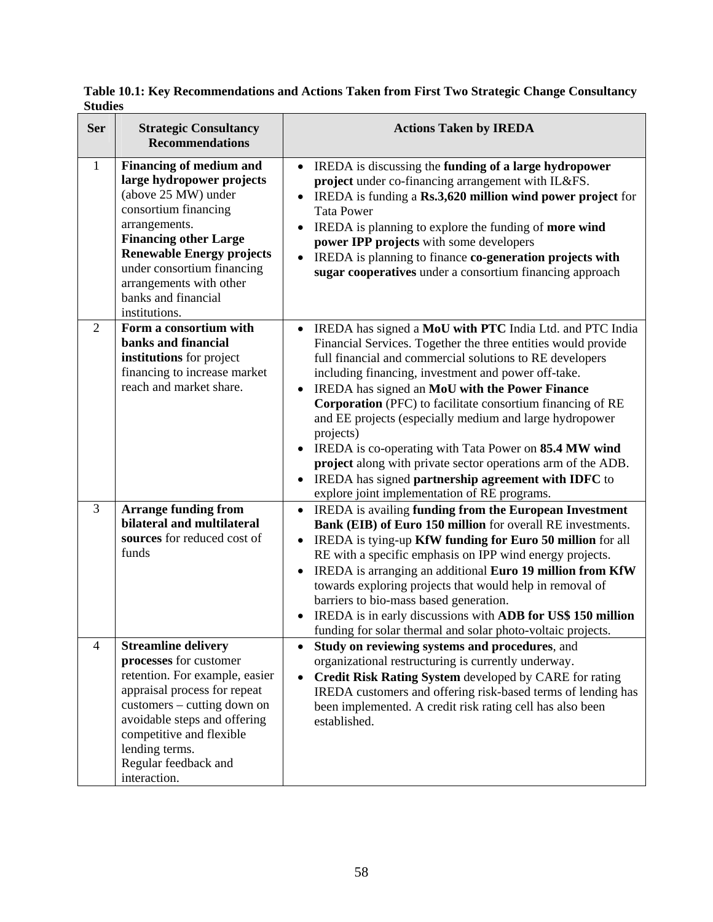| <b>Ser</b>     | <b>Strategic Consultancy</b><br><b>Recommendations</b>                                                                                                                                                                                                                                           | <b>Actions Taken by IREDA</b>                                                                                                                                                                                                                                                                                                                                                                                                                                                                                                                                                                                                                                                                  |
|----------------|--------------------------------------------------------------------------------------------------------------------------------------------------------------------------------------------------------------------------------------------------------------------------------------------------|------------------------------------------------------------------------------------------------------------------------------------------------------------------------------------------------------------------------------------------------------------------------------------------------------------------------------------------------------------------------------------------------------------------------------------------------------------------------------------------------------------------------------------------------------------------------------------------------------------------------------------------------------------------------------------------------|
| $\mathbf{1}$   | <b>Financing of medium and</b><br>large hydropower projects<br>(above 25 MW) under<br>consortium financing<br>arrangements.<br><b>Financing other Large</b><br><b>Renewable Energy projects</b><br>under consortium financing<br>arrangements with other<br>banks and financial<br>institutions. | IREDA is discussing the funding of a large hydropower<br>$\bullet$<br>project under co-financing arrangement with IL&FS.<br>IREDA is funding a Rs.3,620 million wind power project for<br>$\bullet$<br><b>Tata Power</b><br>IREDA is planning to explore the funding of more wind<br>$\bullet$<br>power IPP projects with some developers<br>IREDA is planning to finance co-generation projects with<br>sugar cooperatives under a consortium financing approach                                                                                                                                                                                                                              |
| $\overline{2}$ | Form a consortium with<br>banks and financial<br>institutions for project<br>financing to increase market<br>reach and market share.                                                                                                                                                             | IREDA has signed a MoU with PTC India Ltd. and PTC India<br>$\bullet$<br>Financial Services. Together the three entities would provide<br>full financial and commercial solutions to RE developers<br>including financing, investment and power off-take.<br>IREDA has signed an MoU with the Power Finance<br>Corporation (PFC) to facilitate consortium financing of RE<br>and EE projects (especially medium and large hydropower<br>projects)<br>IREDA is co-operating with Tata Power on 85.4 MW wind<br>$\bullet$<br>project along with private sector operations arm of the ADB.<br>IREDA has signed partnership agreement with IDFC to<br>explore joint implementation of RE programs. |
| 3              | <b>Arrange funding from</b><br>bilateral and multilateral<br>sources for reduced cost of<br>funds                                                                                                                                                                                                | IREDA is availing funding from the European Investment<br>$\bullet$<br>Bank (EIB) of Euro 150 million for overall RE investments.<br>IREDA is tying-up KfW funding for Euro 50 million for all<br>$\bullet$<br>RE with a specific emphasis on IPP wind energy projects.<br>IREDA is arranging an additional Euro 19 million from KfW<br>towards exploring projects that would help in removal of<br>barriers to bio-mass based generation.<br>IREDA is in early discussions with ADB for US\$ 150 million<br>funding for solar thermal and solar photo-voltaic projects.                                                                                                                       |
| $\overline{4}$ | <b>Streamline delivery</b><br>processes for customer<br>retention. For example, easier<br>appraisal process for repeat<br>customers - cutting down on<br>avoidable steps and offering<br>competitive and flexible<br>lending terms.<br>Regular feedback and<br>interaction.                      | Study on reviewing systems and procedures, and<br>$\bullet$<br>organizational restructuring is currently underway.<br>Credit Risk Rating System developed by CARE for rating<br>IREDA customers and offering risk-based terms of lending has<br>been implemented. A credit risk rating cell has also been<br>established.                                                                                                                                                                                                                                                                                                                                                                      |

**Table 10.1: Key Recommendations and Actions Taken from First Two Strategic Change Consultancy Studies**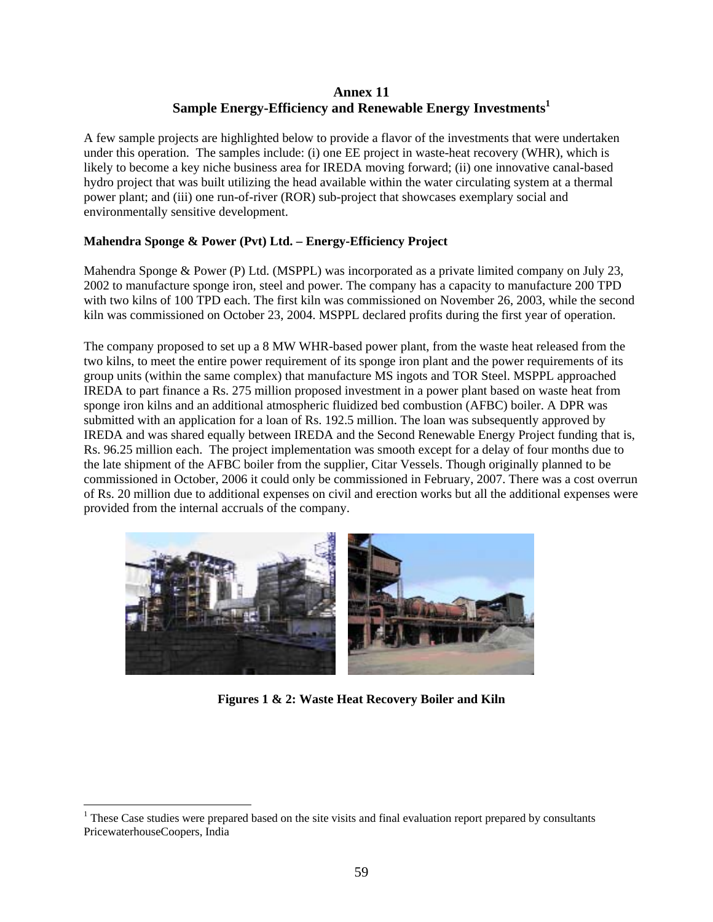# **Annex 11**   $\mathbf{S}$ ample Energy-Efficiency and Renewable Energy Investments $^1$

A few sample projects are highlighted below to provide a flavor of the investments that were undertaken under this operation. The samples include: (i) one EE project in waste-heat recovery (WHR), which is likely to become a key niche business area for IREDA moving forward; (ii) one innovative canal-based hydro project that was built utilizing the head available within the water circulating system at a thermal power plant; and (iii) one run-of-river (ROR) sub-project that showcases exemplary social and environmentally sensitive development.

## **Mahendra Sponge & Power (Pvt) Ltd. – Energy-Efficiency Project**

Mahendra Sponge & Power (P) Ltd. (MSPPL) was incorporated as a private limited company on July 23, 2002 to manufacture sponge iron, steel and power. The company has a capacity to manufacture 200 TPD with two kilns of 100 TPD each. The first kiln was commissioned on November 26, 2003, while the second kiln was commissioned on October 23, 2004. MSPPL declared profits during the first year of operation.

The company proposed to set up a 8 MW WHR-based power plant, from the waste heat released from the two kilns, to meet the entire power requirement of its sponge iron plant and the power requirements of its group units (within the same complex) that manufacture MS ingots and TOR Steel. MSPPL approached IREDA to part finance a Rs. 275 million proposed investment in a power plant based on waste heat from sponge iron kilns and an additional atmospheric fluidized bed combustion (AFBC) boiler. A DPR was submitted with an application for a loan of Rs. 192.5 million. The loan was subsequently approved by IREDA and was shared equally between IREDA and the Second Renewable Energy Project funding that is, Rs. 96.25 million each. The project implementation was smooth except for a delay of four months due to the late shipment of the AFBC boiler from the supplier, Citar Vessels. Though originally planned to be commissioned in October, 2006 it could only be commissioned in February, 2007. There was a cost overrun of Rs. 20 million due to additional expenses on civil and erection works but all the additional expenses were provided from the internal accruals of the company.



**Figures 1 & 2: Waste Heat Recovery Boiler and Kiln** 

 $\overline{a}$ 

 $<sup>1</sup>$  These Case studies were prepared based on the site visits and final evaluation report prepared by consultants</sup> PricewaterhouseCoopers, India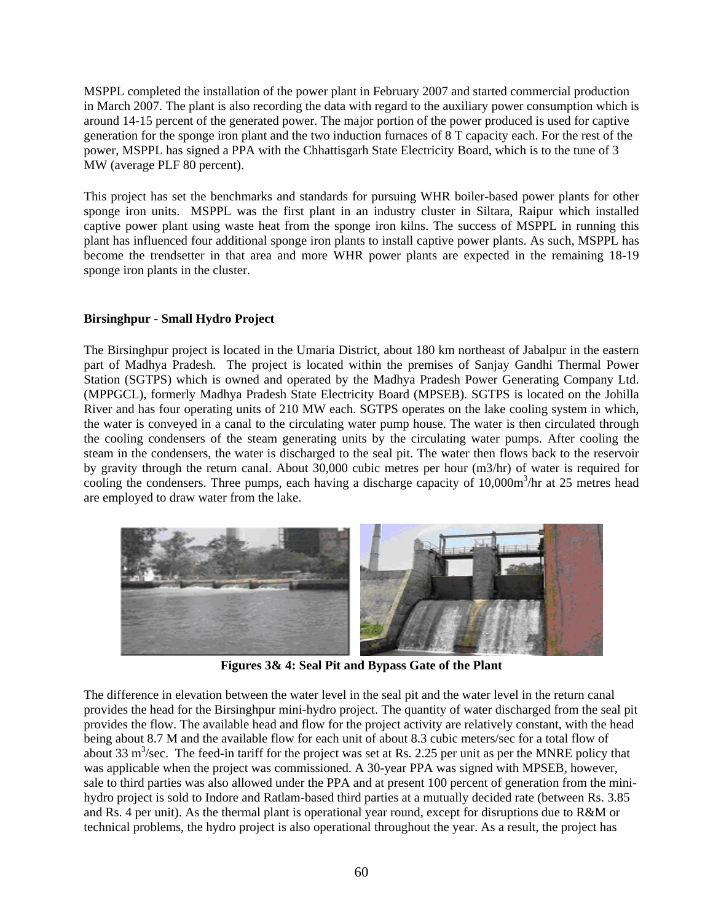MSPPL completed the installation of the power plant in February 2007 and started commercial production in March 2007. The plant is also recording the data with regard to the auxiliary power consumption which is around 14-15 percent of the generated power. The major portion of the power produced is used for captive generation for the sponge iron plant and the two induction furnaces of  $\hat{8}$  T capacity each. For the rest of the power, MSPPL has signed a PPA with the Chhattisgarh State Electricity Board, which is to the tune of 3 MW (average PLF 80 percent).

This project has set the benchmarks and standards for pursuing WHR boiler-based power plants for other sponge iron units. MSPPL was the first plant in an industry cluster in Siltara, Raipur which installed captive power plant using waste heat from the sponge iron kilns. The success of MSPPL in running this plant has influenced four additional sponge iron plants to install captive power plants. As such, MSPPL has become the trendsetter in that area and more WHR power plants are expected in the remaining 18-19 sponge iron plants in the cluster.

## **Birsinghpur - Small Hydro Project**

The Birsinghpur project is located in the Umaria District, about 180 km northeast of Jabalpur in the eastern part of Madhya Pradesh. The project is located within the premises of Sanjay Gandhi Thermal Power Station (SGTPS) which is owned and operated by the Madhya Pradesh Power Generating Company Ltd. (MPPGCL), formerly Madhya Pradesh State Electricity Board (MPSEB). SGTPS is located on the Johilla River and has four operating units of 210 MW each. SGTPS operates on the lake cooling system in which, the water is conveyed in a canal to the circulating water pump house. The water is then circulated through the cooling condensers of the steam generating units by the circulating water pumps. After cooling the steam in the condensers, the water is discharged to the seal pit. The water then flows back to the reservoir by gravity through the return canal. About 30,000 cubic metres per hour (m3/hr) of water is required for cooling the condensers. Three pumps, each having a discharge capacity of 10,000m<sup>3</sup>/hr at 25 metres head are employed to draw water from the lake.



**Figures 3& 4: Seal Pit and Bypass Gate of the Plant** 

The difference in elevation between the water level in the seal pit and the water level in the return canal provides the head for the Birsinghpur mini-hydro project. The quantity of water discharged from the seal pit provides the flow. The available head and flow for the project activity are relatively constant, with the head being about 8.7 M and the available flow for each unit of about 8.3 cubic meters/sec for a total flow of about 33  $\text{m}^3/\text{sec}$ . The feed-in tariff for the project was set at Rs. 2.25 per unit as per the MNRE policy that was applicable when the project was commissioned. A 30-year PPA was signed with MPSEB, however, sale to third parties was also allowed under the PPA and at present 100 percent of generation from the minihydro project is sold to Indore and Ratlam-based third parties at a mutually decided rate (between Rs. 3.85 and Rs. 4 per unit). As the thermal plant is operational year round, except for disruptions due to R&M or technical problems, the hydro project is also operational throughout the year. As a result, the project has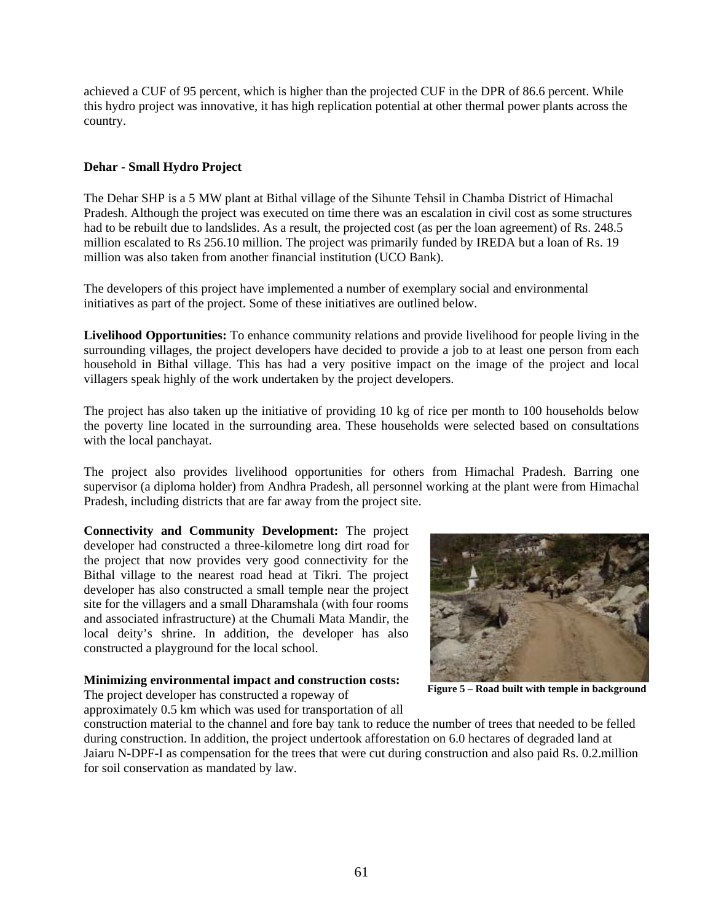achieved a CUF of 95 percent, which is higher than the projected CUF in the DPR of 86.6 percent. While this hydro project was innovative, it has high replication potential at other thermal power plants across the country.

## **Dehar - Small Hydro Project**

The Dehar SHP is a 5 MW plant at Bithal village of the Sihunte Tehsil in Chamba District of Himachal Pradesh. Although the project was executed on time there was an escalation in civil cost as some structures had to be rebuilt due to landslides. As a result, the projected cost (as per the loan agreement) of Rs. 248.5 million escalated to Rs 256.10 million. The project was primarily funded by IREDA but a loan of Rs. 19 million was also taken from another financial institution (UCO Bank).

The developers of this project have implemented a number of exemplary social and environmental initiatives as part of the project. Some of these initiatives are outlined below.

**Livelihood Opportunities:** To enhance community relations and provide livelihood for people living in the surrounding villages, the project developers have decided to provide a job to at least one person from each household in Bithal village. This has had a very positive impact on the image of the project and local villagers speak highly of the work undertaken by the project developers.

The project has also taken up the initiative of providing 10 kg of rice per month to 100 households below the poverty line located in the surrounding area. These households were selected based on consultations with the local panchayat.

The project also provides livelihood opportunities for others from Himachal Pradesh. Barring one supervisor (a diploma holder) from Andhra Pradesh, all personnel working at the plant were from Himachal Pradesh, including districts that are far away from the project site.

**Connectivity and Community Development:** The project developer had constructed a three-kilometre long dirt road for the project that now provides very good connectivity for the Bithal village to the nearest road head at Tikri. The project developer has also constructed a small temple near the project site for the villagers and a small Dharamshala (with four rooms and associated infrastructure) at the Chumali Mata Mandir, the local deity's shrine. In addition, the developer has also constructed a playground for the local school.

#### **Minimizing environmental impact and construction costs:**

The project developer has constructed a ropeway of approximately 0.5 km which was used for transportation of all



**Figure 5 – Road built with temple in background** 

construction material to the channel and fore bay tank to reduce the number of trees that needed to be felled during construction. In addition, the project undertook afforestation on 6.0 hectares of degraded land at Jaiaru N-DPF-I as compensation for the trees that were cut during construction and also paid Rs. 0.2.million for soil conservation as mandated by law.